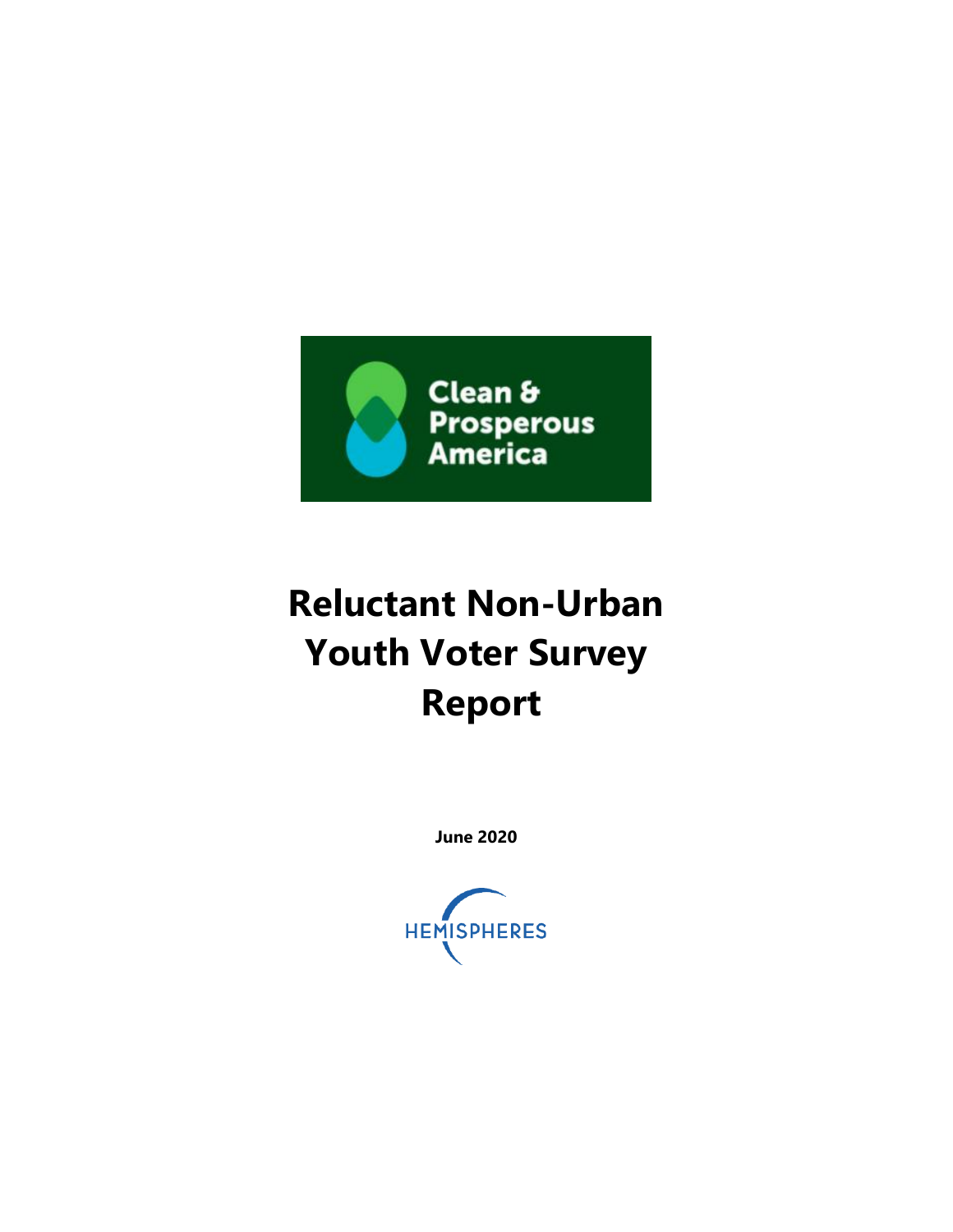

# **Reluctant Non-Urban Youth Voter Survey Report**

**June 2020**

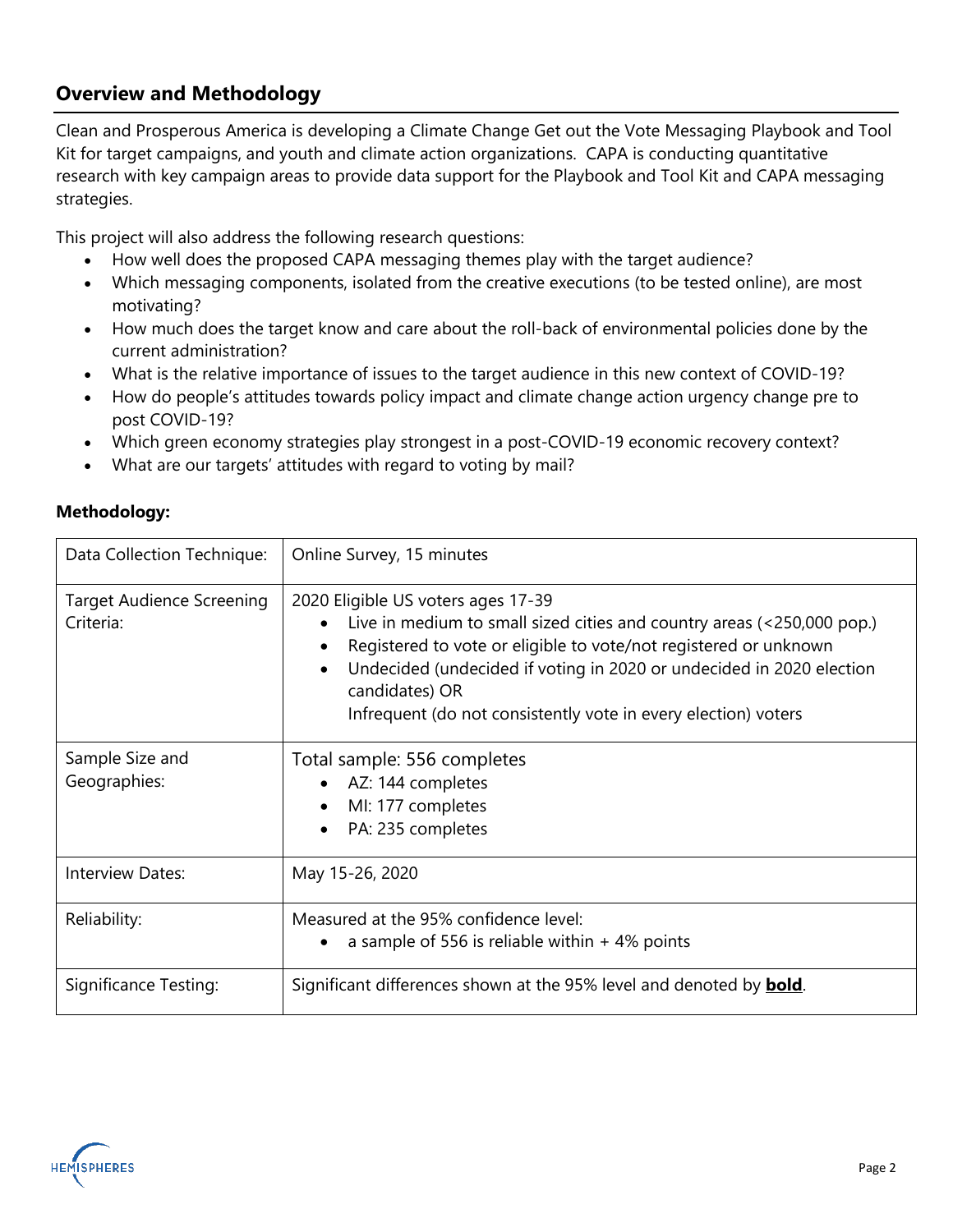### **Overview and Methodology**

Clean and Prosperous America is developing a Climate Change Get out the Vote Messaging Playbook and Tool Kit for target campaigns, and youth and climate action organizations. CAPA is conducting quantitative research with key campaign areas to provide data support for the Playbook and Tool Kit and CAPA messaging strategies.

This project will also address the following research questions:

- How well does the proposed CAPA messaging themes play with the target audience?
- Which messaging components, isolated from the creative executions (to be tested online), are most motivating?
- How much does the target know and care about the roll-back of environmental policies done by the current administration?
- What is the relative importance of issues to the target audience in this new context of COVID-19?
- How do people's attitudes towards policy impact and climate change action urgency change pre to post COVID-19?
- Which green economy strategies play strongest in a post-COVID-19 economic recovery context?
- What are our targets' attitudes with regard to voting by mail?

| Data Collection Technique:                    | Online Survey, 15 minutes                                                                                                                                                                                                                                                                                                                    |
|-----------------------------------------------|----------------------------------------------------------------------------------------------------------------------------------------------------------------------------------------------------------------------------------------------------------------------------------------------------------------------------------------------|
| <b>Target Audience Screening</b><br>Criteria: | 2020 Eligible US voters ages 17-39<br>Live in medium to small sized cities and country areas (<250,000 pop.)<br>Registered to vote or eligible to vote/not registered or unknown<br>Undecided (undecided if voting in 2020 or undecided in 2020 election<br>candidates) OR<br>Infrequent (do not consistently vote in every election) voters |
| Sample Size and<br>Geographies:               | Total sample: 556 completes<br>• AZ: 144 completes<br>MI: 177 completes<br>PA: 235 completes                                                                                                                                                                                                                                                 |
| Interview Dates:                              | May 15-26, 2020                                                                                                                                                                                                                                                                                                                              |
| Reliability:                                  | Measured at the 95% confidence level:<br>a sample of 556 is reliable within $+4\%$ points                                                                                                                                                                                                                                                    |
| Significance Testing:                         | Significant differences shown at the 95% level and denoted by <b>bold</b> .                                                                                                                                                                                                                                                                  |

### **Methodology:**

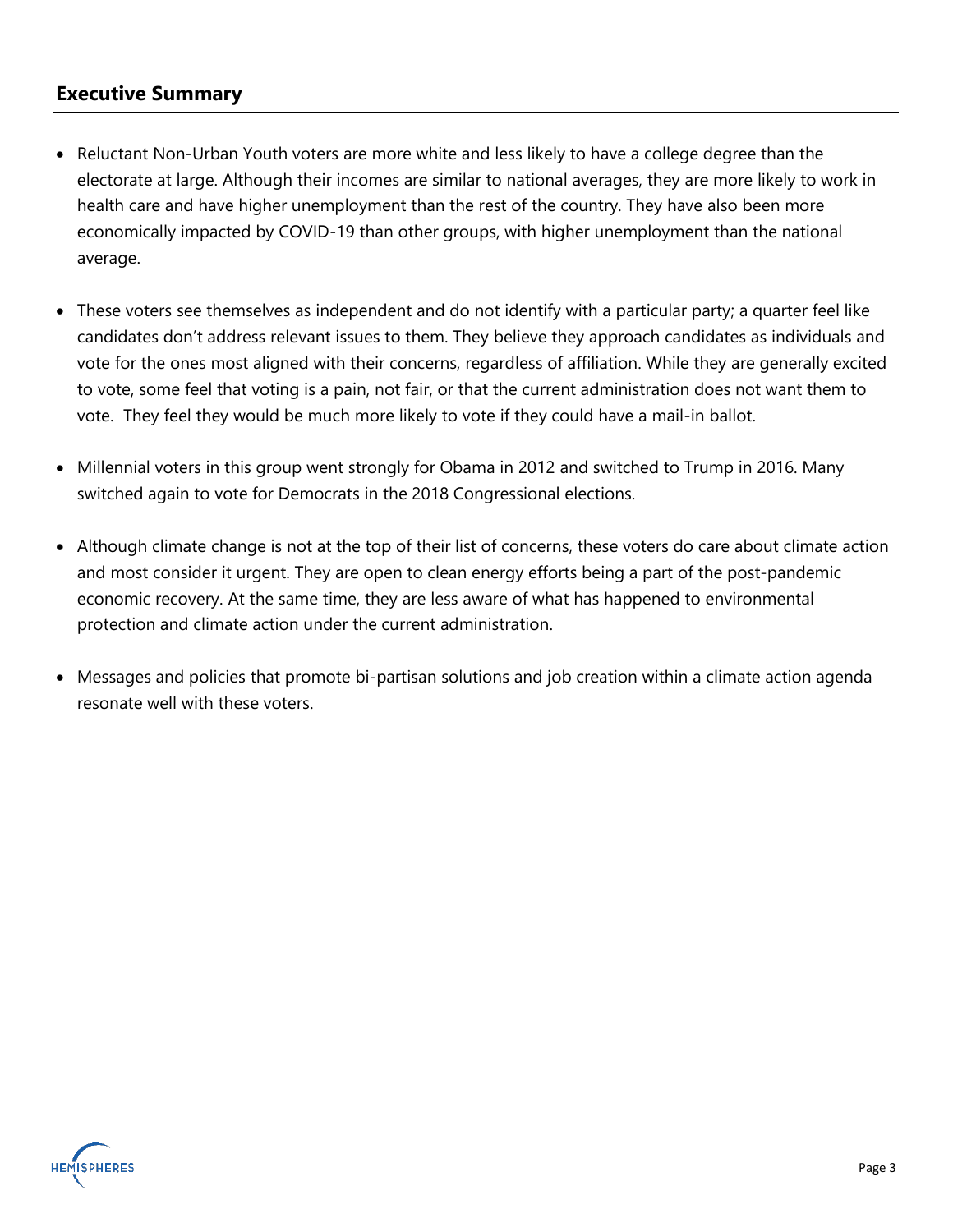### **Executive Summary**

- Reluctant Non-Urban Youth voters are more white and less likely to have a college degree than the electorate at large. Although their incomes are similar to national averages, they are more likely to work in health care and have higher unemployment than the rest of the country. They have also been more economically impacted by COVID-19 than other groups, with higher unemployment than the national average.
- These voters see themselves as independent and do not identify with a particular party; a quarter feel like candidates don't address relevant issues to them. They believe they approach candidates as individuals and vote for the ones most aligned with their concerns, regardless of affiliation. While they are generally excited to vote, some feel that voting is a pain, not fair, or that the current administration does not want them to vote. They feel they would be much more likely to vote if they could have a mail-in ballot.
- Millennial voters in this group went strongly for Obama in 2012 and switched to Trump in 2016. Many switched again to vote for Democrats in the 2018 Congressional elections.
- Although climate change is not at the top of their list of concerns, these voters do care about climate action and most consider it urgent. They are open to clean energy efforts being a part of the post-pandemic economic recovery. At the same time, they are less aware of what has happened to environmental protection and climate action under the current administration.
- Messages and policies that promote bi-partisan solutions and job creation within a climate action agenda resonate well with these voters.

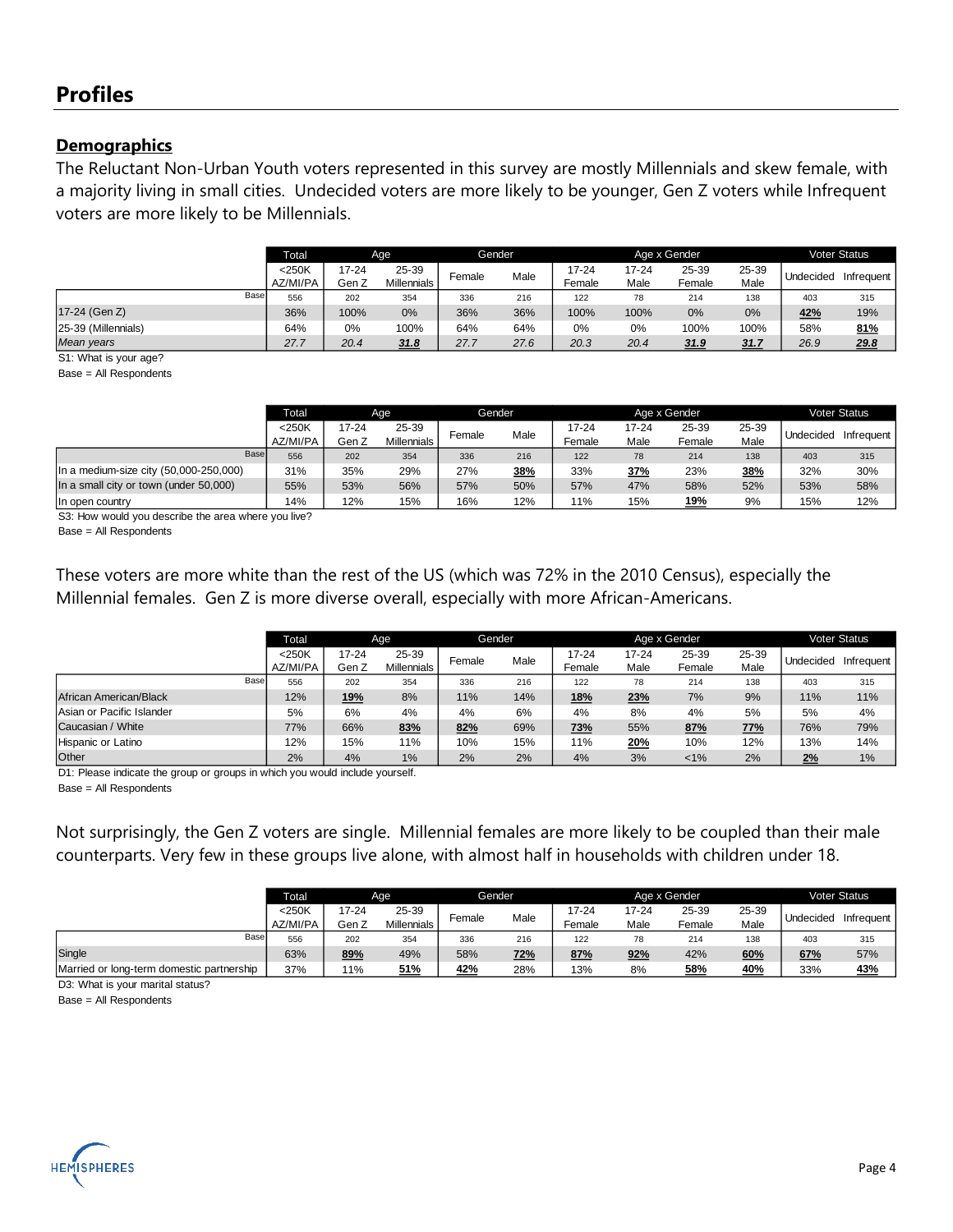### **Profiles**

### **Demographics**

The Reluctant Non-Urban Youth voters represented in this survey are mostly Millennials and skew female, with a majority living in small cities. Undecided voters are more likely to be younger, Gen Z voters while Infrequent voters are more likely to be Millennials.

|                     |      | Total                | Age            |                             | Gender |      |                 |               | Age x Gender    |               |           | <b>Voter Status</b> |
|---------------------|------|----------------------|----------------|-----------------------------|--------|------|-----------------|---------------|-----------------|---------------|-----------|---------------------|
|                     |      | $<$ 250K<br>AZ/MI/PA | 17-24<br>Gen Z | 25-39<br><b>Millennials</b> | Female | Male | 17-24<br>Female | 17-24<br>Male | 25-39<br>Female | 25-39<br>Male | Undecided | Infrequent          |
|                     | Base |                      |                |                             |        |      |                 |               |                 |               |           |                     |
|                     |      | 556                  | 202            | 354                         | 336    | 216  | 122             | 78            | 214             | 138           | 403       | 315                 |
| 17-24 (Gen Z)       |      | 36%                  | 100%           | 0%                          | 36%    | 36%  | 100%            | 100%          | 0%              | 0%            | 42%       | 19%                 |
| 25-39 (Millennials) |      | 64%                  | 0%             | 100%                        | 64%    | 64%  | 0%              | 0%            | 100%            | 100%          | 58%       | 81%                 |
| Mean vears          |      | 27.7                 | 20.4<br>31.8   |                             | 27.7   | 27.6 | 20.3            | 20.4          | 31.9            | 31.7          | 26.9      | 29.8                |

S1: What is your age?

Base = All Respondents

|                                          | <b>Total</b>         | Age                                           |     |        | Gender |                 |                   | Age x Gender    |               |           | <b>Voter Status</b> |
|------------------------------------------|----------------------|-----------------------------------------------|-----|--------|--------|-----------------|-------------------|-----------------|---------------|-----------|---------------------|
|                                          | $<$ 250K<br>AZ/MI/PA | 25-39<br>17-24<br>Gen Z<br><b>Millennials</b> |     | Female | Male   | 17-24<br>Female | $17 - 24$<br>Male | 25-39<br>Female | 25-39<br>Male | Undecided | Infrequent          |
| Base                                     | 556                  | 202<br>354                                    |     | 336    | 216    | 122             | 78                | 214             | 138           | 403       | 315                 |
| In a medium-size city $(50,000-250,000)$ | 31%                  | 35%                                           | 29% | 27%    | 38%    | 33%             | 37%               | 23%             | 38%           | 32%       | 30%                 |
| In a small city or town (under 50,000)   | 55%                  | 53%                                           | 56% | 57%    | 50%    | 57%             | 47%               | 58%             | 52%           | 53%       | 58%                 |
| In open country                          | 14%                  | 12%                                           | 15% | 16%    | 12%    | 11%             | 15%               | <u> 19%</u>     | 9%            | 15%       | 12%                 |

S3: How would you describe the area where you live?

Base = All Respondents

These voters are more white than the rest of the US (which was 72% in the 2010 Census), especially the Millennial females. Gen Z is more diverse overall, especially with more African-Americans.

|                           | <b>Total</b>         | Age            |                             |        | Gender |                 |                   | Age x Gender    |               |           | <b>Voter Status</b> |
|---------------------------|----------------------|----------------|-----------------------------|--------|--------|-----------------|-------------------|-----------------|---------------|-----------|---------------------|
|                           | $<$ 250K<br>AZ/MI/PA | 17-24<br>Gen Z | 25-39<br><b>Millennials</b> | Female | Male   | 17-24<br>Female | $17 - 24$<br>Male | 25-39<br>Female | 25-39<br>Male | Undecided | Infrequent          |
| Base                      | 556                  | 202            | 354                         | 336    | 216    | 122             | 78                | 214             | 138           | 403       | 315                 |
| African American/Black    | 12%                  | <u>19%</u>     | 8%                          | 11%    | 14%    | 18%             | 23%               | 7%              | 9%            | 11%       | 11%                 |
| Asian or Pacific Islander | 5%                   | 6%             | 4%                          | 4%     | 6%     | 4%              | 8%                | 4%              | 5%            | 5%        | 4%                  |
| Caucasian / White         | 77%                  | 66%            | 83%                         | 82%    | 69%    | <u>73%</u>      | 55%               | 87%             | 77%           | 76%       | 79%                 |
| Hispanic or Latino        | 12%                  | 11%<br>15%     |                             | 10%    | 15%    | 11%             | <u>20%</u>        | 10%             | 12%           | 13%       | 14%                 |
| Other                     | 2%                   | 4%             | 1%                          | 2%     | 2%     | 4%              | 3%                | $1\%$           | 2%            | 2%        | 1%                  |

D1: Please indicate the group or groups in which you would include yourself. Base = All Respondents

Not surprisingly, the Gen Z voters are single. Millennial females are more likely to be coupled than their male counterparts. Very few in these groups live alone, with almost half in households with children under 18.

|                                           | <b>Total</b> | Age   |             |        | Gender     |        |           | Age x Gender |       |           | Voter Status |
|-------------------------------------------|--------------|-------|-------------|--------|------------|--------|-----------|--------------|-------|-----------|--------------|
|                                           | $<$ 250K     | 17-24 | 25-39       | Female | Male       | 17-24  | $17 - 24$ | 25-39        | 25-39 | Undecided | Infrequent   |
|                                           | AZ/MI/PA     | Gen Z | Millennials |        |            | Female | Male      | Female       | Male  |           |              |
| Base                                      | 556          | 202   | 354         |        | 336<br>216 |        | 78        | 214          | 138   | 403       | 315          |
| Single                                    | 89%<br>63%   |       | 49%         | 58%    | <u>72%</u> | 87%    | 92%       | 42%          | 60%   | 67%       | 57%          |
| Married or long-term domestic partnership | 37%          | 11%   | 51%         | 42%    | 28%        | 13%    | 8%        | 58%          | 40%   | 33%       | <u>43%</u>   |
| _ _ _ _ _                                 |              |       |             |        |            |        |           |              |       |           |              |

D3: What is your marital status?

Base = All Respondents

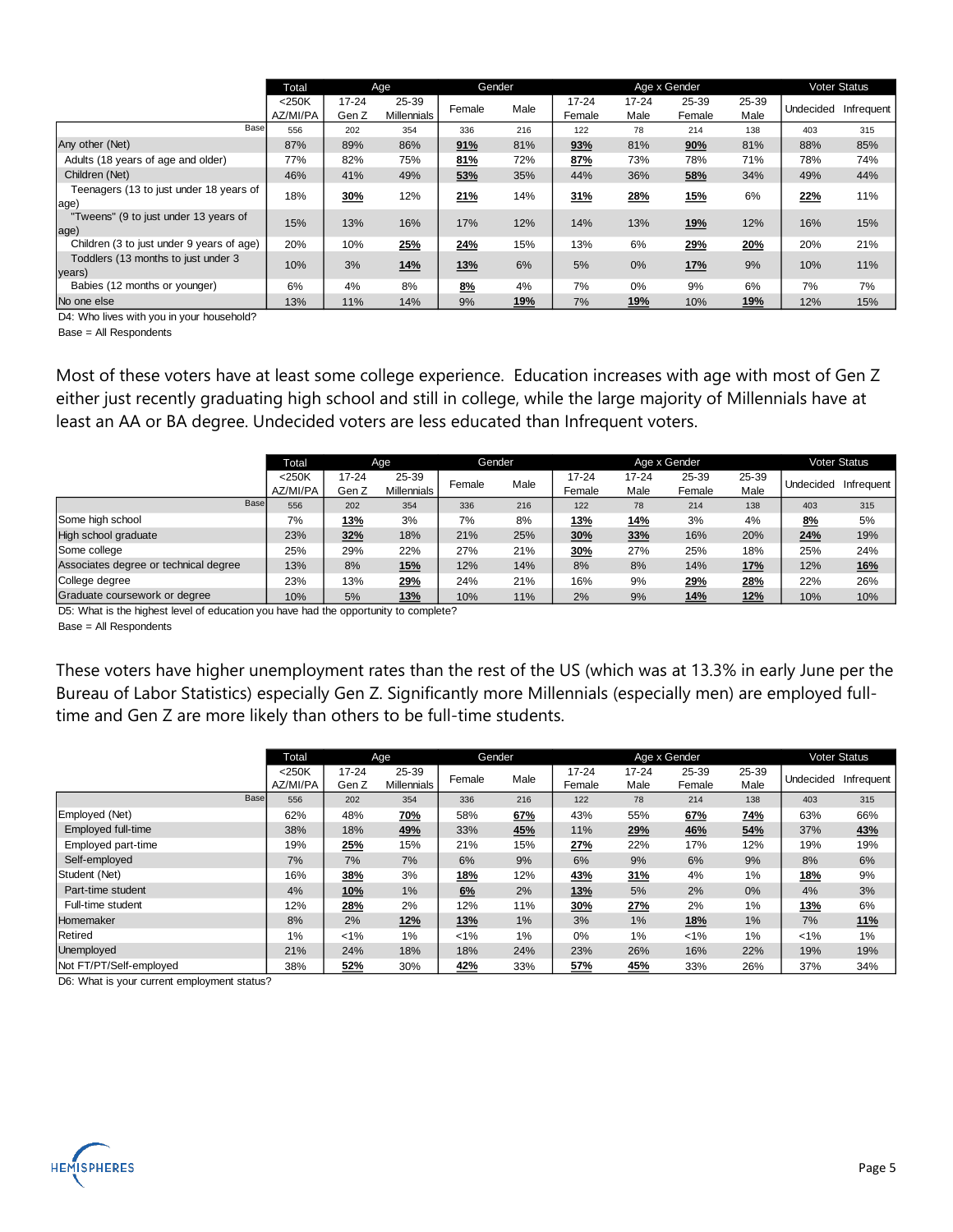|                                                 | Total<br>Age         |                    |                             |            | <b>Gender</b> |                     |                   | Age x Gender    |               |           | <b>Voter Status</b> |
|-------------------------------------------------|----------------------|--------------------|-----------------------------|------------|---------------|---------------------|-------------------|-----------------|---------------|-----------|---------------------|
|                                                 | $<$ 250K<br>AZ/MI/PA | $17 - 24$<br>Gen Z | 25-39<br><b>Millennials</b> | Female     | Male          | $17 - 24$<br>Female | $17 - 24$<br>Male | 25-39<br>Female | 25-39<br>Male | Undecided | Infrequent          |
| Base                                            | 556                  | 202                | 354                         | 336        | 216           | 122                 | 78                | 214             | 138           | 403       | 315                 |
| Any other (Net)                                 | 87%                  | 89%                | 86%                         | 91%        | 81%           | 93%                 | 81%               | 90%             | 81%           | 88%       | 85%                 |
| Adults (18 years of age and older)              | 77%                  | 82%                | 75%                         | 81%        | 72%           | 87%                 | 73%               | 78%             | 71%           | 78%       | 74%                 |
| Children (Net)                                  | 46%                  | 41%                | 49%                         | 53%        | 35%           | 44%                 | 36%               | 58%             | 34%           | 49%       | 44%                 |
| Teenagers (13 to just under 18 years of<br>age) | 18%                  | 30%                | 12%                         | 21%        | 14%           | 31%                 | 28%               | 15%             | 6%            | 22%       | 11%                 |
| "Tweens" (9 to just under 13 years of<br>age)   | 15%                  | 13%                | 16%                         | 17%        | 12%           | 14%                 | 13%               | 19%             | 12%           | 16%       | 15%                 |
| Children (3 to just under 9 years of age)       | 20%                  | 10%                | 25%                         | 24%        | 15%           | 13%                 | 6%                | 29%             | 20%           | 20%       | 21%                 |
| Toddlers (13 months to just under 3<br>years)   | 10%                  | 3%                 | 14%                         | <b>13%</b> | 6%            | 5%                  | 0%                | 17%             | 9%            | 10%       | 11%                 |
| Babies (12 months or younger)                   | 6%                   | 4%                 | 8%                          | 8%         | 4%            | 7%                  | 0%                | 9%              | 6%            | 7%        | 7%                  |
| No one else                                     | 13%                  | 11%                | 14%                         | 9%         | 19%           | 7%                  | 19%               | 10%             | 19%           | 12%       | 15%                 |

D4: Who lives with you in your household?

Base = All Respondents

Most of these voters have at least some college experience. Education increases with age with most of Gen Z either just recently graduating high school and still in college, while the large majority of Millennials have at least an AA or BA degree. Undecided voters are less educated than Infrequent voters.

|                                       | <b>Total</b>         | Age                |                             | Gender |      |                 |                   | Age x Gender    |               |           | <b>Voter Status</b> |
|---------------------------------------|----------------------|--------------------|-----------------------------|--------|------|-----------------|-------------------|-----------------|---------------|-----------|---------------------|
|                                       | $<$ 250K<br>AZ/MI/PA | $17 - 24$<br>Gen Z | 25-39<br><b>Millennials</b> | Female | Male | 17-24<br>Female | $17 - 24$<br>Male | 25-39<br>Female | 25-39<br>Male | Undecided | Infrequent          |
| Base                                  | 556                  | 202                | 354                         | 336    | 216  | 122             | 78                | 214             | 138           | 403       | 315                 |
| Some high school                      | 7%                   | 13%                | 3%                          | 7%     | 8%   | 13%             | <u>14%</u>        | 3%              | 4%            | 8%        | 5%                  |
| High school graduate                  | 23%                  | 32%                | 18%                         | 21%    | 25%  | 30%             | 33%               | 16%             | 20%           | 24%       | 19%                 |
| Some college                          | 25%                  | 29%                | 22%                         | 27%    | 21%  | 30%             | 27%               | 25%             | 18%           | 25%       | 24%                 |
| Associates degree or technical degree | 13%                  | 8%                 | 15%                         | 12%    | 14%  | 8%              | 8%                | 14%             | <b>17%</b>    | 12%       | <b>16%</b>          |
| College degree                        | 23%                  | 13%                | 29%                         | 24%    | 21%  | 16%             | 9%                | 29%             | 28%           | 22%       | 26%                 |
| Graduate coursework or degree         | 10%                  | 5%                 | 13%                         | 10%    | 11%  | 2%              | 9%                | 14%             | 12%           | 10%       | 10%                 |

D5: What is the highest level of education you have had the opportunity to complete?

Base = All Respondents

These voters have higher unemployment rates than the rest of the US (which was at 13.3% in early June per the Bureau of Labor Statistics) especially Gen Z. Significantly more Millennials (especially men) are employed fulltime and Gen Z are more likely than others to be full-time students.

|                           | Total                | Age                |                             |            | <b>Gender</b> |                     |                   | Age x Gender    |               |            | <b>Voter Status</b> |
|---------------------------|----------------------|--------------------|-----------------------------|------------|---------------|---------------------|-------------------|-----------------|---------------|------------|---------------------|
|                           | $<$ 250K<br>AZ/MI/PA | $17 - 24$<br>Gen Z | 25-39<br><b>Millennials</b> | Female     | Male          | $17 - 24$<br>Female | $17 - 24$<br>Male | 25-39<br>Female | 25-39<br>Male | Undecided  | Infrequent          |
| Base                      | 556                  | 202                | 354                         | 336        | 216           | 122                 | 78                | 214             | 138           | 403        | 315                 |
| Employed (Net)            | 62%                  | 48%                | 70%                         | 58%        | 67%           | 43%                 | 55%               | 67%             | 74%           | 63%        | 66%                 |
| <b>Employed full-time</b> | 38%                  | 18%                | 49%                         | 33%        | 45%           | 11%                 | 29%               | 46%             | 54%           | 37%        | <u>43%</u>          |
| Employed part-time        | 19%                  | 25%                | 15%                         | 21%        | 15%           | 27%                 | 22%               | 17%             | 12%           | 19%        | 19%                 |
| Self-employed             | 7%                   | 7%                 | 7%                          | 6%         | 9%            | 6%                  | 9%                | 6%              | 9%            | 8%         | 6%                  |
| Student (Net)             | 16%                  | 38%                | 3%                          | <u>18%</u> | 12%           | 43%                 | 31%               | 4%              | 1%            | <u>18%</u> | 9%                  |
| Part-time student         | 4%                   | <u>10%</u>         | 1%                          | 6%         | 2%            | <u>13%</u>          | 5%                | 2%              | 0%            | 4%         | 3%                  |
| Full-time student         | 12%                  | 28%                | 2%                          | 12%        | 11%           | 30%                 | <u> 27%</u>       | 2%              | 1%            | <u>13%</u> | 6%                  |
| Homemaker                 | 8%                   | 2%                 | <u>12%</u>                  | <u>13%</u> | 1%            | 3%                  | 1%                | <u>18%</u>      | 1%            | 7%         | <u>11%</u>          |
| Retired                   | 1%                   | $1\%$              | 1%                          | $1\%$      | 1%            | 0%                  | 1%                | $1\%$           | 1%            | $1\%$      | 1%                  |
| Unemployed                | 21%                  | 24%                | 18%                         | 18%        | 24%           | 23%                 | 26%               | 16%             | 22%           | 19%        | 19%                 |
| Not FT/PT/Self-employed   | 38%                  | 52%                | 30%                         | 42%        | 33%           | 57%                 | <u>45%</u>        | 33%             | 26%           | 37%        | 34%                 |

D6: What is your current employment status?

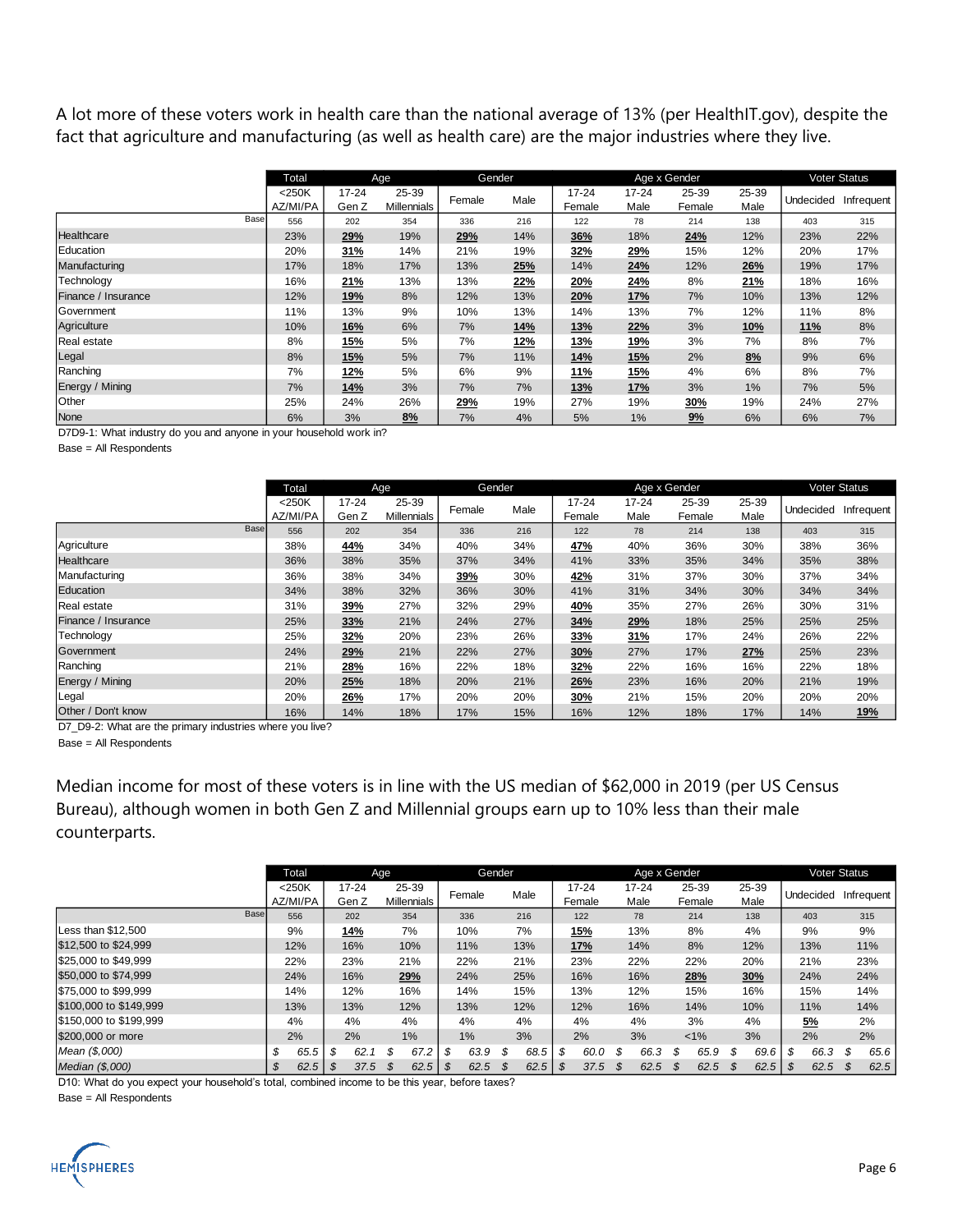A lot more of these voters work in health care than the national average of 13% (per HealthIT.gov), despite the fact that agriculture and manufacturing (as well as health care) are the major industries where they live.

|                     | Total                | Age                |                             | Gender     |            |                     |                   | Age x Gender    |               |            | Voter Status |
|---------------------|----------------------|--------------------|-----------------------------|------------|------------|---------------------|-------------------|-----------------|---------------|------------|--------------|
|                     | $<$ 250K<br>AZ/MI/PA | $17 - 24$<br>Gen Z | 25-39<br><b>Millennials</b> | Female     | Male       | $17 - 24$<br>Female | $17 - 24$<br>Male | 25-39<br>Female | 25-39<br>Male | Undecided  | Infrequent   |
| Base                | 556                  | 202                | 354                         | 336        | 216        | 122                 | 78                | 214             | 138           | 403        | 315          |
| Healthcare          | 23%                  | 29%                | 19%                         | 29%        | 14%        | 36%                 | 18%               | 24%             | 12%           | 23%        | 22%          |
| Education           | 20%                  | 31%                | 14%                         | 21%        | 19%        | 32%                 | <u>29%</u>        | 15%             | 12%           | 20%        | 17%          |
| Manufacturing       | 17%                  | 18%                | 17%                         | 13%        | 25%        | 14%                 | 24%               | 12%             | 26%           | 19%        | 17%          |
| Technology          | 16%                  | <u> 21%</u>        | 13%                         | 13%        | <u>22%</u> | 20%                 | <u>24%</u>        | 8%              | <u>21%</u>    | 18%        | 16%          |
| Finance / Insurance | 12%                  | <u>19%</u>         | 8%                          | 12%        | 13%        | 20%                 | <u>17%</u>        | 7%              | 10%           | 13%        | 12%          |
| Government          | 11%                  | 13%                | 9%                          | 10%        | 13%        | 14%                 | 13%               | 7%              | 12%           | 11%        | 8%           |
| Agriculture         | 10%                  | 16%                | 6%                          | 7%         | 14%        | <b>13%</b>          | 22%               | 3%              | <b>10%</b>    | <b>11%</b> | 8%           |
| Real estate         | 8%                   | <b>15%</b>         | 5%                          | 7%         | <b>12%</b> | <b>13%</b>          | <u>19%</u>        | 3%              | 7%            | 8%         | 7%           |
| Legal               | 8%                   | <b>15%</b>         | 5%                          | 7%         | 11%        | <u>14%</u>          | <u>15%</u>        | 2%              | 8%            | 9%         | 6%           |
| Ranching            | 7%                   | <u>12%</u>         | 5%                          | 6%         | 9%         | <u>11%</u>          | <u>15%</u>        | 4%              | 6%            | 8%         | 7%           |
| Energy / Mining     | 7%                   | 14%                | 3%                          | 7%         | 7%         | 13%                 | <u>17%</u>        | 3%              | 1%            | 7%         | 5%           |
| Other               | 25%                  | 24%                | 26%                         | <u>29%</u> | 19%        | 27%                 | 19%               | 30%             | 19%           | 24%        | 27%          |
| None                | 6%                   | 3%                 | 8%                          | 7%         | 4%         | 5%                  | 1%                | 9%              | 6%            | 6%         | 7%           |

D7D9-1: What industry do you and anyone in your household work in?

Base = All Respondents

|                     | Age<br>Total         |                    |                             |        | Gender |                     |                   | Age x Gender    |               |           | <b>Voter Status</b> |
|---------------------|----------------------|--------------------|-----------------------------|--------|--------|---------------------|-------------------|-----------------|---------------|-----------|---------------------|
|                     | $<$ 250K<br>AZ/MI/PA | $17 - 24$<br>Gen Z | 25-39<br><b>Millennials</b> | Female | Male   | $17 - 24$<br>Female | $17 - 24$<br>Male | 25-39<br>Female | 25-39<br>Male | Undecided | Infrequent          |
| Base                | 556                  | 202                | 354                         | 336    | 216    | 122                 | 78                | 214             | 138           | 403       | 315                 |
| Agriculture         | 38%                  | <u>44%</u>         | 34%                         | 40%    | 34%    | <u>47%</u>          | 40%               | 36%             | 30%           | 38%       | 36%                 |
| Healthcare          | 36%                  | 38%                | 35%                         | 37%    | 34%    | 41%                 | 33%               | 35%             | 34%           | 35%       | 38%                 |
| Manufacturing       | 36%                  | 38%                | 34%                         | 39%    | 30%    | 42%                 | 31%               | 37%             | 30%           | 37%       | 34%                 |
| Education           | 34%                  | 38%                | 32%                         | 36%    | 30%    | 41%                 | 31%               | 34%             | 30%           | 34%       | 34%                 |
| Real estate         | 31%                  | <u>39%</u>         | 27%                         | 32%    | 29%    | <u>40%</u>          | 35%               | 27%             | 26%           | 30%       | 31%                 |
| Finance / Insurance | 25%                  | 33%                | 21%                         | 24%    | 27%    | 34%                 | 29%               | 18%             | 25%           | 25%       | 25%                 |
| Technology          | 25%                  | 32%                | 20%                         | 23%    | 26%    | 33%                 | 31%               | 17%             | 24%           | 26%       | 22%                 |
| Government          | 24%                  | 29%                | 21%                         | 22%    | 27%    | 30%                 | 27%               | 17%             | 27%           | 25%       | 23%                 |
| Ranching            | 21%                  | 28%                | 16%                         | 22%    | 18%    | 32%                 | 22%               | 16%             | 16%           | 22%       | 18%                 |
| Energy / Mining     | 20%                  | 25%                | 18%                         | 20%    | 21%    | 26%                 | 23%               | 16%             | 20%           | 21%       | 19%                 |
| Legal               | 20%                  | <u>26%</u>         | 17%                         | 20%    | 20%    | 30%                 | 21%               | 15%             | 20%           | 20%       | 20%                 |
| Other / Don't know  | 16%                  | 14%                | 18%                         | 17%    | 15%    | 16%                 | 12%               | 18%             | 17%           | 14%       | <u>19%</u>          |

D7\_D9-2: What are the primary industries where you live?

Base = All Respondents

Median income for most of these voters is in line with the US median of \$62,000 in 2019 (per US Census Bureau), although women in both Gen Z and Millennial groups earn up to 10% less than their male counterparts.

|                        |    | Age<br>Total         |    |                    | <b>Gender</b> |                             |    | Age x Gender |            |                     |                   |                 | Voter Status |               |    |           |            |
|------------------------|----|----------------------|----|--------------------|---------------|-----------------------------|----|--------------|------------|---------------------|-------------------|-----------------|--------------|---------------|----|-----------|------------|
|                        |    | $<$ 250K<br>AZ/MI/PA |    | $17 - 24$<br>Gen Z |               | 25-39<br><b>Millennials</b> |    | Female       | Male       | $17 - 24$<br>Female | $17 - 24$<br>Male | 25-39<br>Female |              | 25-39<br>Male |    | Undecided | Infrequent |
| Base                   |    | 556                  |    | 202                |               | 354                         |    | 336          | 216        | 122                 | 78                | 214             |              | 138           |    | 403       | 315        |
| Less than \$12,500     |    | 9%                   |    | <b>14%</b>         |               | 7%                          |    | 10%          | 7%         | <b>15%</b>          | 13%               | 8%              |              | 4%            |    | 9%        | 9%         |
| \$12,500 to \$24,999   |    | 12%                  |    | 16%                |               | 10%                         |    | 11%          | 13%        | 17%                 | 14%               | 8%              |              | 12%           |    | 13%       | 11%        |
| \$25,000 to \$49.999   |    | 22%                  |    | 23%                |               | 21%                         |    | 22%          | 21%        | 23%                 | 22%               | 22%             |              | 20%           |    | 21%       | 23%        |
| \$50,000 to \$74,999   |    | 24%                  |    | 16%                |               | 29%                         |    | 24%          | 25%        | 16%                 | 16%               | 28%             |              | 30%           |    | 24%       | 24%        |
| \$75,000 to \$99.999   |    | 14%                  |    | 12%                |               | 16%                         |    | 14%          | 15%        | 13%                 | 12%               | 15%             |              | 16%           |    | 15%       | 14%        |
| \$100,000 to \$149.999 |    | 13%                  |    | 13%                |               | 12%                         |    | 13%          | 12%        | 12%                 | 16%               | 14%             |              | 10%           |    | 11%       | 14%        |
| \$150,000 to \$199.999 |    | 4%                   |    | 4%                 |               | 4%                          |    | 4%           | 4%         | 4%                  | 4%                | 3%              |              | 4%            |    | <u>5%</u> | 2%         |
| \$200,000 or more      |    | 2%                   |    | 2%                 |               | 1%                          |    | 1%           | 3%         | 2%                  | 3%                | $1\%$           |              | 3%            |    | 2%        | 2%         |
| Mean (\$,000)          | \$ | 65.5                 | \$ | 62.1               | \$            | 67.2                        | \$ | 63.9         | \$<br>68.5 | \$<br>60.0          | \$<br>66.3        | \$<br>65.9      | \$           | 69.6          | \$ | 66.3      | \$<br>65.6 |
| Median (\$,000)        | S  |                      |    | 37.5               |               | 62.5                        | S. | 62.5         | \$<br>62.5 | \$<br>37.5          | \$<br>62.5        | \$<br>62.5      | \$.          | 62.5          | S. | 62.5      | \$<br>62.5 |

D10: What do you expect your household's total, combined income to be this year, before taxes?

Base = All Respondents

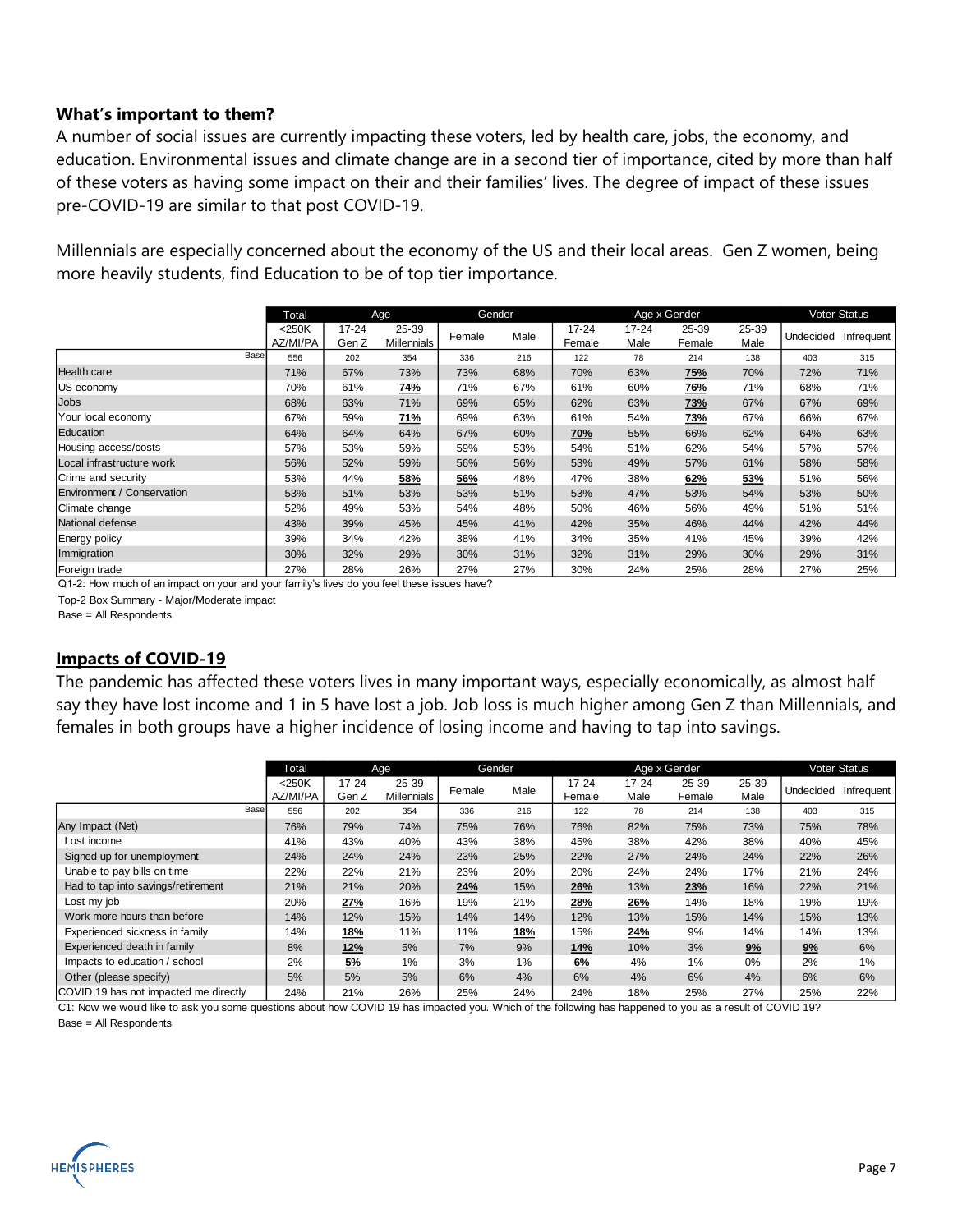#### **What's important to them?**

A number of social issues are currently impacting these voters, led by health care, jobs, the economy, and education. Environmental issues and climate change are in a second tier of importance, cited by more than half of these voters as having some impact on their and their families' lives. The degree of impact of these issues pre-COVID-19 are similar to that post COVID-19.

Millennials are especially concerned about the economy of the US and their local areas. Gen Z women, being more heavily students, find Education to be of top tier importance.

|                            | Total    |           | Age         | Gender |      |        |           | Age x Gender |       |           | Voter Status |
|----------------------------|----------|-----------|-------------|--------|------|--------|-----------|--------------|-------|-----------|--------------|
|                            | <250K    | $17 - 24$ | 25-39       |        |      | 17-24  | $17 - 24$ | 25-39        | 25-39 |           |              |
|                            | AZ/MI/PA | Gen Z     | Millennials | Female | Male | Female | Male      | Female       | Male  | Undecided | Infrequent   |
| Base                       | 556      | 202       | 354         | 336    | 216  | 122    | 78        | 214          | 138   | 403       | 315          |
| <b>Health care</b>         | 71%      | 67%       | 73%         | 73%    | 68%  | 70%    | 63%       | <b>75%</b>   | 70%   | 72%       | 71%          |
| US economy                 | 70%      | 61%       | <u>74%</u>  | 71%    | 67%  | 61%    | 60%       | <u>76%</u>   | 71%   | 68%       | 71%          |
| Jobs                       | 68%      | 63%       | 71%         | 69%    | 65%  | 62%    | 63%       | 73%          | 67%   | 67%       | 69%          |
| Your local economy         | 67%      | 59%       | <u>71%</u>  | 69%    | 63%  | 61%    | 54%       | <u>73%</u>   | 67%   | 66%       | 67%          |
| Education                  | 64%      | 64%       | 64%         | 67%    | 60%  | 70%    | 55%       | 66%          | 62%   | 64%       | 63%          |
| Housing access/costs       | 57%      | 53%       | 59%         | 59%    | 53%  | 54%    | 51%       | 62%          | 54%   | 57%       | 57%          |
| Local infrastructure work  | 56%      | 52%       | 59%         | 56%    | 56%  | 53%    | 49%       | 57%          | 61%   | 58%       | 58%          |
| Crime and security         | 53%      | 44%       | 58%         | 56%    | 48%  | 47%    | 38%       | 62%          | 53%   | 51%       | 56%          |
| Environment / Conservation | 53%      | 51%       | 53%         | 53%    | 51%  | 53%    | 47%       | 53%          | 54%   | 53%       | 50%          |
| Climate change             | 52%      | 49%       | 53%         | 54%    | 48%  | 50%    | 46%       | 56%          | 49%   | 51%       | 51%          |
| National defense           | 43%      | 39%       | 45%         | 45%    | 41%  | 42%    | 35%       | 46%          | 44%   | 42%       | 44%          |
| <b>Energy policy</b>       | 39%      | 34%       | 42%         | 38%    | 41%  | 34%    | 35%       | 41%          | 45%   | 39%       | 42%          |
| Immigration                | 30%      | 32%       | 29%         | 30%    | 31%  | 32%    | 31%       | 29%          | 30%   | 29%       | 31%          |
| Foreign trade              | 27%      | 28%       | 26%         | 27%    | 27%  | 30%    | 24%       | 25%          | 28%   | 27%       | 25%          |

Q1-2: How much of an impact on your and your family's lives do you feel these issues have?

Top-2 Box Summary - Major/Moderate impact

Base = All Respondents

#### **Impacts of COVID-19**

The pandemic has affected these voters lives in many important ways, especially economically, as almost half say they have lost income and 1 in 5 have lost a job. Job loss is much higher among Gen Z than Millennials, and females in both groups have a higher incidence of losing income and having to tap into savings.

|                                       | Total                | Age                |                      |        | Gender |                     |                   | Age x Gender    |               |           | <b>Voter Status</b> |
|---------------------------------------|----------------------|--------------------|----------------------|--------|--------|---------------------|-------------------|-----------------|---------------|-----------|---------------------|
|                                       | $<$ 250K<br>AZ/MI/PA | $17 - 24$<br>Gen Z | 25-39<br>Millennials | Female | Male   | $17 - 24$<br>Female | $17 - 24$<br>Male | 25-39<br>Female | 25-39<br>Male | Undecided | Infrequent          |
| Base                                  | 556                  | 202                | 354                  | 336    | 216    | 122                 | 78                | 214             | 138           | 403       | 315                 |
| Any Impact (Net)                      | 76%                  | 79%                | 74%                  | 75%    | 76%    | 76%                 | 82%               | 75%             | 73%           | 75%       | 78%                 |
| Lost income                           | 41%                  | 43%                | 40%                  | 43%    | 38%    | 45%                 | 38%               | 42%             | 38%           | 40%       | 45%                 |
| Signed up for unemployment            | 24%                  | 24%                | 24%                  | 23%    | 25%    | 22%                 | 27%               | 24%             | 24%           | 22%       | 26%                 |
| Unable to pay bills on time           | 22%                  | 22%                | 21%                  | 23%    | 20%    | 20%                 | 24%               | 24%             | 17%           | 21%       | 24%                 |
| Had to tap into savings/retirement    | 21%                  | 21%                | 20%                  | 24%    | 15%    | 26%                 | 13%               | 23%             | 16%           | 22%       | 21%                 |
| Lost my job                           | 20%                  | 27%                | 16%                  | 19%    | 21%    | 28%                 | 26%               | 14%             | 18%           | 19%       | 19%                 |
| Work more hours than before           | 14%                  | 12%                | 15%                  | 14%    | 14%    | 12%                 | 13%               | 15%             | 14%           | 15%       | 13%                 |
| Experienced sickness in family        | 14%                  | 18%                | 11%                  | 11%    | 18%    | 15%                 | 24%               | 9%              | 14%           | 14%       | 13%                 |
| Experienced death in family           | 8%                   | 12%                | 5%                   | 7%     | 9%     | 14%                 | 10%               | 3%              | 9%            | 9%        | 6%                  |
| Impacts to education / school         | 2%                   | 5%                 | 1%                   | 3%     | 1%     | 6%                  | 4%                | 1%              | $0\%$         | 2%        | 1%                  |
| Other (please specify)                | 5%                   | 5%                 | 5%                   | 6%     | 4%     | 6%                  | 4%                | 6%              | 4%            | 6%        | 6%                  |
| COVID 19 has not impacted me directly | 24%                  | 21%                | 26%                  | 25%    | 24%    | 24%                 | 18%               | 25%             | 27%           | 25%       | 22%                 |

C1: Now we would like to ask you some questions about how COVID 19 has impacted you. Which of the following has happened to you as a result of COVID 19? Base = All Respondents

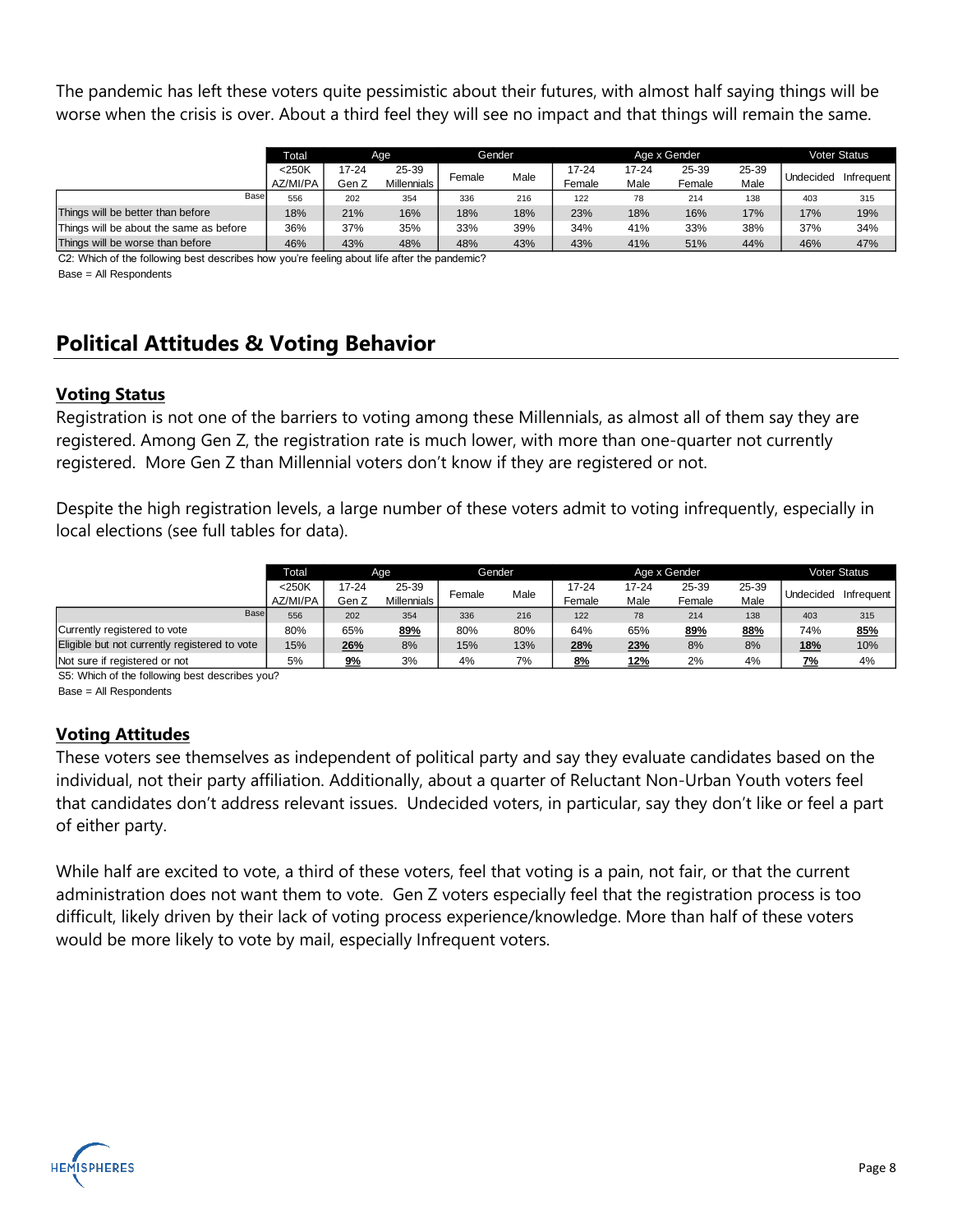The pandemic has left these voters quite pessimistic about their futures, with almost half saying things will be worse when the crisis is over. About a third feel they will see no impact and that things will remain the same.

|                                         | <b>Total</b>         | Age            |                      |        | Gender |                 |               | Age x Gender    |               |           | <b>Voter Status</b> |
|-----------------------------------------|----------------------|----------------|----------------------|--------|--------|-----------------|---------------|-----------------|---------------|-----------|---------------------|
|                                         | $<$ 250K<br>AZ/MI/PA | 17-24<br>Gen Z | 25-39<br>Millennials | Female | Male   | 17-24<br>Female | 17-24<br>Male | 25-39<br>Female | 25-39<br>Male | Undecided | Infrequent          |
| Base                                    | 556                  | 202            | 354                  | 336    | 216    | 122             | 78            | 214             | 138           | 403       | 315                 |
| Things will be better than before       | 18%                  | 21%            | 16%                  | 18%    | 18%    | 23%             | 18%           | 16%             | 17%           | 17%       | 19%                 |
| Things will be about the same as before | 36%                  | 37%            | 35%                  | 33%    | 39%    | 34%             | 41%           | 33%             | 38%           | 37%       | 34%                 |
| Things will be worse than before        | 46%                  | 43%            | 48%                  | 48%    | 43%    | 43%             | 41%           | 51%             | 44%           | 46%       | 47%                 |

C2: Which of the following best describes how you're feeling about life after the pandemic? Base = All Respondents

## **Political Attitudes & Voting Behavior**

### **Voting Status**

Registration is not one of the barriers to voting among these Millennials, as almost all of them say they are registered. Among Gen Z, the registration rate is much lower, with more than one-quarter not currently registered. More Gen Z than Millennial voters don't know if they are registered or not.

Despite the high registration levels, a large number of these voters admit to voting infrequently, especially in local elections (see full tables for data).

|                                               | Total                | Age                                    |     |        | Gender |                 |               | Age x Gender    |               |            | <b>Voter Status</b> |
|-----------------------------------------------|----------------------|----------------------------------------|-----|--------|--------|-----------------|---------------|-----------------|---------------|------------|---------------------|
|                                               | $<$ 250K<br>AZ/MI/PA | 17-24<br>25-39<br>Millennials<br>Gen Z |     | Female | Male   | 17-24<br>Female | 17-24<br>Male | 25-39<br>Female | 25-39<br>Male | Undecided  | Infrequent          |
| <b>Base</b>                                   | 556                  | 202                                    | 354 | 336    | 216    | 122             | 78            | 214             | 138           | 403        | 315                 |
| Currently registered to vote                  | 80%                  | 65%                                    | 89% | 80%    | 80%    | 64%             | 65%           | 89%             | 88%           | 74%        | 85%                 |
| Eligible but not currently registered to vote | 15%                  | 26%                                    | 8%  | 15%    | 13%    | 28%             | 23%           | 8%              | 8%            | <b>18%</b> | 10%                 |
| Not sure if registered or not                 | 5%                   | 9%                                     | 3%  | 4%     | 7%     | 8%              | 12%           | 2%              | 4%            | 7%         | 4%                  |

S5: Which of the following best describes you?

Base = All Respondents

### **Voting Attitudes**

These voters see themselves as independent of political party and say they evaluate candidates based on the individual, not their party affiliation. Additionally, about a quarter of Reluctant Non-Urban Youth voters feel that candidates don't address relevant issues. Undecided voters, in particular, say they don't like or feel a part of either party.

While half are excited to vote, a third of these voters, feel that voting is a pain, not fair, or that the current administration does not want them to vote. Gen Z voters especially feel that the registration process is too difficult, likely driven by their lack of voting process experience/knowledge. More than half of these voters would be more likely to vote by mail, especially Infrequent voters.

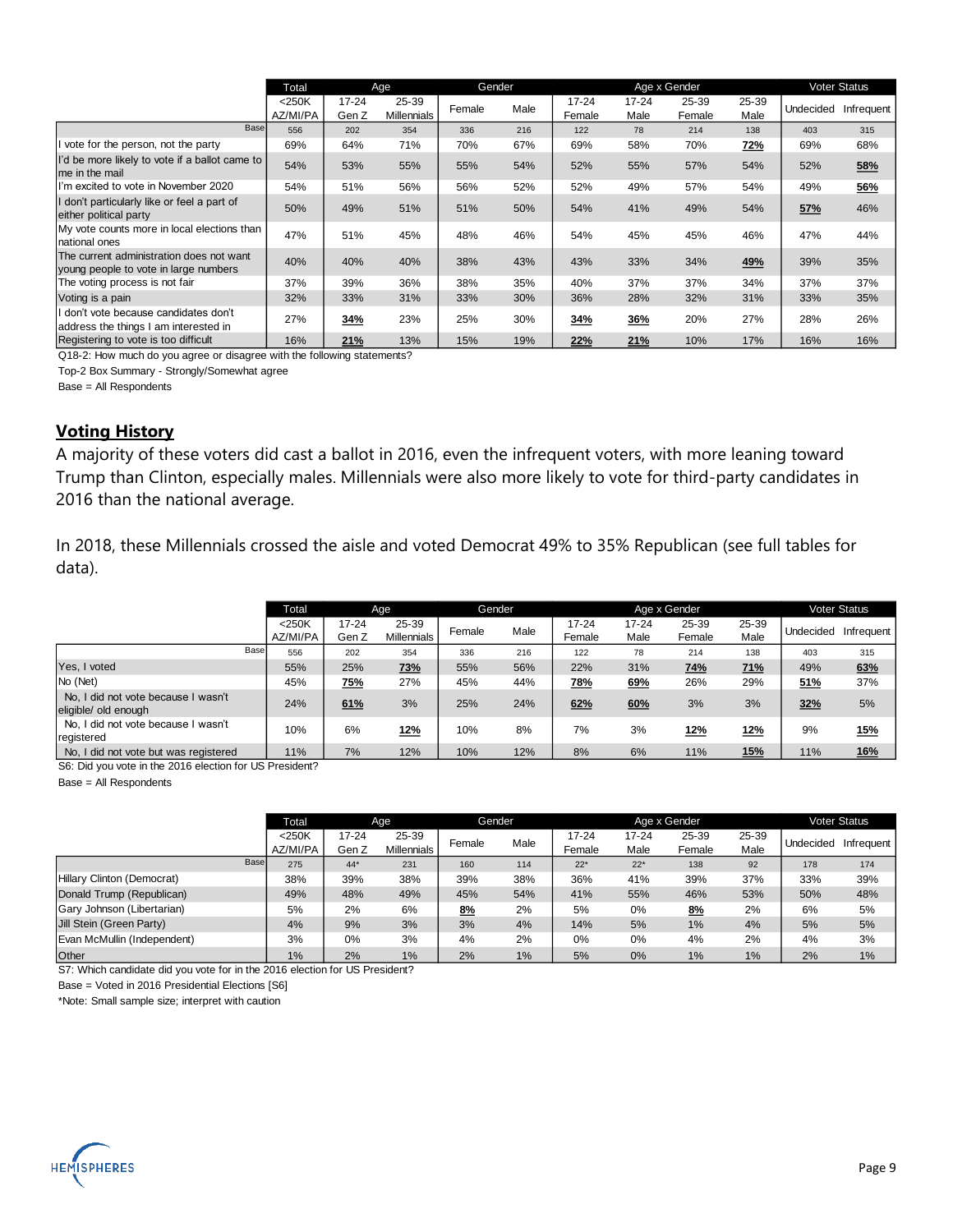|                                                                                   | Total                | Age                |                             |        | Gender |                     |                   | Age x Gender    |               |           | Voter Status |
|-----------------------------------------------------------------------------------|----------------------|--------------------|-----------------------------|--------|--------|---------------------|-------------------|-----------------|---------------|-----------|--------------|
|                                                                                   | $<$ 250K<br>AZ/MI/PA | $17 - 24$<br>Gen Z | 25-39<br><b>Millennials</b> | Female | Male   | $17 - 24$<br>Female | $17 - 24$<br>Male | 25-39<br>Female | 25-39<br>Male | Undecided | Infrequent   |
| Base                                                                              | 556                  | 202                | 354                         | 336    | 216    | 122                 | 78                | 214             | 138           | 403       | 315          |
| I vote for the person, not the party                                              | 69%                  | 64%                | 71%                         | 70%    | 67%    | 69%                 | 58%               | 70%             | <u>72%</u>    | 69%       | 68%          |
| I'd be more likely to vote if a ballot came to<br>me in the mail                  | 54%                  | 53%                | 55%                         | 55%    | 54%    | 52%                 | 55%               | 57%             | 54%           | 52%       | 58%          |
| I'm excited to vote in November 2020                                              | 54%                  | 51%                | 56%                         | 56%    | 52%    | 52%                 | 49%               | 57%             | 54%           | 49%       | 56%          |
| I don't particularly like or feel a part of<br>either political party             | 50%                  | 49%                | 51%                         | 51%    | 50%    | 54%                 | 41%               | 49%             | 54%           | 57%       | 46%          |
| My vote counts more in local elections than<br>national ones                      | 47%                  | 51%                | 45%                         | 48%    | 46%    | 54%                 | 45%               | 45%             | 46%           | 47%       | 44%          |
| The current administration does not want<br>young people to vote in large numbers | 40%                  | 40%                | 40%                         | 38%    | 43%    | 43%                 | 33%               | 34%             | 49%           | 39%       | 35%          |
| The voting process is not fair                                                    | 37%                  | 39%                | 36%                         | 38%    | 35%    | 40%                 | 37%               | 37%             | 34%           | 37%       | 37%          |
| Voting is a pain                                                                  | 32%                  | 33%                | 31%                         | 33%    | 30%    | 36%                 | 28%               | 32%             | 31%           | 33%       | 35%          |
| I don't vote because candidates don't<br>address the things I am interested in    | 27%                  | 34%                | 23%                         | 25%    | 30%    | 34%                 | 36%               | 20%             | 27%           | 28%       | 26%          |
| Registering to vote is too difficult                                              | 16%                  | 21%                | 13%                         | 15%    | 19%    | 22%                 | 21%               | 10%             | 17%           | 16%       | 16%          |

Q18-2: How much do you agree or disagree with the following statements?

Top-2 Box Summary - Strongly/Somewhat agree

Base = All Respondents

#### **Voting History**

A majority of these voters did cast a ballot in 2016, even the infrequent voters, with more leaning toward Trump than Clinton, especially males. Millennials were also more likely to vote for third-party candidates in 2016 than the national average.

In 2018, these Millennials crossed the aisle and voted Democrat 49% to 35% Republican (see full tables for data).

|                                                             |      | Total    |            | Age                | Gender |      |        |           | Age x Gender |            |           | <b>Voter Status</b> |
|-------------------------------------------------------------|------|----------|------------|--------------------|--------|------|--------|-----------|--------------|------------|-----------|---------------------|
|                                                             |      | $<$ 250K | 17-24      | 25-39              | Female | Male | 17-24  | $17 - 24$ | 25-39        | 25-39      | Undecided | Infrequent          |
|                                                             |      | AZ/MI/PA | Gen Z      | <b>Millennials</b> |        |      | Female | Male      | Female       | Male       |           |                     |
|                                                             | Base | 556      | 202        | 354                | 336    | 216  | 122    | 78        | 214          | 138        | 403       | 315                 |
| Yes, I voted                                                |      | 55%      | 25%        | 73%                | 55%    | 56%  | 22%    | 31%       | 74%          | <b>71%</b> | 49%       | 63%                 |
| No (Net)                                                    |      | 45%      | <u>75%</u> | 27%                | 45%    | 44%  | 78%    | 69%       | 26%          | 29%        | 51%       | 37%                 |
| No, I did not vote because I wasn't<br>eligible/ old enough |      | 24%      | 61%        | 3%                 | 25%    | 24%  | 62%    | 60%       | 3%           | 3%         | 32%       | 5%                  |
| No. I did not vote because I wasn't<br>registered           |      | 10%      | 6%         | <u>12%</u>         | 10%    | 8%   | 7%     | 3%        | 12%          | <b>12%</b> | 9%        | <b>15%</b>          |
| No, I did not vote but was registered                       |      | 11%      | 7%         | 12%                | 10%    | 12%  | 8%     | 6%        | 11%          | <u>15%</u> | 11%       | <u>16%</u>          |

S6: Did you vote in the 2016 election for US President?

Base = All Respondents

|                             |      | Total                | Age            |                      | Gender |      |                     |                   | Age x Gender    |               |           | Voter Status |
|-----------------------------|------|----------------------|----------------|----------------------|--------|------|---------------------|-------------------|-----------------|---------------|-----------|--------------|
|                             |      | $<$ 250K<br>AZ/MI/PA | 17-24<br>Gen Z | 25-39<br>Millennials | Female | Male | $17 - 24$<br>Female | $17 - 24$<br>Male | 25-39<br>Female | 25-39<br>Male | Undecided | Infrequent   |
|                             | Base | 275                  | $44*$          | 231                  | 160    | 114  | $22*$               | $22*$             | 138             | 92            | 178       | 174          |
| Hillary Clinton (Democrat)  |      | 38%                  | 39%            | 38%                  | 39%    | 38%  | 36%                 | 41%               | 39%             | 37%           | 33%       | 39%          |
| Donald Trump (Republican)   |      | 49%                  | 48%            | 49%                  | 45%    | 54%  | 41%                 | 55%               | 46%             | 53%           | 50%       | 48%          |
| Gary Johnson (Libertarian)  |      | 5%                   | 2%             | 6%                   | 8%     | 2%   | 5%                  | $0\%$             | 8%              | 2%            | 6%        | 5%           |
| Jill Stein (Green Party)    |      | 4%                   | 9%             | 3%                   | 3%     | 4%   | 14%                 | 5%                | 1%              | 4%            | 5%        | 5%           |
| Evan McMullin (Independent) |      | 3%                   | 0%             | 3%                   | 4%     | 2%   | 0%                  | $0\%$             | 4%              | 2%            | 4%        | 3%           |
| Other                       |      | 1%                   | 2%             | 1%                   | 2%     | 1%   | 5%                  | 0%                | 1%              | 1%            | 2%        | 1%           |

S7: Which candidate did you vote for in the 2016 election for US President?

Base = Voted in 2016 Presidential Elections [S6]

\*Note: Small sample size; interpret with caution

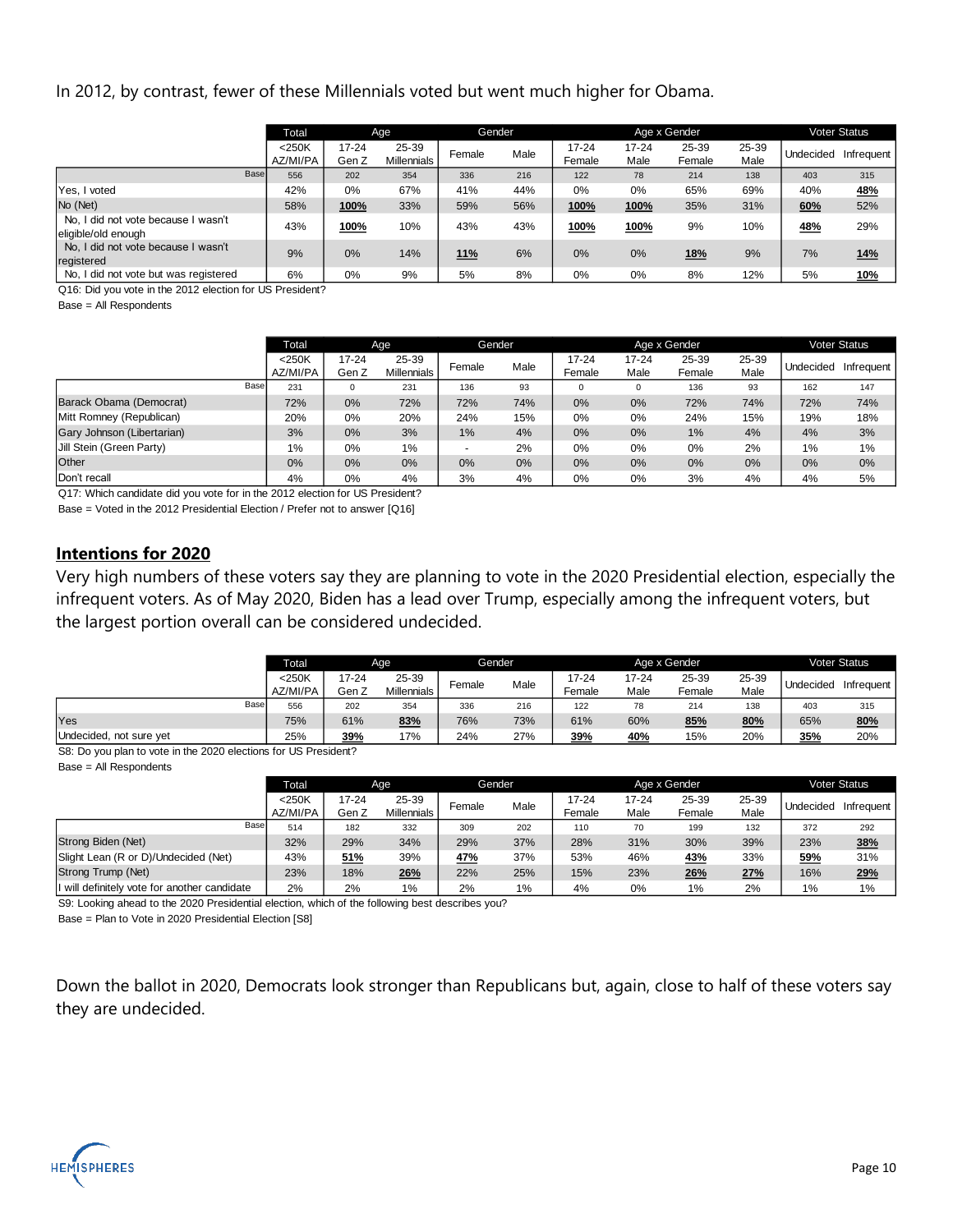#### In 2012, by contrast, fewer of these Millennials voted but went much higher for Obama.

|                                                            | Total                | Age                |                             |        | Gender |                     |                   | Age x Gender    |               |           | <b>Voter Status</b> |
|------------------------------------------------------------|----------------------|--------------------|-----------------------------|--------|--------|---------------------|-------------------|-----------------|---------------|-----------|---------------------|
|                                                            | $<$ 250K<br>AZ/MI/PA | $17 - 24$<br>Gen Z | 25-39<br><b>Millennials</b> | Female | Male   | $17 - 24$<br>Female | $17 - 24$<br>Male | 25-39<br>Female | 25-39<br>Male | Undecided | Infrequent          |
| Base                                                       | 556                  | 202                | 354                         | 336    | 216    | 122                 | 78                | 214             | 138           | 403       | 315                 |
| Yes, I voted                                               | 42%                  | 0%                 | 67%                         | 41%    | 44%    | $0\%$               | 0%                | 65%             | 69%           | 40%       | <u>48%</u>          |
| No (Net)                                                   | 58%                  | 100%               | 33%                         | 59%    | 56%    | 100%                | 100%              | 35%             | 31%           | 60%       | 52%                 |
| No, I did not vote because I wasn't<br>eligible/old enough | 43%                  | 100%               | 10%                         | 43%    | 43%    | 100%                | 100%              | 9%              | 10%           | 48%       | 29%                 |
| No. I did not vote because I wasn't<br>registered          | 9%                   | 0%                 | 14%                         | 11%    | 6%     | 0%                  | 0%                | 18%             | 9%            | 7%        | <b>14%</b>          |
| No, I did not vote but was registered                      | 6%                   | 0%                 | 9%                          | 5%     | 8%     | 0%                  | 0%                | 8%              | 12%           | 5%        | <u>10%</u>          |

Q16: Did you vote in the 2012 election for US President?

Base = All Respondents

|                            | <b>Total</b>         | Age                |                      |        | Gender |                     |                   | Age x Gender    |               |           | <b>Voter Status</b> |
|----------------------------|----------------------|--------------------|----------------------|--------|--------|---------------------|-------------------|-----------------|---------------|-----------|---------------------|
|                            | $<$ 250K<br>AZ/MI/PA | $17 - 24$<br>Gen Z | 25-39<br>Millennials | Female | Male   | $17 - 24$<br>Female | $17 - 24$<br>Male | 25-39<br>Female | 25-39<br>Male | Undecided | Infrequent          |
| Base                       | 231                  | $\mathbf 0$        | 231                  | 136    | 93     | $\mathbf{0}$        | 0                 | 136             | 93            | 162       | 147                 |
| Barack Obama (Democrat)    | 72%                  | 0%                 | 72%                  | 72%    | 74%    | 0%                  | 0%                | 72%             | 74%           | 72%       | 74%                 |
| Mitt Romney (Republican)   | 20%                  | 0%                 | 20%                  | 24%    | 15%    | 0%                  | 0%                | 24%             | 15%           | 19%       | 18%                 |
| Gary Johnson (Libertarian) | 3%                   | 0%                 | 3%                   | 1%     | 4%     | 0%                  | 0%                | 1%              | 4%            | 4%        | 3%                  |
| Jill Stein (Green Party)   | $1\%$                | 0%                 | 1%                   | $\sim$ | 2%     | 0%                  | 0%                | 0%              | 2%            | 1%        | 1%                  |
| Other                      | 0%                   | 0%                 | 0%                   | 0%     | 0%     | 0%                  | 0%                | 0%              | 0%            | 0%        | 0%                  |
| Don't recall               | 4%                   | 0%                 | 4%                   | 3%     | 4%     | 0%                  | 0%                | 3%              | 4%            | 4%        | 5%                  |

Q17: Which candidate did you vote for in the 2012 election for US President?

Base = Voted in the 2012 Presidential Election / Prefer not to answer [Q16]

#### **Intentions for 2020**

Very high numbers of these voters say they are planning to vote in the 2020 Presidential election, especially the infrequent voters. As of May 2020, Biden has a lead over Trump, especially among the infrequent voters, but the largest portion overall can be considered undecided.

|                         | <b>Total</b> | Age   |                    |        | Gender |        |       | Age x Gender |       |           | <b>Voter Status</b> |
|-------------------------|--------------|-------|--------------------|--------|--------|--------|-------|--------------|-------|-----------|---------------------|
|                         | $<$ 250K     | 17-24 | 25-39              |        | Male   | 17-24  | 17-24 | 25-39        | 25-39 | Undecided | Infrequent          |
|                         | AZ/MI/PA     | Gen Z | <b>Millennials</b> | Female |        | Female | Male  | Female       | Male  |           |                     |
| Base                    | 556          | 202   | 354                | 336    | 216    | 122    | 78    | 214          | 138   | 403       | 315                 |
| Yes                     | 75%          | 61%   | 83%                | 76%    | 73%    | 61%    | 60%   | 85%          | 80%   | 65%       | 80%                 |
| Undecided, not sure yet | 25%          | 39%   | 17%                | 24%    | 27%    | 39%    | 40%   | 15%          | 20%   | 35%       | 20%                 |

S8: Do you plan to vote in the 2020 elections for US President?

Base = All Respondents

|                                              | Total    | Age            |             |        | Gender |           |           | Age x Gender |       |           | Voter Status |
|----------------------------------------------|----------|----------------|-------------|--------|--------|-----------|-----------|--------------|-------|-----------|--------------|
|                                              | $<$ 250K | 25-39<br>17-24 |             | Female | Male   | $17 - 24$ | $17 - 24$ | 25-39        | 25-39 | Undecided | Infrequent   |
|                                              | AZ/MI/PA | Gen Z          | Millennials |        |        | Female    | Male      | Female       | Male  |           |              |
| Base                                         | 514      | 182            | 332         | 309    | 202    | 110       | 70        | 199          | 132   | 372       | 292          |
| Strong Biden (Net)                           | 32%      | 29%            | 34%         | 29%    | 37%    | 28%       | 31%       | 30%          | 39%   | 23%       | 38%          |
| Slight Lean (R or D)/Undecided (Net)         | 43%      | 51%            | 39%         | 47%    | 37%    | 53%       | 46%       | 43%          | 33%   | 59%       | 31%          |
| Strong Trump (Net)                           | 23%      | 18%            | 26%         | 22%    | 25%    | 15%       | 23%       | 26%          | 27%   | 16%       | 29%          |
| I will definitely vote for another candidate | 2%       | 2%             | $1\%$       | 2%     | 1%     | 4%        | 0%        | $1\%$        | 2%    | $1\%$     | 1%           |

S9: Looking ahead to the 2020 Presidential election, which of the following best describes you?

Base = Plan to Vote in 2020 Presidential Election [S8]

Down the ballot in 2020, Democrats look stronger than Republicans but, again, close to half of these voters say they are undecided.

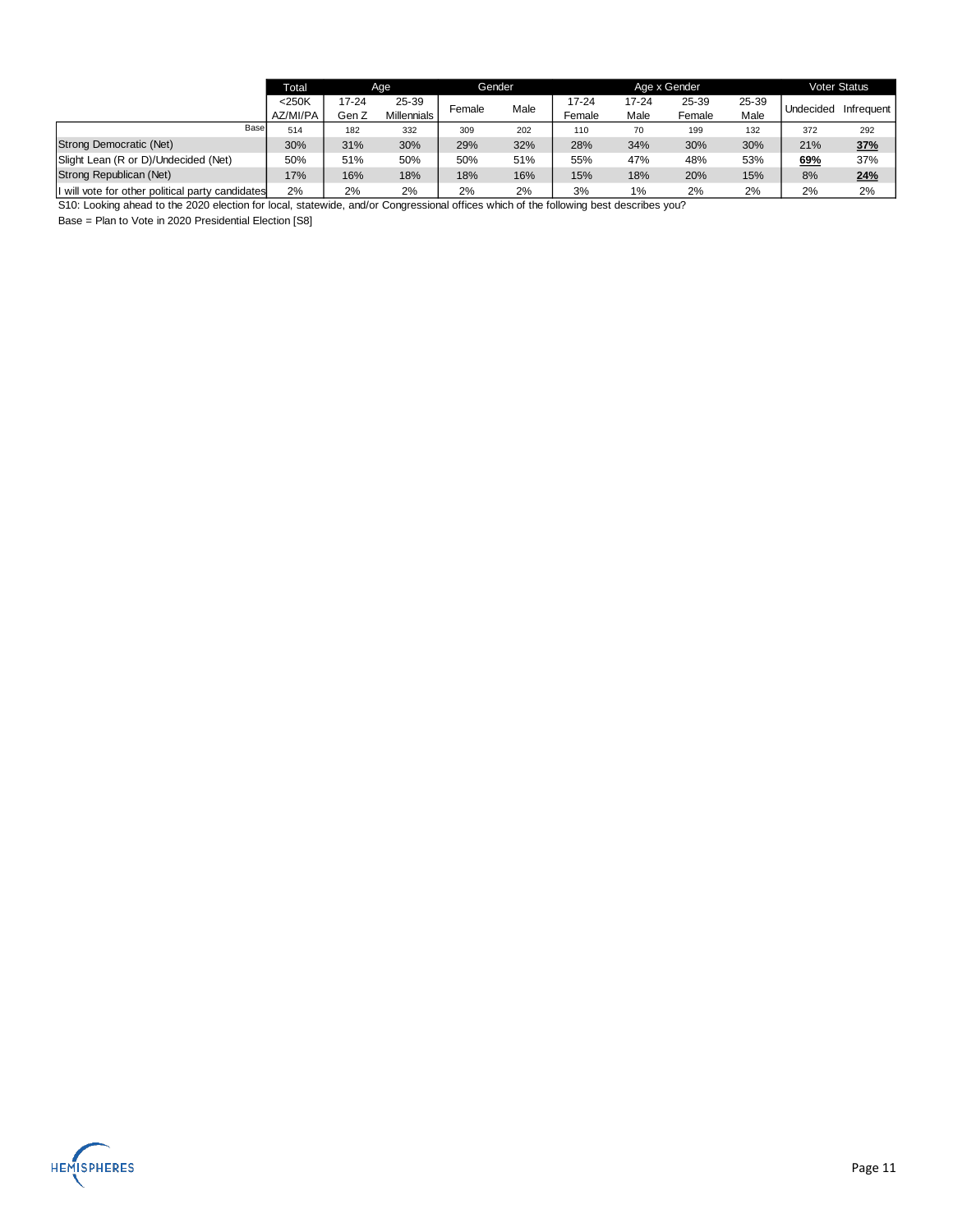|                                                  | <b>Total</b>         | Age               |                             |     | Gender |                 |                   | Age x Gender    |               |           | <b>Voter Status</b> |
|--------------------------------------------------|----------------------|-------------------|-----------------------------|-----|--------|-----------------|-------------------|-----------------|---------------|-----------|---------------------|
|                                                  | $<$ 250K<br>AZ/MI/PA | $7 - 24$<br>Gen Z | 25-39<br><b>Millennials</b> |     | Male   | 17-24<br>Female | $17 - 24$<br>Male | 25-39<br>Female | 25-39<br>Male | Undecided | Infrequent          |
| Base                                             | 514                  | 182               | 332                         | 309 | 202    | 110             | 70                | 199             | 132           | 372       | 292                 |
| Strong Democratic (Net)                          | 30%                  | 31%               | 30%                         | 29% | 32%    | 28%             | 34%               | 30%             | 30%           | 21%       | 37%                 |
| Slight Lean (R or D)/Undecided (Net)             | 50%                  | 51%               | 50%                         | 50% | 51%    | 55%             | 47%               | 48%             | 53%           | 69%       | 37%                 |
| Strong Republican (Net)                          | 17%                  | 16%               | 18%                         | 18% | 16%    | 15%             | 18%               | 20%             | 15%           | 8%        | 24%                 |
| I will vote for other political party candidates | 2%                   | 2%                | 2%                          | 2%  | 2%     | 3%              | $1\%$             | 2%              | 2%            | 2%        | 2%                  |

S10: Looking ahead to the 2020 election for local, statewide, and/or Congressional offices which of the following best describes you?

Base = Plan to Vote in 2020 Presidential Election [S8]

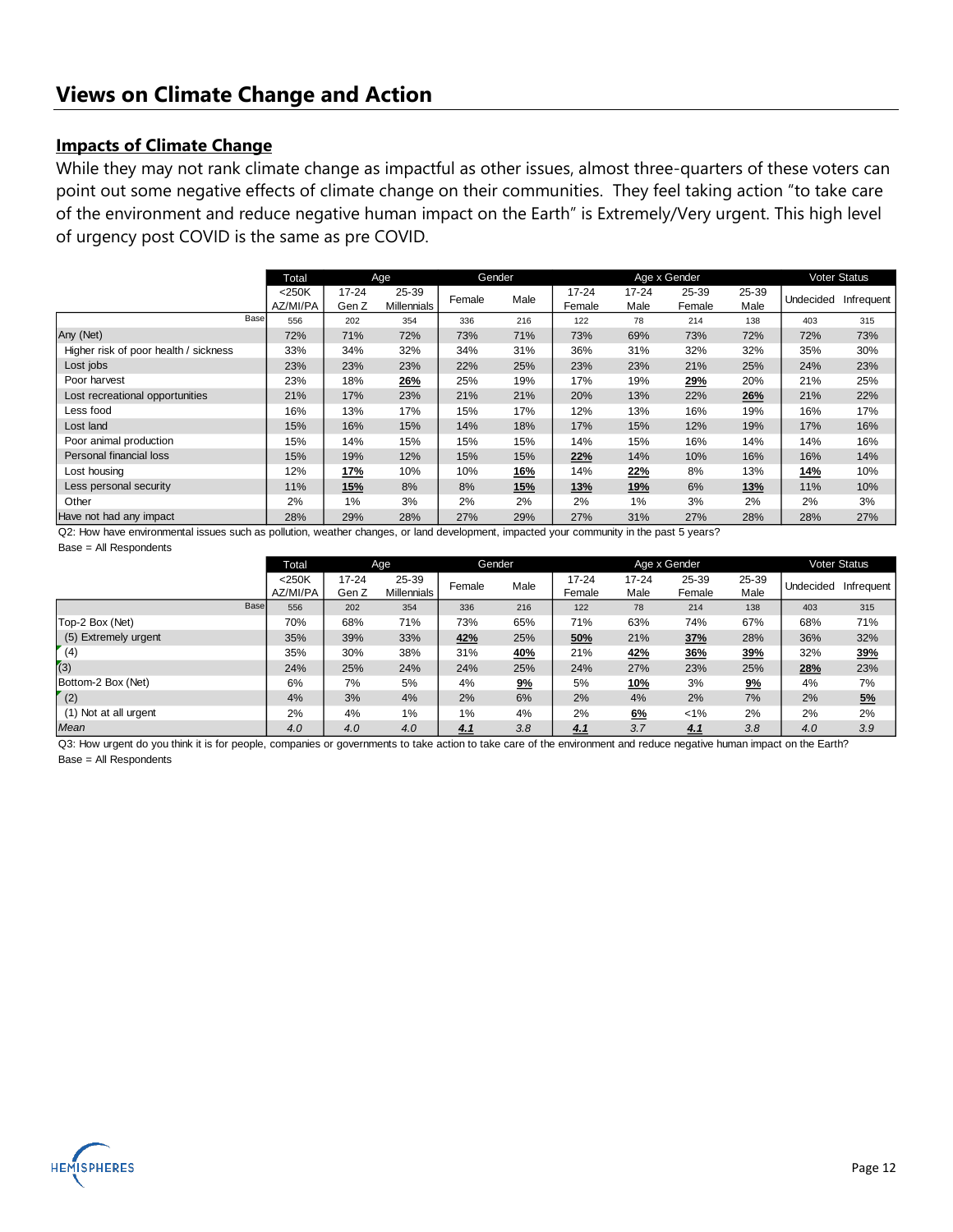#### **Impacts of Climate Change**

While they may not rank climate change as impactful as other issues, almost three-quarters of these voters can point out some negative effects of climate change on their communities. They feel taking action "to take care of the environment and reduce negative human impact on the Earth" is Extremely/Very urgent. This high level of urgency post COVID is the same as pre COVID.

|                                       |      | Total                | Age                |                             |        | Gender     |                     |               | Age x Gender    |               |           | <b>Voter Status</b> |
|---------------------------------------|------|----------------------|--------------------|-----------------------------|--------|------------|---------------------|---------------|-----------------|---------------|-----------|---------------------|
|                                       |      | $<$ 250K<br>AZ/MI/PA | $17 - 24$<br>Gen Z | 25-39<br><b>Millennials</b> | Female | Male       | $17 - 24$<br>Female | 17-24<br>Male | 25-39<br>Female | 25-39<br>Male | Undecided | Infrequent          |
|                                       | Base | 556                  | 202                | 354                         | 336    | 216        | 122                 | 78            | 214             | 138           | 403       | 315                 |
| Any (Net)                             |      | 72%                  | 71%                | 72%                         | 73%    | 71%        | 73%                 | 69%           | 73%             | 72%           | 72%       | 73%                 |
| Higher risk of poor health / sickness |      | 33%                  | 34%                | 32%                         | 34%    | 31%        | 36%                 | 31%           | 32%             | 32%           | 35%       | 30%                 |
| Lost jobs                             |      | 23%                  | 23%                | 23%                         | 22%    | 25%        | 23%                 | 23%           | 21%             | 25%           | 24%       | 23%                 |
| Poor harvest                          |      | 23%                  | 18%                | 26%                         | 25%    | 19%        | 17%                 | 19%           | 29%             | 20%           | 21%       | 25%                 |
| Lost recreational opportunities       |      | 21%                  | 17%                | 23%                         | 21%    | 21%        | 20%                 | 13%           | 22%             | 26%           | 21%       | 22%                 |
| Less food                             |      | 16%                  | 13%                | 17%                         | 15%    | 17%        | 12%                 | 13%           | 16%             | 19%           | 16%       | 17%                 |
| Lost land                             |      | 15%                  | 16%                | 15%                         | 14%    | 18%        | 17%                 | 15%           | 12%             | 19%           | 17%       | 16%                 |
| Poor animal production                |      | 15%                  | 14%                | 15%                         | 15%    | 15%        | 14%                 | 15%           | 16%             | 14%           | 14%       | 16%                 |
| Personal financial loss               |      | 15%                  | 19%                | 12%                         | 15%    | 15%        | 22%                 | 14%           | 10%             | 16%           | 16%       | 14%                 |
| Lost housing                          |      | 12%                  | <u>17%</u>         | 10%                         | 10%    | <u>16%</u> | 14%                 | 22%           | 8%              | 13%           | 14%       | 10%                 |
| Less personal security                |      | 11%                  | <u>15%</u>         | 8%                          | 8%     | <u>15%</u> | <b>13%</b>          | <u>19%</u>    | 6%              | <b>13%</b>    | 11%       | 10%                 |
| Other                                 |      | 2%                   | 1%                 | 3%                          | 2%     | 2%         | 2%                  | 1%            | 3%              | 2%            | 2%        | 3%                  |
| Have not had any impact               |      | 28%                  | 29%                | 28%                         | 27%    | 29%        | 27%                 | 31%           | 27%             | 28%           | 28%       | 27%                 |

Q2: How have environmental issues such as pollution, weather changes, or land development, impacted your community in the past 5 years? Base = All Respondents

|                       | Total                |                    | Age                         |        | Gender     |                     |                   | Age x Gender    |               |           | <b>Voter Status</b> |
|-----------------------|----------------------|--------------------|-----------------------------|--------|------------|---------------------|-------------------|-----------------|---------------|-----------|---------------------|
|                       | $<$ 250K<br>AZ/MI/PA | $17 - 24$<br>Gen Z | 25-39<br><b>Millennials</b> | Female | Male       | $17 - 24$<br>Female | $17 - 24$<br>Male | 25-39<br>Female | 25-39<br>Male | Undecided | Infrequent          |
| Base                  | 556                  | 202                | 354                         | 336    | 216        | 122                 | 78                | 214             | 138           | 403       | 315                 |
| Top-2 Box (Net)       | 70%                  | 68%                | 71%                         | 73%    | 65%        | 71%                 | 63%               | 74%             | 67%           | 68%       | 71%                 |
| (5) Extremely urgent  | 35%                  | 39%                | 33%                         | 42%    | 25%        | 50%                 | 21%               | 37%             | 28%           | 36%       | 32%                 |
| (4)                   | 35%                  | 30%                | 38%                         | 31%    | <u>40%</u> | 21%                 | <u>42%</u>        | <u>36%</u>      | 39%           | 32%       | 39%                 |
| (3)                   | 24%                  | 25%                | 24%                         | 24%    | 25%        | 24%                 | 27%               | 23%             | 25%           | 28%       | 23%                 |
| Bottom-2 Box (Net)    | 6%                   | 7%                 | 5%                          | 4%     | 9%         | 5%                  | <b>10%</b>        | 3%              | 9%            | 4%        | 7%                  |
| (2)                   | 4%                   | 3%                 | 4%                          | 2%     | 6%         | 2%                  | 4%                | 2%              | 7%            | 2%        | 5%                  |
| (1) Not at all urgent | 2%                   | 4%                 | 1%                          | 1%     | 4%         | 2%                  | <u>6%</u>         | $< 1\%$         | 2%            | 2%        | 2%                  |
| Mean                  | 4.0                  | 4.0                | 4.0                         | 4.1    | 3.8        | 4.1                 | 3.7               | 4.1             | 3.8           | 4.0       | 3.9                 |

Q3: How urgent do you think it is for people, companies or governments to take action to take care of the environment and reduce negative human impact on the Earth? Base = All Respondents

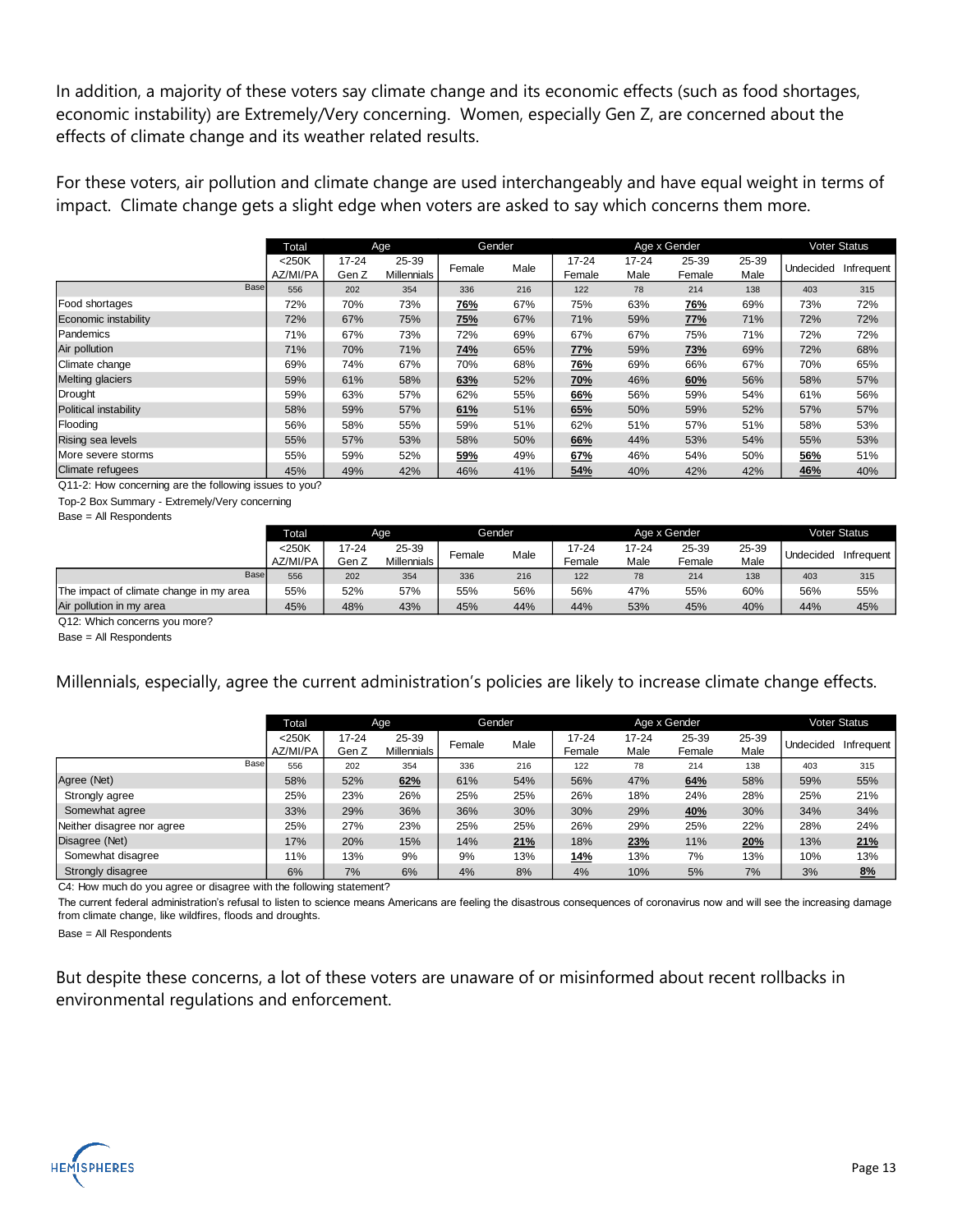In addition, a majority of these voters say climate change and its economic effects (such as food shortages, economic instability) are Extremely/Very concerning. Women, especially Gen Z, are concerned about the effects of climate change and its weather related results.

For these voters, air pollution and climate change are used interchangeably and have equal weight in terms of impact. Climate change gets a slight edge when voters are asked to say which concerns them more.

|                         | Total                |                    | Age                         | Gender     |      |                     |                   | Age x Gender    |               |           | Voter Status |
|-------------------------|----------------------|--------------------|-----------------------------|------------|------|---------------------|-------------------|-----------------|---------------|-----------|--------------|
|                         | $<$ 250K<br>AZ/MI/PA | $17 - 24$<br>Gen Z | 25-39<br><b>Millennials</b> | Female     | Male | $17 - 24$<br>Female | $17 - 24$<br>Male | 25-39<br>Female | 25-39<br>Male | Undecided | Infrequent   |
| Base                    | 556                  | 202                | 354                         | 336        | 216  | 122                 | 78                | 214             | 138           | 403       | 315          |
| Food shortages          | 72%                  | 70%                | 73%                         | <u>76%</u> | 67%  | 75%                 | 63%               | <u>76%</u>      | 69%           | 73%       | 72%          |
| Economic instability    | 72%                  | 67%                | 75%                         | 75%        | 67%  | 71%                 | 59%               | 77%             | 71%           | 72%       | 72%          |
| Pandemics               | 71%                  | 67%                | 73%                         | 72%        | 69%  | 67%                 | 67%               | 75%             | 71%           | 72%       | 72%          |
| Air pollution           | 71%                  | 70%                | 71%                         | <u>74%</u> | 65%  | 77%                 | 59%               | <b>73%</b>      | 69%           | 72%       | 68%          |
| Climate change          | 69%                  | 74%                | 67%                         | 70%        | 68%  | 76%                 | 69%               | 66%             | 67%           | 70%       | 65%          |
| <b>Melting glaciers</b> | 59%                  | 61%                | 58%                         | 63%        | 52%  | 70%                 | 46%               | 60%             | 56%           | 58%       | 57%          |
| Drought                 | 59%                  | 63%                | 57%                         | 62%        | 55%  | 66%                 | 56%               | 59%             | 54%           | 61%       | 56%          |
| Political instability   | 58%                  | 59%                | 57%                         | 61%        | 51%  | 65%                 | 50%               | 59%             | 52%           | 57%       | 57%          |
| Flooding                | 56%                  | 58%                | 55%                         | 59%        | 51%  | 62%                 | 51%               | 57%             | 51%           | 58%       | 53%          |
| Rising sea levels       | 55%                  | 57%                | 53%                         | 58%        | 50%  | 66%                 | 44%               | 53%             | 54%           | 55%       | 53%          |
| More severe storms      | 55%                  | 59%                | 52%                         | 59%        | 49%  | 67%                 | 46%               | 54%             | 50%           | 56%       | 51%          |
| <b>Climate refugees</b> | 45%                  | 49%                | 42%                         | 46%        | 41%  | 54%                 | 40%               | 42%             | 42%           | 46%       | 40%          |

Q11-2: How concerning are the following issues to you?

Top-2 Box Summary - Extremely/Very concerning

Base = All Respondents

|                                         | Total    |       | Aae         |        | Gender |        |       | Age x Gender |       |           | <b>Voter Status</b> |
|-----------------------------------------|----------|-------|-------------|--------|--------|--------|-------|--------------|-------|-----------|---------------------|
|                                         | $<$ 250K | 17-24 | 25-39       | Female | Male   | 17-24  | 17-24 | 25-39        | 25-39 | Undecided | Infrequent          |
|                                         | AZ/MI/PA | Gen Z | Millennials |        |        | Female | Male  | Female       | Male  |           |                     |
| <b>Base</b>                             | 556      | 202   | 354         | 336    | 216    | 122    | 78    | 214          | 138   | 403       | 315                 |
| The impact of climate change in my area | 55%      | 52%   | 57%         | 55%    | 56%    | 56%    | 47%   | 55%          | 60%   | 56%       | 55%                 |
| Air pollution in my area                | 45%      | 48%   | 43%         | 45%    | 44%    | 44%    | 53%   | 45%          | 40%   | 44%       | 45%                 |
| -------<br>-                            |          |       |             |        |        |        |       |              |       |           |                     |

Q12: Which concerns you more?

Base = All Respondents

Millennials, especially, agree the current administration's policies are likely to increase climate change effects.

|                            | Total                |                | Age                         |        | Gender |                     |                   | Age x Gender    |               |                  | <b>Voter Status</b> |
|----------------------------|----------------------|----------------|-----------------------------|--------|--------|---------------------|-------------------|-----------------|---------------|------------------|---------------------|
|                            | $<$ 250K<br>AZ/MI/PA | 17-24<br>Gen Z | 25-39<br><b>Millennials</b> | Female | Male   | $17 - 24$<br>Female | $17 - 24$<br>Male | 25-39<br>Female | 25-39<br>Male | <b>Undecided</b> | Infrequent          |
| Base                       | 556                  | 202            | 354                         | 336    | 216    | 122                 | 78                | 214             | 138           | 403              | 315                 |
| Agree (Net)                | 58%                  | 52%            | 62%                         | 61%    | 54%    | 56%                 | 47%               | 64%             | 58%           | 59%              | 55%                 |
| Strongly agree             | 25%                  | 23%            | 26%                         | 25%    | 25%    | 26%                 | 18%               | 24%             | 28%           | 25%              | 21%                 |
| Somewhat agree             | 33%                  | 29%            | 36%                         | 36%    | 30%    | 30%                 | 29%               | 40%             | 30%           | 34%              | 34%                 |
| Neither disagree nor agree | 25%                  | 27%            | 23%                         | 25%    | 25%    | 26%                 | 29%               | 25%             | 22%           | 28%              | 24%                 |
| Disagree (Net)             | 17%                  | 20%            | 15%                         | 14%    | 21%    | 18%                 | 23%               | 11%             | 20%           | 13%              | 21%                 |
| Somewhat disagree          | 11%                  | 13%            | 9%                          | 9%     | 13%    | 14%                 | 13%               | 7%              | 13%           | 10%              | 13%                 |
| Strongly disagree          | 6%                   | 7%             | 6%                          | 4%     | 8%     | 4%                  | 10%               | 5%              | 7%            | 3%               | 8%                  |

C4: How much do you agree or disagree with the following statement?

The current federal administration's refusal to listen to science means Americans are feeling the disastrous consequences of coronavirus now and will see the increasing damage from climate change, like wildfires, floods and droughts.

Base = All Respondents

But despite these concerns, a lot of these voters are unaware of or misinformed about recent rollbacks in environmental regulations and enforcement.

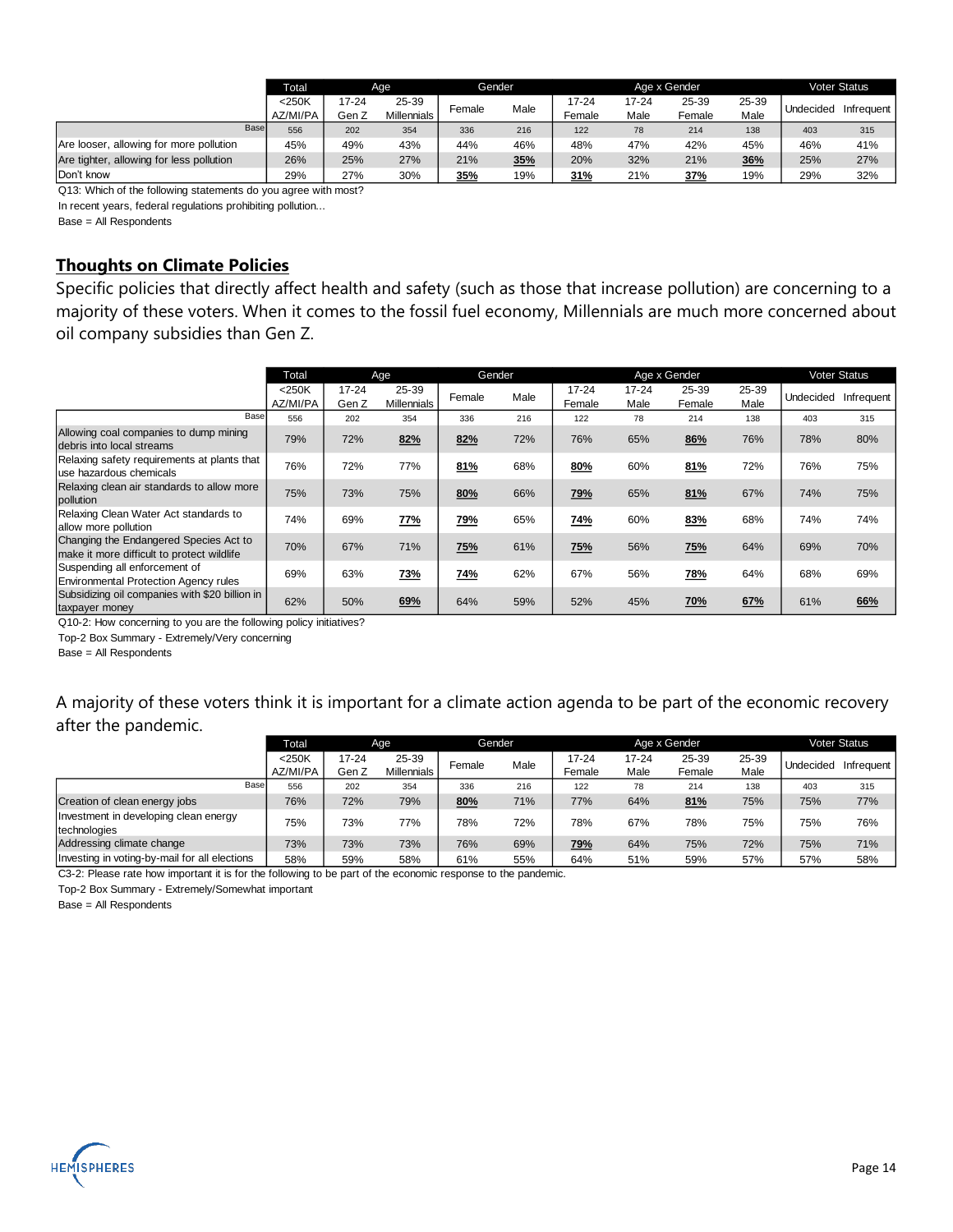|                                          | <b>Total</b>         |                | Age                         |        | Gender | Age x Gender        |               |                 |               | <b>Voter Status</b> |            |
|------------------------------------------|----------------------|----------------|-----------------------------|--------|--------|---------------------|---------------|-----------------|---------------|---------------------|------------|
|                                          | $<$ 250K<br>AZ/MI/PA | 17-24<br>Gen Z | 25-39<br><b>Millennials</b> | Female | Male   | $17 - 24$<br>Female | 17-24<br>Male | 25-39<br>Female | 25-39<br>Male | Undecided           | Infrequent |
| Base                                     | 556                  | 202            | 354                         | 336    | 216    | 122                 | 78            | 214             | 138           | 403                 | 315        |
| Are looser, allowing for more pollution  | 45%                  | 49%            | 43%                         | 44%    | 46%    | 48%                 | 47%           | 42%             | 45%           | 46%                 | 41%        |
| Are tighter, allowing for less pollution | 26%                  | 25%            | 27%                         | 21%    | 35%    | 20%                 | 32%           | 21%             | 36%           | 25%                 | 27%        |
| Don't know                               | 29%                  | 27%            | 30%                         | 35%    | 19%    | 31%                 | 21%           | 37%             | 19%           | 29%                 | 32%        |

Q13: Which of the following statements do you agree with most?

In recent years, federal regulations prohibiting pollution...

Base = All Respondents

#### **Thoughts on Climate Policies**

Specific policies that directly affect health and safety (such as those that increase pollution) are concerning to a majority of these voters. When it comes to the fossil fuel economy, Millennials are much more concerned about oil company subsidies than Gen Z.

|                                                                                      | Total                |                    | Age                         | Gender |      |                     |                   | Age x Gender    |               |           | <b>Voter Status</b> |
|--------------------------------------------------------------------------------------|----------------------|--------------------|-----------------------------|--------|------|---------------------|-------------------|-----------------|---------------|-----------|---------------------|
|                                                                                      | $<$ 250K<br>AZ/MI/PA | $17 - 24$<br>Gen Z | 25-39<br><b>Millennials</b> | Female | Male | $17 - 24$<br>Female | $17 - 24$<br>Male | 25-39<br>Female | 25-39<br>Male | Undecided | Infrequent          |
| Base                                                                                 | 556                  | 202                | 354                         | 336    | 216  | 122                 | 78                | 214             | 138           | 403       | 315                 |
| Allowing coal companies to dump mining<br>debris into local streams                  | 79%                  | 72%                | 82%                         | 82%    | 72%  | 76%                 | 65%               | 86%             | 76%           | 78%       | 80%                 |
| Relaxing safety requirements at plants that<br>use hazardous chemicals               | 76%                  | 72%                | 77%                         | 81%    | 68%  | 80%                 | 60%               | 81%             | 72%           | 76%       | 75%                 |
| Relaxing clean air standards to allow more<br>pollution                              | 75%                  | 73%                | 75%                         | 80%    | 66%  | 79%                 | 65%               | 81%             | 67%           | 74%       | 75%                 |
| Relaxing Clean Water Act standards to<br>allow more pollution                        | 74%                  | 69%                | 77%                         | 79%    | 65%  | 74%                 | 60%               | 83%             | 68%           | 74%       | 74%                 |
| Changing the Endangered Species Act to<br>make it more difficult to protect wildlife | 70%                  | 67%                | 71%                         | 75%    | 61%  | 75%                 | 56%               | 75%             | 64%           | 69%       | 70%                 |
| Suspending all enforcement of<br><b>Environmental Protection Agency rules</b>        | 69%                  | 63%                | 73%                         | 74%    | 62%  | 67%                 | 56%               | 78%             | 64%           | 68%       | 69%                 |
| Subsidizing oil companies with \$20 billion in<br>taxpayer money                     | 62%                  | 50%                | 69%                         | 64%    | 59%  | 52%                 | 45%               | 70%             | 67%           | 61%       | 66%                 |

Q10-2: How concerning to you are the following policy initiatives?

Top-2 Box Summary - Extremely/Very concerning

Base = All Respondents

### A majority of these voters think it is important for a climate action agenda to be part of the economic recovery after the pandemic.

|                                                       |      | Total    |           | Age                | Gender |      |           |       | Age x Gender |       |           | <b>Voter Status</b> |
|-------------------------------------------------------|------|----------|-----------|--------------------|--------|------|-----------|-------|--------------|-------|-----------|---------------------|
|                                                       |      | $<$ 250K | $17 - 24$ | 25-39              | Female | Male | $17 - 24$ | 17-24 | 25-39        | 25-39 | Undecided | Infrequent          |
|                                                       |      | AZ/MI/PA | Gen Z     | <b>Millennials</b> |        |      | Female    | Male  | Female       | Male  |           |                     |
|                                                       | Base | 556      | 202       | 354                | 336    | 216  | 122       | 78    | 214          | 138   | 403       | 315                 |
| Creation of clean energy jobs                         |      | 76%      | 72%       | 79%                | 80%    | 71%  | 77%       | 64%   | 81%          | 75%   | 75%       | 77%                 |
| Investment in developing clean energy<br>technologies |      | 75%      | 73%       | 77%                | 78%    | 72%  | 78%       | 67%   | 78%          | 75%   | 75%       | 76%                 |
| Addressing climate change                             |      | 73%      | 73%       | 73%                | 76%    | 69%  | 79%       | 64%   | 75%          | 72%   | 75%       | 71%                 |
| Investing in voting-by-mail for all elections         |      | 58%      | 59%       | 58%                | 61%    | 55%  | 64%       | 51%   | 59%          | 57%   | 57%       | 58%                 |

C3-2: Please rate how important it is for the following to be part of the economic response to the pandemic.

Top-2 Box Summary - Extremely/Somewhat important

Base = All Respondents

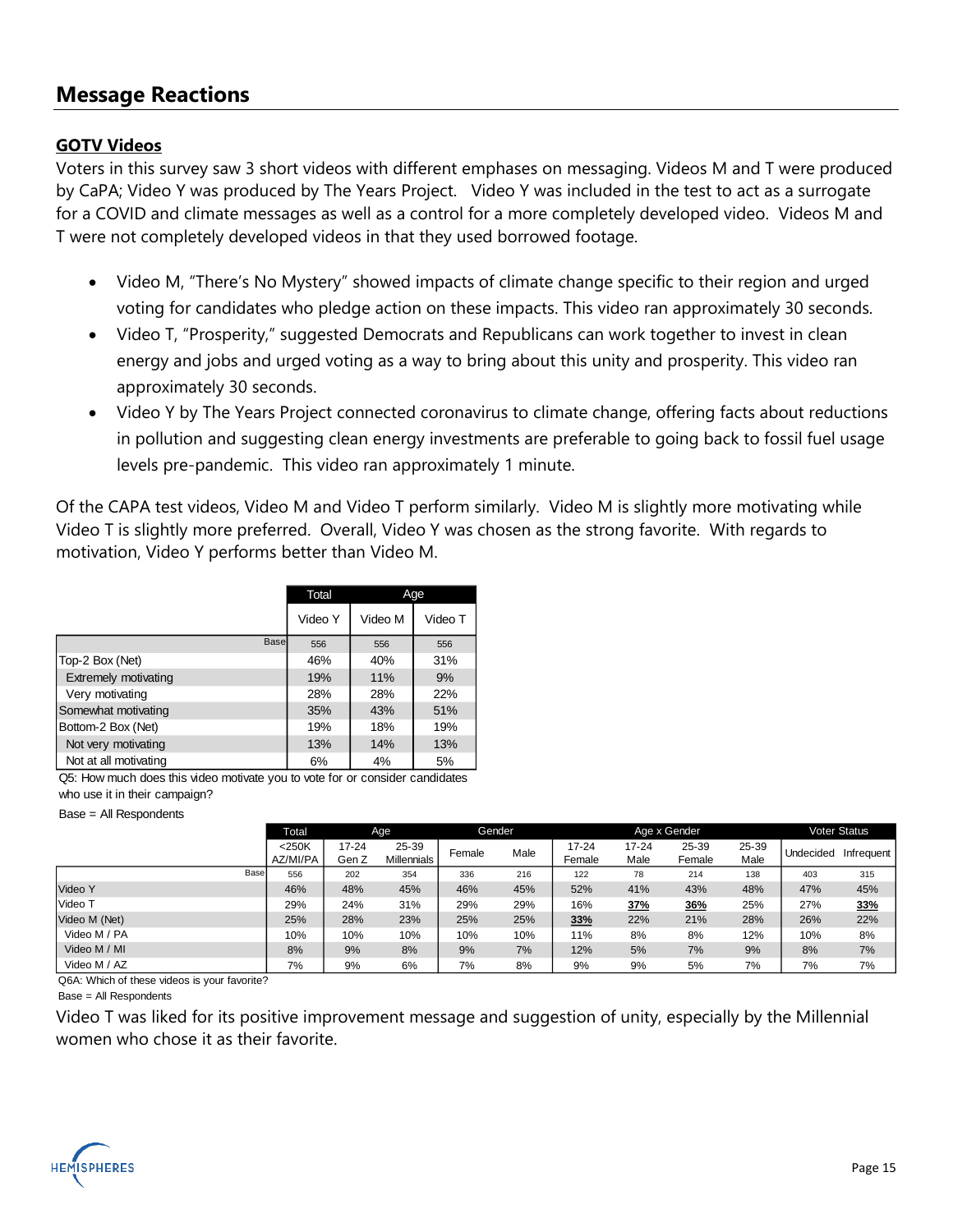### **Message Reactions**

#### **GOTV Videos**

Voters in this survey saw 3 short videos with different emphases on messaging. Videos M and T were produced by CaPA; Video Y was produced by The Years Project. Video Y was included in the test to act as a surrogate for a COVID and climate messages as well as a control for a more completely developed video. Videos M and T were not completely developed videos in that they used borrowed footage.

- Video M, "There's No Mystery" showed impacts of climate change specific to their region and urged voting for candidates who pledge action on these impacts. This video ran approximately 30 seconds.
- Video T, "Prosperity," suggested Democrats and Republicans can work together to invest in clean energy and jobs and urged voting as a way to bring about this unity and prosperity. This video ran approximately 30 seconds.
- Video Y by The Years Project connected coronavirus to climate change, offering facts about reductions in pollution and suggesting clean energy investments are preferable to going back to fossil fuel usage levels pre-pandemic. This video ran approximately 1 minute.

Of the CAPA test videos, Video M and Video T perform similarly. Video M is slightly more motivating while Video T is slightly more preferred. Overall, Video Y was chosen as the strong favorite. With regards to motivation, Video Y performs better than Video M.

|                       | Total   |         | Age     |
|-----------------------|---------|---------|---------|
|                       | Video Y | Video M | Video T |
| Base                  | 556     | 556     | 556     |
| Top-2 Box (Net)       | 46%     | 40%     | 31%     |
| Extremely motivating  | 19%     | 11%     | 9%      |
| Very motivating       | 28%     | 28%     | 22%     |
| Somewhat motivating   | 35%     | 43%     | 51%     |
| Bottom-2 Box (Net)    | 19%     | 18%     | 19%     |
| Not very motivating   | 13%     | 14%     | 13%     |
| Not at all motivating | 6%      | 4%      | 5%      |

Q5: How much does this video motivate you to vote for or consider candidates who use it in their campaign?

Base = All Respondents

|               | Total                |                | Age                         | Gender |      |                 |                   | Age x Gender    |               |           | <b>Voter Status</b> |
|---------------|----------------------|----------------|-----------------------------|--------|------|-----------------|-------------------|-----------------|---------------|-----------|---------------------|
|               | $<$ 250K<br>AZ/MI/PA | 17-24<br>Gen Z | 25-39<br><b>Millennials</b> | Female | Male | 17-24<br>Female | $17 - 24$<br>Male | 25-39<br>Female | 25-39<br>Male | Undecided | Infrequent          |
| Base          | 556                  | 202            | 354                         | 336    | 216  | 122             | 78                | 214             | 138           | 403       | 315                 |
| Video Y       | 46%                  | 48%            | 45%                         | 46%    | 45%  | 52%             | 41%               | 43%             | 48%           | 47%       | 45%                 |
| Video T       | 29%                  | 24%            | 31%                         | 29%    | 29%  | 16%             | 37%               | 36%             | 25%           | 27%       | 33%                 |
| Video M (Net) | 25%                  | 28%            | 23%                         | 25%    | 25%  | 33%             | 22%               | 21%             | 28%           | 26%       | 22%                 |
| Video M / PA  | 10%                  | 10%            | 10%                         | 10%    | 10%  | 11%             | 8%                | 8%              | 12%           | 10%       | 8%                  |
| Video M / MI  | 8%                   | 9%             | 8%                          | 9%     | 7%   | 12%             | 5%                | 7%              | 9%            | 8%        | 7%                  |
| Video M / AZ  | 7%                   | 9%             | 6%                          | 7%     | 8%   | 9%              | 9%                | 5%              | 7%            | 7%        | 7%                  |

Q6A: Which of these videos is your favorite?

Base = All Respondents

Video T was liked for its positive improvement message and suggestion of unity, especially by the Millennial women who chose it as their favorite.

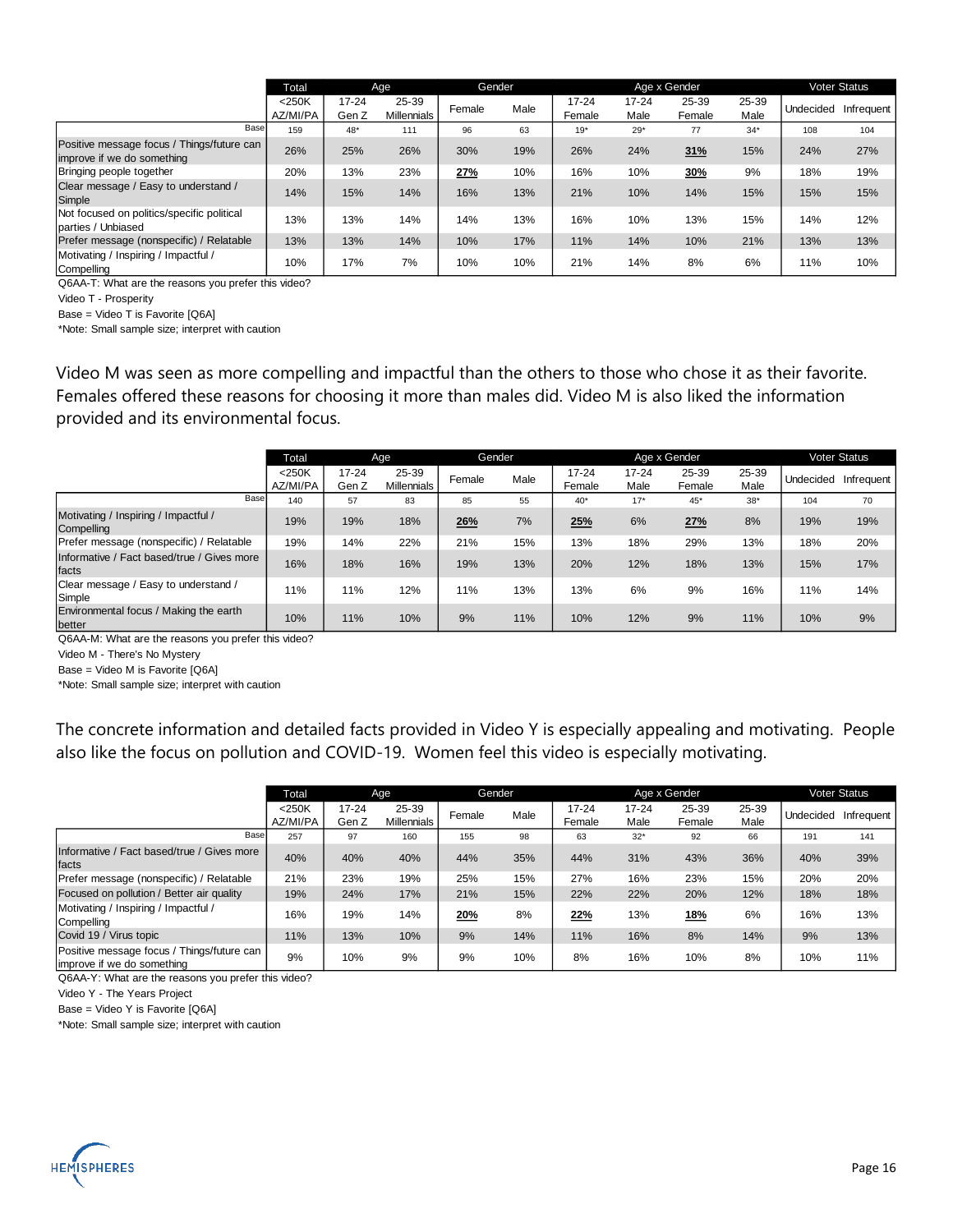|                                                                          | Total                |                    | Age                         | Gender |      |                     |                   | Age x Gender    |               |           | <b>Voter Status</b> |
|--------------------------------------------------------------------------|----------------------|--------------------|-----------------------------|--------|------|---------------------|-------------------|-----------------|---------------|-----------|---------------------|
|                                                                          | $<$ 250K<br>AZ/MI/PA | $17 - 24$<br>Gen Z | 25-39<br><b>Millennials</b> | Female | Male | $17 - 24$<br>Female | $17 - 24$<br>Male | 25-39<br>Female | 25-39<br>Male | Undecided | Infrequent          |
| Base                                                                     | 159                  | $48*$              | 111                         | 96     | 63   | $19*$               | $29*$             | 77              | $34*$         | 108       | 104                 |
| Positive message focus / Things/future can<br>improve if we do something | 26%                  | 25%                | 26%                         | 30%    | 19%  | 26%                 | 24%               | 31%             | 15%           | 24%       | 27%                 |
| Bringing people together                                                 | 20%                  | 13%                | 23%                         | 27%    | 10%  | 16%                 | 10%               | 30%             | 9%            | 18%       | 19%                 |
| Clear message / Easy to understand /<br>Simple                           | 14%                  | 15%                | 14%                         | 16%    | 13%  | 21%                 | 10%               | 14%             | 15%           | 15%       | 15%                 |
| Not focused on politics/specific political<br>parties / Unbiased         | 13%                  | 13%                | 14%                         | 14%    | 13%  | 16%                 | 10%               | 13%             | 15%           | 14%       | 12%                 |
| Prefer message (nonspecific) / Relatable                                 | 13%                  | 13%                | 14%                         | 10%    | 17%  | 11%                 | 14%               | 10%             | 21%           | 13%       | 13%                 |
| Motivating / Inspiring / Impactful /<br>Compelling                       | 10%                  | 17%                | 7%                          | 10%    | 10%  | 21%                 | 14%               | 8%              | 6%            | 11%       | 10%                 |

Q6AA-T: What are the reasons you prefer this video?

Video T - Prosperity

Base = Video T is Favorite [Q6A]

\*Note: Small sample size; interpret with caution

Video M was seen as more compelling and impactful than the others to those who chose it as their favorite. Females offered these reasons for choosing it more than males did. Video M is also liked the information provided and its environmental focus.

|                                                     | Total                |                    | Age                         |        | Gender |                     |                   | Age x Gender    |               |           | <b>Voter Status</b> |
|-----------------------------------------------------|----------------------|--------------------|-----------------------------|--------|--------|---------------------|-------------------|-----------------|---------------|-----------|---------------------|
|                                                     | $<$ 250K<br>AZ/MI/PA | $17 - 24$<br>Gen Z | 25-39<br><b>Millennials</b> | Female | Male   | $17 - 24$<br>Female | $17 - 24$<br>Male | 25-39<br>Female | 25-39<br>Male | Undecided | Infrequent          |
| Base                                                | 140                  | 57                 | 83                          | 85     | 55     | $40*$               | $17*$             | $45*$           | $38*$         | 104       | 70                  |
| Motivating / Inspiring / Impactful /<br>Compelling  | 19%                  | 19%                | 18%                         | 26%    | 7%     | 25%                 | 6%                | 27%             | 8%            | 19%       | 19%                 |
| Prefer message (nonspecific) / Relatable            | 19%                  | 14%                | 22%                         | 21%    | 15%    | 13%                 | 18%               | 29%             | 13%           | 18%       | 20%                 |
| Informative / Fact based/true / Gives more<br>facts | 16%                  | 18%                | 16%                         | 19%    | 13%    | 20%                 | 12%               | 18%             | 13%           | 15%       | 17%                 |
| Clear message / Easy to understand /<br>Simple      | 11%                  | 11%                | 12%                         | 11%    | 13%    | 13%                 | 6%                | 9%              | 16%           | 11%       | 14%                 |
| Environmental focus / Making the earth<br>better    | 10%                  | 11%                | 10%                         | 9%     | 11%    | 10%                 | 12%               | 9%              | 11%           | 10%       | 9%                  |

Q6AA-M: What are the reasons you prefer this video?

Video M - There's No Mystery

Base = Video M is Favorite [Q6A]

\*Note: Small sample size; interpret with caution

The concrete information and detailed facts provided in Video Y is especially appealing and motivating. People also like the focus on pollution and COVID-19. Women feel this video is especially motivating.

|                                                                          | Total                |                    | Age                  | Gender |      |                     |                   | Age x Gender    |               |           | Voter Status |
|--------------------------------------------------------------------------|----------------------|--------------------|----------------------|--------|------|---------------------|-------------------|-----------------|---------------|-----------|--------------|
|                                                                          | $<$ 250K<br>AZ/MI/PA | $17 - 24$<br>Gen Z | 25-39<br>Millennials | Female | Male | $17 - 24$<br>Female | $17 - 24$<br>Male | 25-39<br>Female | 25-39<br>Male | Undecided | Infrequent   |
| Base                                                                     | 257                  | 97                 | 160                  | 155    | 98   | 63                  | $32*$             | 92              | 66            | 191       | 141          |
| Informative / Fact based/true / Gives more<br>facts                      | 40%                  | 40%                | 40%                  | 44%    | 35%  | 44%                 | 31%               | 43%             | 36%           | 40%       | 39%          |
| Prefer message (nonspecific) / Relatable                                 | 21%                  | 23%                | 19%                  | 25%    | 15%  | 27%                 | 16%               | 23%             | 15%           | 20%       | 20%          |
| Focused on pollution / Better air quality                                | 19%                  | 24%                | 17%                  | 21%    | 15%  | 22%                 | 22%               | 20%             | 12%           | 18%       | 18%          |
| Motivating / Inspiring / Impactful /<br>Compelling                       | 16%                  | 19%                | 14%                  | 20%    | 8%   | 22%                 | 13%               | 18%             | 6%            | 16%       | 13%          |
| Covid 19 / Virus topic                                                   | 11%                  | 13%                | 10%                  | 9%     | 14%  | 11%                 | 16%               | 8%              | 14%           | 9%        | 13%          |
| Positive message focus / Things/future can<br>improve if we do something | 9%                   | 10%                | 9%                   | 9%     | 10%  | 8%                  | 16%               | 10%             | 8%            | 10%       | 11%          |

Q6AA-Y: What are the reasons you prefer this video?

Video Y - The Years Project

Base = Video Y is Favorite [Q6A]

\*Note: Small sample size; interpret with caution

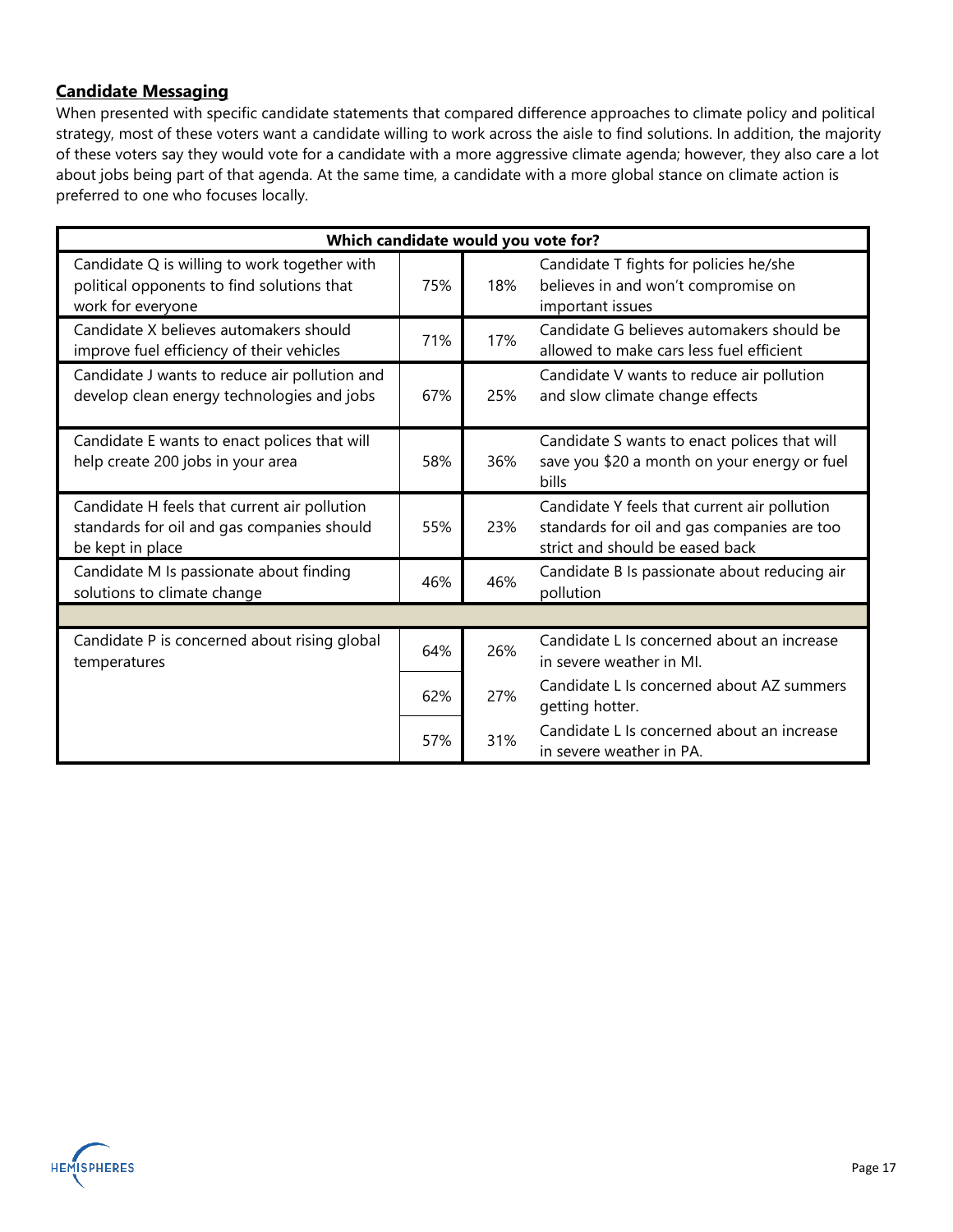#### **Candidate Messaging**

When presented with specific candidate statements that compared difference approaches to climate policy and political strategy, most of these voters want a candidate willing to work across the aisle to find solutions. In addition, the majority of these voters say they would vote for a candidate with a more aggressive climate agenda; however, they also care a lot about jobs being part of that agenda. At the same time, a candidate with a more global stance on climate action is preferred to one who focuses locally.

| Which candidate would you vote for?                                                                             |     |     |                                                                                                                                |  |  |  |  |
|-----------------------------------------------------------------------------------------------------------------|-----|-----|--------------------------------------------------------------------------------------------------------------------------------|--|--|--|--|
| Candidate Q is willing to work together with<br>political opponents to find solutions that<br>work for everyone | 75% | 18% | Candidate T fights for policies he/she<br>believes in and won't compromise on<br>important issues                              |  |  |  |  |
| Candidate X believes automakers should<br>improve fuel efficiency of their vehicles                             | 71% | 17% | Candidate G believes automakers should be<br>allowed to make cars less fuel efficient                                          |  |  |  |  |
| Candidate J wants to reduce air pollution and<br>develop clean energy technologies and jobs                     | 67% | 25% | Candidate V wants to reduce air pollution<br>and slow climate change effects                                                   |  |  |  |  |
| Candidate E wants to enact polices that will<br>help create 200 jobs in your area                               | 58% | 36% | Candidate S wants to enact polices that will<br>save you \$20 a month on your energy or fuel<br>bills                          |  |  |  |  |
| Candidate H feels that current air pollution<br>standards for oil and gas companies should<br>be kept in place  | 55% | 23% | Candidate Y feels that current air pollution<br>standards for oil and gas companies are too<br>strict and should be eased back |  |  |  |  |
| Candidate M Is passionate about finding<br>solutions to climate change                                          | 46% | 46% | Candidate B Is passionate about reducing air<br>pollution                                                                      |  |  |  |  |
|                                                                                                                 |     |     |                                                                                                                                |  |  |  |  |
| Candidate P is concerned about rising global<br>temperatures                                                    | 64% | 26% | Candidate L Is concerned about an increase<br>in severe weather in MI.                                                         |  |  |  |  |
|                                                                                                                 | 62% | 27% | Candidate L Is concerned about AZ summers<br>getting hotter.                                                                   |  |  |  |  |
|                                                                                                                 | 57% | 31% | Candidate L Is concerned about an increase<br>in severe weather in PA.                                                         |  |  |  |  |

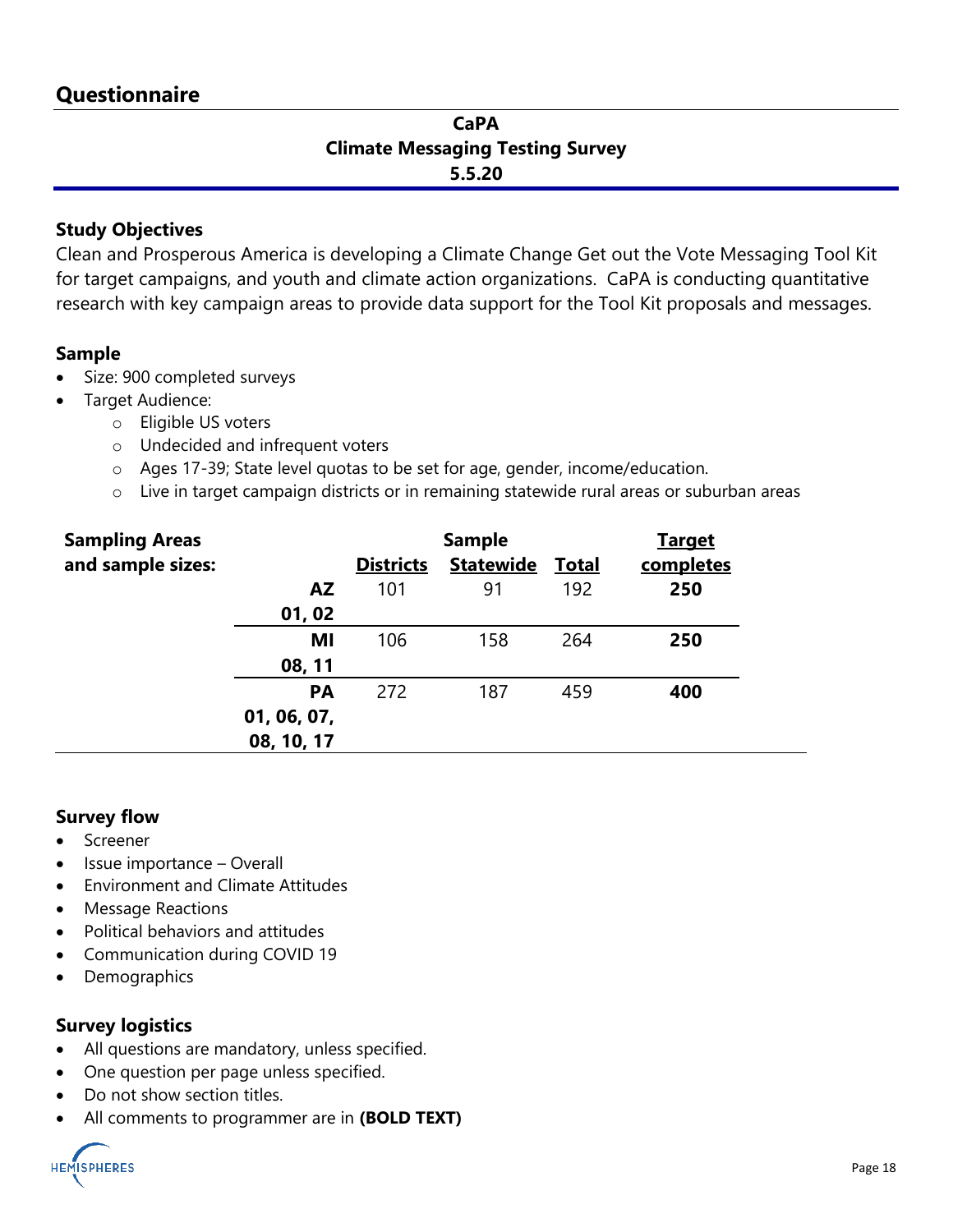### **CaPA Climate Messaging Testing Survey 5.5.20**

### **Study Objectives**

Clean and Prosperous America is developing a Climate Change Get out the Vote Messaging Tool Kit for target campaigns, and youth and climate action organizations. CaPA is conducting quantitative research with key campaign areas to provide data support for the Tool Kit proposals and messages.

### **Sample**

- Size: 900 completed surveys
- Target Audience:
	- o Eligible US voters
	- o Undecided and infrequent voters
	- o Ages 17-39; State level quotas to be set for age, gender, income/education.
	- o Live in target campaign districts or in remaining statewide rural areas or suburban areas

| <b>Sampling Areas</b> |             | <b>Sample</b>    | <b>Target</b>    |              |           |
|-----------------------|-------------|------------------|------------------|--------------|-----------|
| and sample sizes:     |             | <b>Districts</b> | <b>Statewide</b> | <b>Total</b> | completes |
|                       | <b>AZ</b>   | 101              | 91               | 192          | 250       |
|                       | 01,02       |                  |                  |              |           |
|                       | MI          | 106              | 158              | 264          | 250       |
|                       | 08, 11      |                  |                  |              |           |
|                       | <b>PA</b>   | 272              | 187              | 459          | 400       |
|                       | 01, 06, 07, |                  |                  |              |           |
|                       | 08, 10, 17  |                  |                  |              |           |

### **Survey flow**

- **Screener**
- Issue importance Overall
- Environment and Climate Attitudes
- Message Reactions
- Political behaviors and attitudes
- Communication during COVID 19
- Demographics

### **Survey logistics**

- All questions are mandatory, unless specified.
- One question per page unless specified.
- Do not show section titles.
- All comments to programmer are in **(BOLD TEXT)**

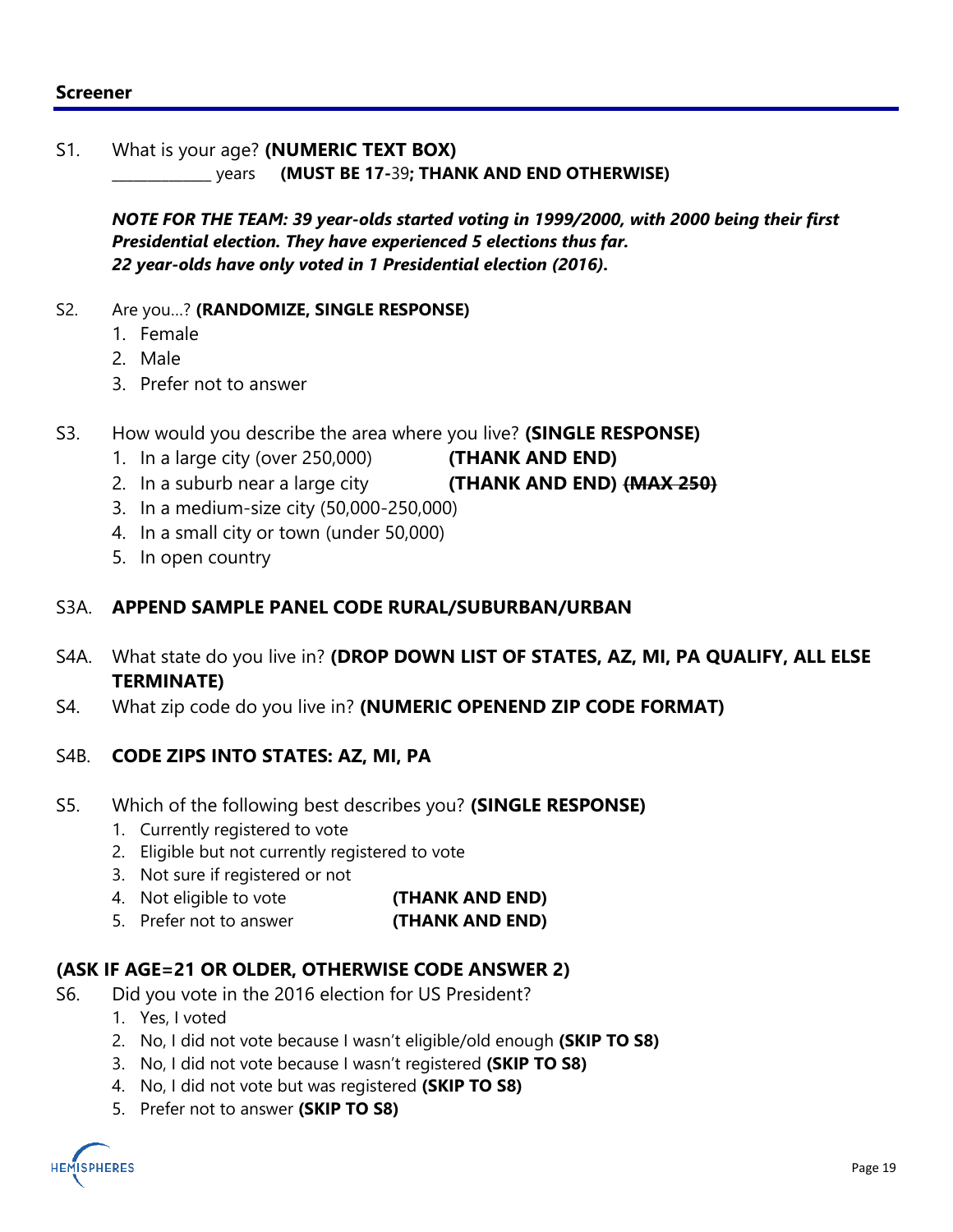### **Screener**

#### S1. What is your age? **(NUMERIC TEXT BOX)**

\_\_\_\_\_\_\_\_\_\_\_\_\_\_ years **(MUST BE 17-**39**; THANK AND END OTHERWISE)**

*NOTE FOR THE TEAM: 39 year-olds started voting in 1999/2000, with 2000 being their first Presidential election. They have experienced 5 elections thus far. 22 year-olds have only voted in 1 Presidential election (2016).*

#### S2. Are you…? **(RANDOMIZE, SINGLE RESPONSE)**

- 1. Female
- 2. Male
- 3. Prefer not to answer
- S3. How would you describe the area where you live? **(SINGLE RESPONSE)**
	- 1. In a large city (over 250,000) **(THANK AND END)**
	- 2. In a suburb near a large city **(THANK AND END) (MAX 250)**
	- 3. In a medium-size city (50,000-250,000)
	- 4. In a small city or town (under 50,000)
	- 5. In open country

### S3A. **APPEND SAMPLE PANEL CODE RURAL/SUBURBAN/URBAN**

- S4A. What state do you live in? **(DROP DOWN LIST OF STATES, AZ, MI, PA QUALIFY, ALL ELSE TERMINATE)**
- S4. What zip code do you live in? **(NUMERIC OPENEND ZIP CODE FORMAT)**

#### S4B. **CODE ZIPS INTO STATES: AZ, MI, PA**

- S5. Which of the following best describes you? **(SINGLE RESPONSE)**
	- 1. Currently registered to vote
	- 2. Eligible but not currently registered to vote
	- 3. Not sure if registered or not
	- 4. Not eligible to vote **(THANK AND END)**
	- 5. Prefer not to answer **(THANK AND END)**

### **(ASK IF AGE=21 OR OLDER, OTHERWISE CODE ANSWER 2)**

- S6. Did you vote in the 2016 election for US President?
	- 1. Yes, I voted
	- 2. No, I did not vote because I wasn't eligible/old enough **(SKIP TO S8)**
	- 3. No, I did not vote because I wasn't registered **(SKIP TO S8)**
	- 4. No, I did not vote but was registered **(SKIP TO S8)**
	- 5. Prefer not to answer **(SKIP TO S8)**

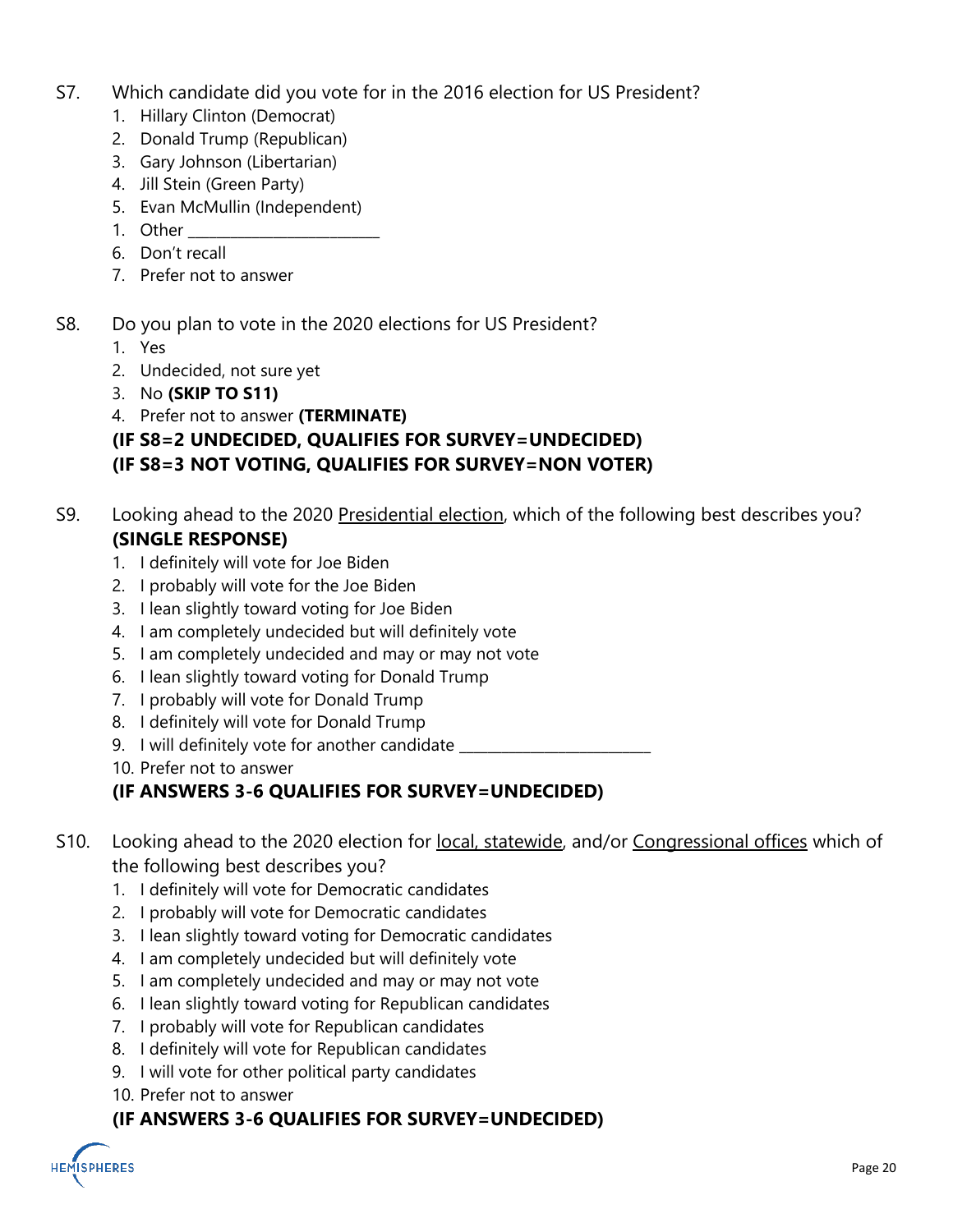- S7. Which candidate did you vote for in the 2016 election for US President?
	- 1. Hillary Clinton (Democrat)
	- 2. Donald Trump (Republican)
	- 3. Gary Johnson (Libertarian)
	- 4. Jill Stein (Green Party)
	- 5. Evan McMullin (Independent)
	- 1. Other
	- 6. Don't recall
	- 7. Prefer not to answer
- S8. Do you plan to vote in the 2020 elections for US President?
	- 1. Yes
	- 2. Undecided, not sure yet
	- 3. No **(SKIP TO S11)**
	- 4. Prefer not to answer **(TERMINATE)**

### **(IF S8=2 UNDECIDED, QUALIFIES FOR SURVEY=UNDECIDED) (IF S8=3 NOT VOTING, QUALIFIES FOR SURVEY=NON VOTER)**

- S9. Looking ahead to the 2020 Presidential election, which of the following best describes you? **(SINGLE RESPONSE)**
	- 1. I definitely will vote for Joe Biden
	- 2. I probably will vote for the Joe Biden
	- 3. I lean slightly toward voting for Joe Biden
	- 4. I am completely undecided but will definitely vote
	- 5. I am completely undecided and may or may not vote
	- 6. I lean slightly toward voting for Donald Trump
	- 7. I probably will vote for Donald Trump
	- 8. I definitely will vote for Donald Trump
	- 9. I will definitely vote for another candidate

10. Prefer not to answer

### **(IF ANSWERS 3-6 QUALIFIES FOR SURVEY=UNDECIDED)**

- S10. Looking ahead to the 2020 election for local, statewide, and/or Congressional offices which of the following best describes you?
	- 1. I definitely will vote for Democratic candidates
	- 2. I probably will vote for Democratic candidates
	- 3. I lean slightly toward voting for Democratic candidates
	- 4. I am completely undecided but will definitely vote
	- 5. I am completely undecided and may or may not vote
	- 6. I lean slightly toward voting for Republican candidates
	- 7. I probably will vote for Republican candidates
	- 8. I definitely will vote for Republican candidates
	- 9. I will vote for other political party candidates
	- 10. Prefer not to answer

### **(IF ANSWERS 3-6 QUALIFIES FOR SURVEY=UNDECIDED)**

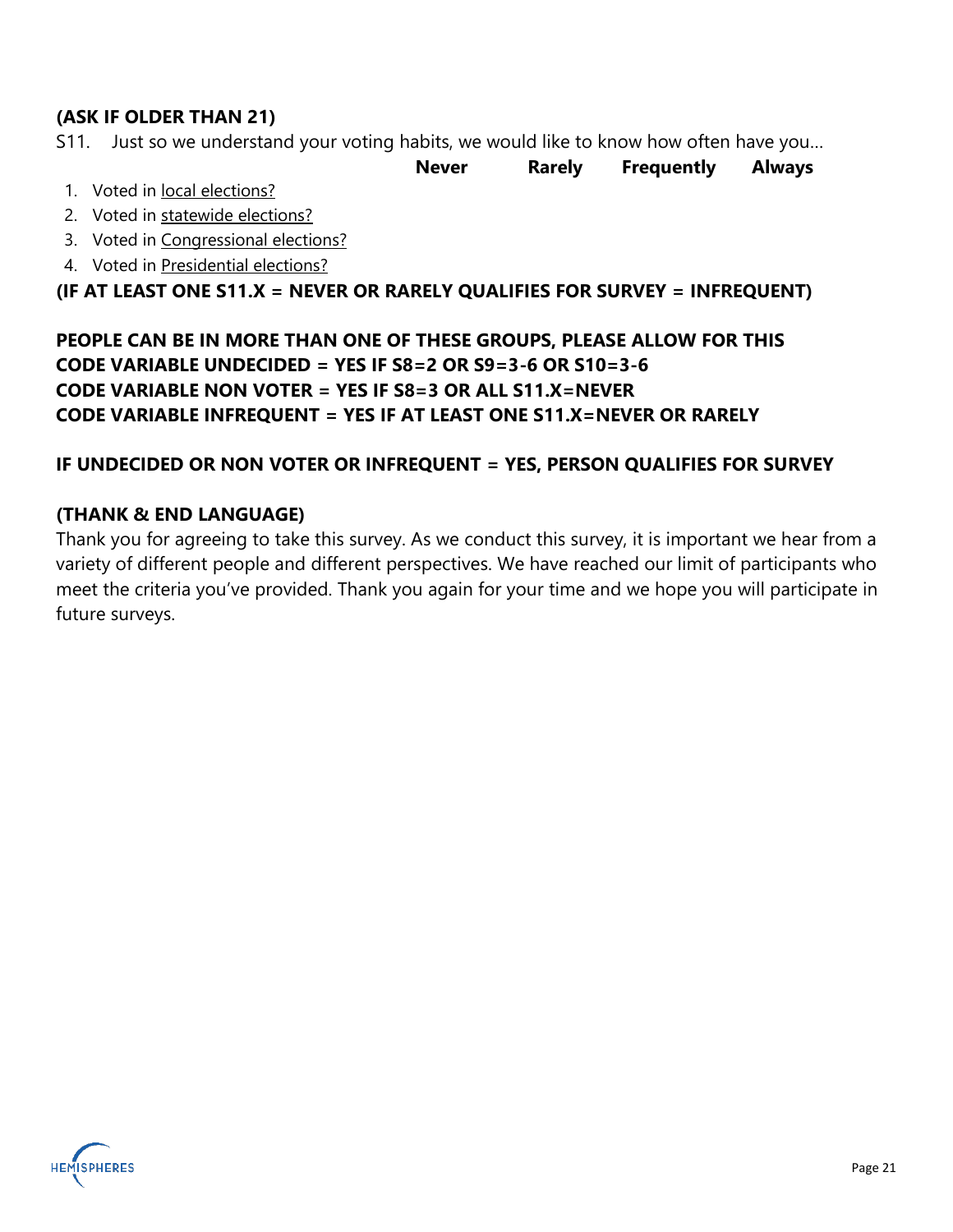### **(ASK IF OLDER THAN 21)**

S11. Just so we understand your voting habits, we would like to know how often have you…

**Never Rarely Frequently Always**

- 1. Voted in local elections?
- 2. Voted in statewide elections?
- 3. Voted in Congressional elections?
- 4. Voted in Presidential elections?

**(IF AT LEAST ONE S11.X = NEVER OR RARELY QUALIFIES FOR SURVEY = INFREQUENT)** 

**PEOPLE CAN BE IN MORE THAN ONE OF THESE GROUPS, PLEASE ALLOW FOR THIS CODE VARIABLE UNDECIDED = YES IF S8=2 OR S9=3-6 OR S10=3-6 CODE VARIABLE NON VOTER = YES IF S8=3 OR ALL S11.X=NEVER CODE VARIABLE INFREQUENT = YES IF AT LEAST ONE S11.X=NEVER OR RARELY**

### **IF UNDECIDED OR NON VOTER OR INFREQUENT = YES, PERSON QUALIFIES FOR SURVEY**

### **(THANK & END LANGUAGE)**

Thank you for agreeing to take this survey. As we conduct this survey, it is important we hear from a variety of different people and different perspectives. We have reached our limit of participants who meet the criteria you've provided. Thank you again for your time and we hope you will participate in future surveys.

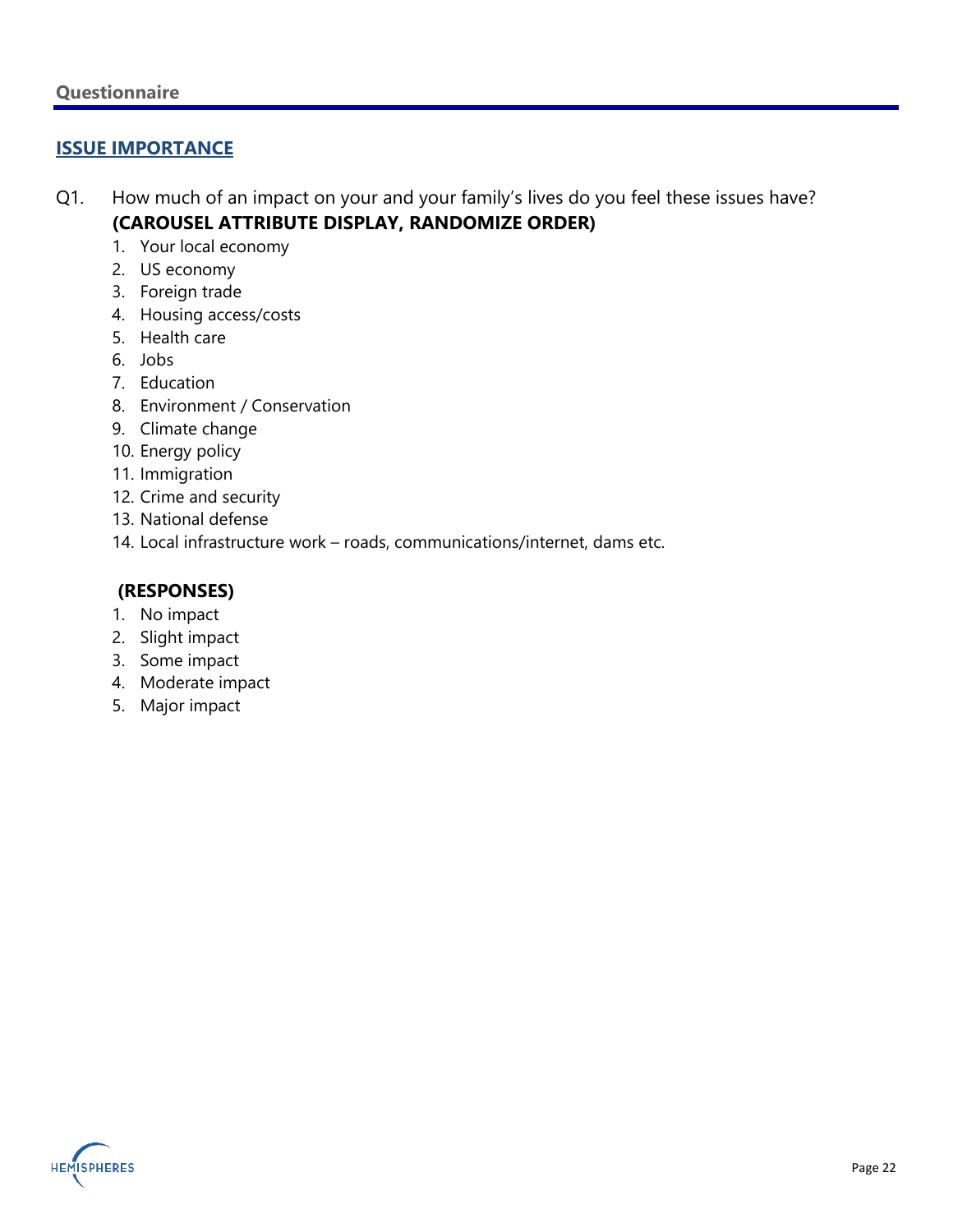### **ISSUE IMPORTANCE**

- Q1. How much of an impact on your and your family's lives do you feel these issues have? **(CAROUSEL ATTRIBUTE DISPLAY, RANDOMIZE ORDER)**
	- 1. Your local economy
	- 2. US economy
	- 3. Foreign trade
	- 4. Housing access/costs
	- 5. Health care
	- 6. Jobs
	- 7. Education
	- 8. Environment / Conservation
	- 9. Climate change
	- 10. Energy policy
	- 11. Immigration
	- 12. Crime and security
	- 13. National defense
	- 14. Local infrastructure work roads, communications/internet, dams etc.

### **(RESPONSES)**

- 1. No impact
- 2. Slight impact
- 3. Some impact
- 4. Moderate impact
- 5. Major impact

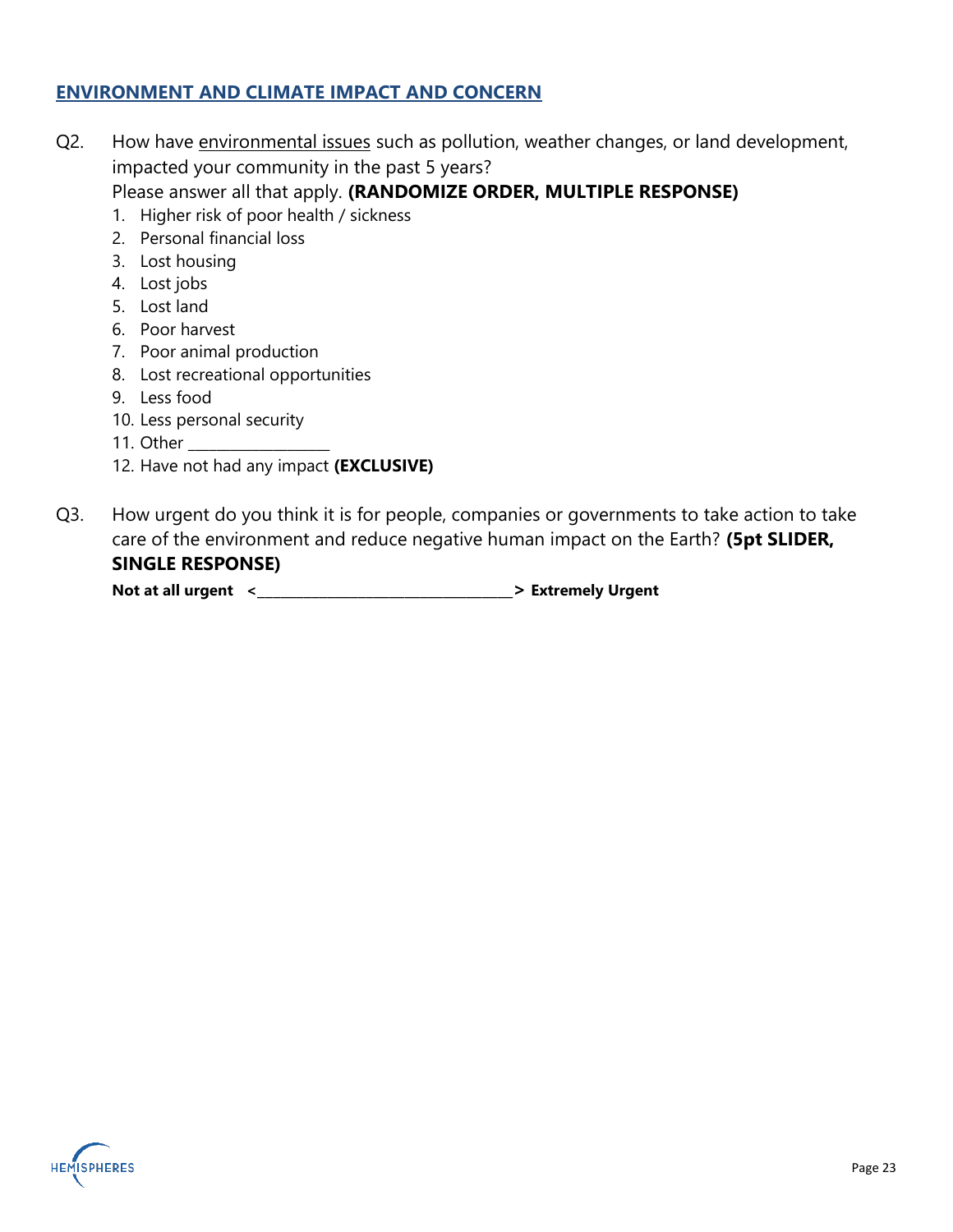### **ENVIRONMENT AND CLIMATE IMPACT AND CONCERN**

- Q2. How have environmental issues such as pollution, weather changes, or land development, impacted your community in the past 5 years? Please answer all that apply. **(RANDOMIZE ORDER, MULTIPLE RESPONSE)**
	- 1. Higher risk of poor health / sickness
	- 2. Personal financial loss
	- 3. Lost housing
	- 4. Lost jobs
	- 5. Lost land
	- 6. Poor harvest
	- 7. Poor animal production
	- 8. Lost recreational opportunities
	- 9. Less food
	- 10. Less personal security
	- 11. Other
	- 12. Have not had any impact **(EXCLUSIVE)**
- Q3. How urgent do you think it is for people, companies or governments to take action to take care of the environment and reduce negative human impact on the Earth? **(5pt SLIDER, SINGLE RESPONSE)**

**Not at all urgent <\_\_\_\_\_\_\_\_\_\_\_\_\_\_\_\_\_\_\_\_\_\_\_\_\_\_\_\_\_\_\_\_\_> Extremely Urgent** 

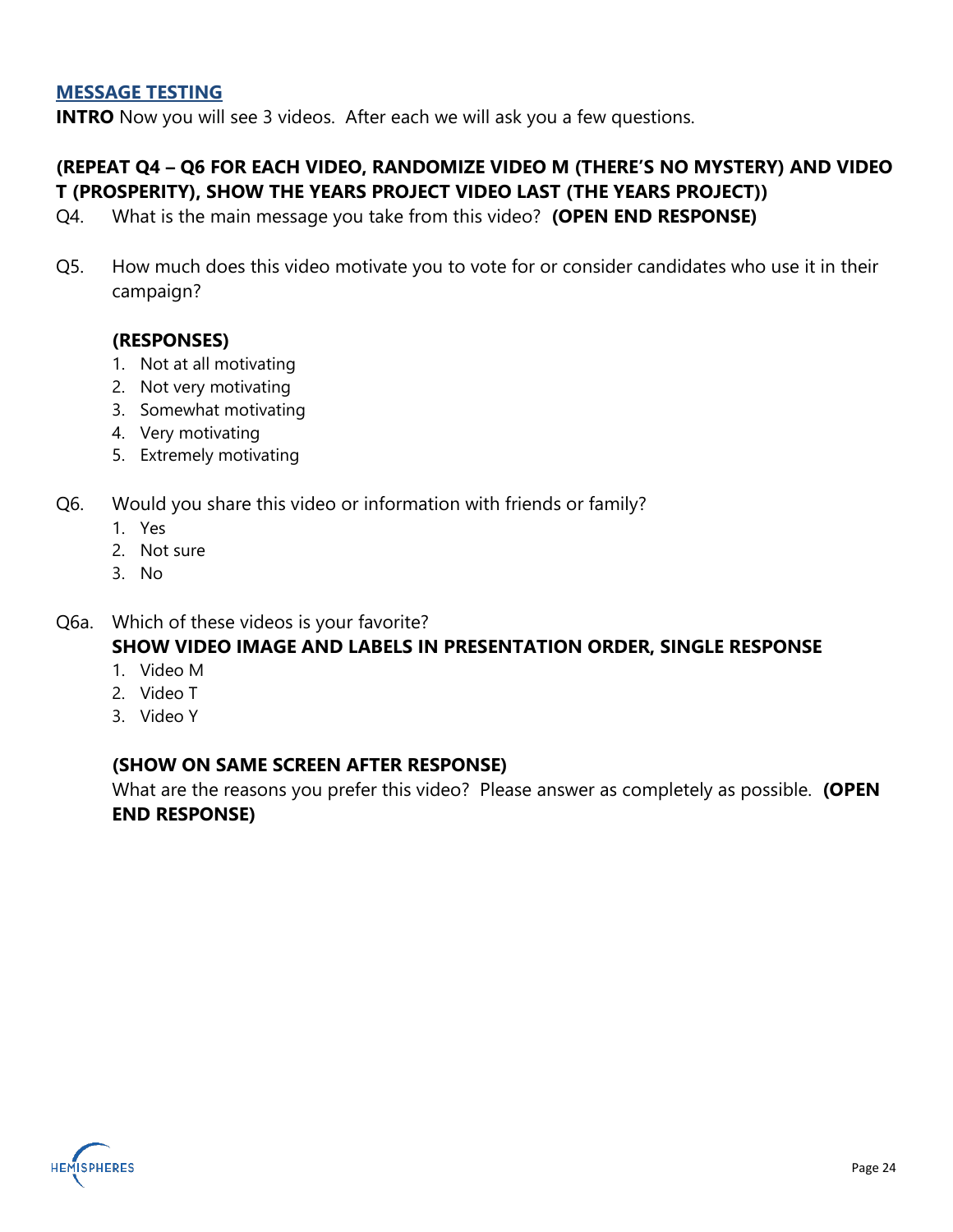### **MESSAGE TESTING**

**INTRO** Now you will see 3 videos. After each we will ask you a few questions.

### **(REPEAT Q4 – Q6 FOR EACH VIDEO, RANDOMIZE VIDEO M (THERE'S NO MYSTERY) AND VIDEO T (PROSPERITY), SHOW THE YEARS PROJECT VIDEO LAST (THE YEARS PROJECT))**

- Q4. What is the main message you take from this video? **(OPEN END RESPONSE)**
- Q5. How much does this video motivate you to vote for or consider candidates who use it in their campaign?

### **(RESPONSES)**

- 1. Not at all motivating
- 2. Not very motivating
- 3. Somewhat motivating
- 4. Very motivating
- 5. Extremely motivating
- Q6. Would you share this video or information with friends or family?
	- 1. Yes
	- 2. Not sure
	- 3. No
- Q6a. Which of these videos is your favorite? **SHOW VIDEO IMAGE AND LABELS IN PRESENTATION ORDER, SINGLE RESPONSE**
	- 1. Video M
	- 2. Video T
	- 3. Video Y

### **(SHOW ON SAME SCREEN AFTER RESPONSE)**

What are the reasons you prefer this video? Please answer as completely as possible. **(OPEN END RESPONSE)**

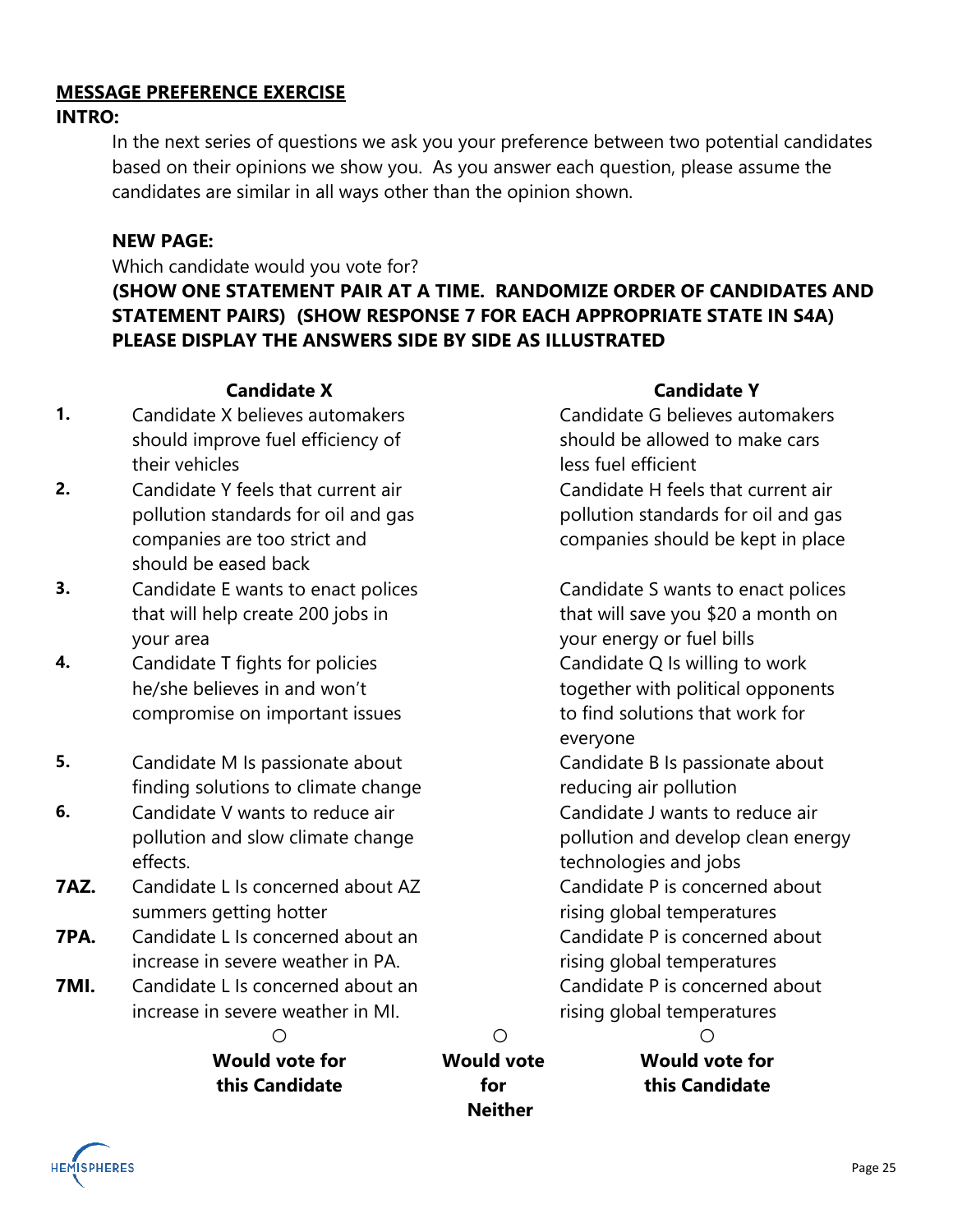### **MESSAGE PREFERENCE EXERCISE INTRO:**

In the next series of questions we ask you your preference between two potential candidates based on their opinions we show you. As you answer each question, please assume the candidates are similar in all ways other than the opinion shown.

### **NEW PAGE:**

Which candidate would you vote for?

**(SHOW ONE STATEMENT PAIR AT A TIME. RANDOMIZE ORDER OF CANDIDATES AND STATEMENT PAIRS) (SHOW RESPONSE 7 FOR EACH APPROPRIATE STATE IN S4A) PLEASE DISPLAY THE ANSWERS SIDE BY SIDE AS ILLUSTRATED**

- **1.** Candidate X believes automakers should improve fuel efficiency of their vehicles
- **2.** Candidate Y feels that current air pollution standards for oil and gas companies are too strict and should be eased back
- **3.** Candidate E wants to enact polices that will help create 200 jobs in your area
- **4.** Candidate T fights for policies he/she believes in and won't compromise on important issues
- **5.** Candidate M Is passionate about finding solutions to climate change
- **6.** Candidate V wants to reduce air pollution and slow climate change effects.
- **7AZ.** Candidate L Is concerned about AZ summers getting hotter
- **7PA.** Candidate L Is concerned about an increase in severe weather in PA.
- **7MI.** Candidate L Is concerned about an increase in severe weather in MI.

**Candidate X Candidate Y**

Candidate G believes automakers should be allowed to make cars less fuel efficient Candidate H feels that current air pollution standards for oil and gas companies should be kept in place

Candidate S wants to enact polices that will save you \$20 a month on your energy or fuel bills Candidate Q Is willing to work together with political opponents to find solutions that work for everyone Candidate B Is passionate about reducing air pollution Candidate J wants to reduce air pollution and develop clean energy technologies and jobs

Candidate P is concerned about rising global temperatures Candidate P is concerned about rising global temperatures Candidate P is concerned about rising global temperatures

**Would vote for this Candidate**

**○ ○ ○ Would vote for Neither**

**Would vote for this Candidate**

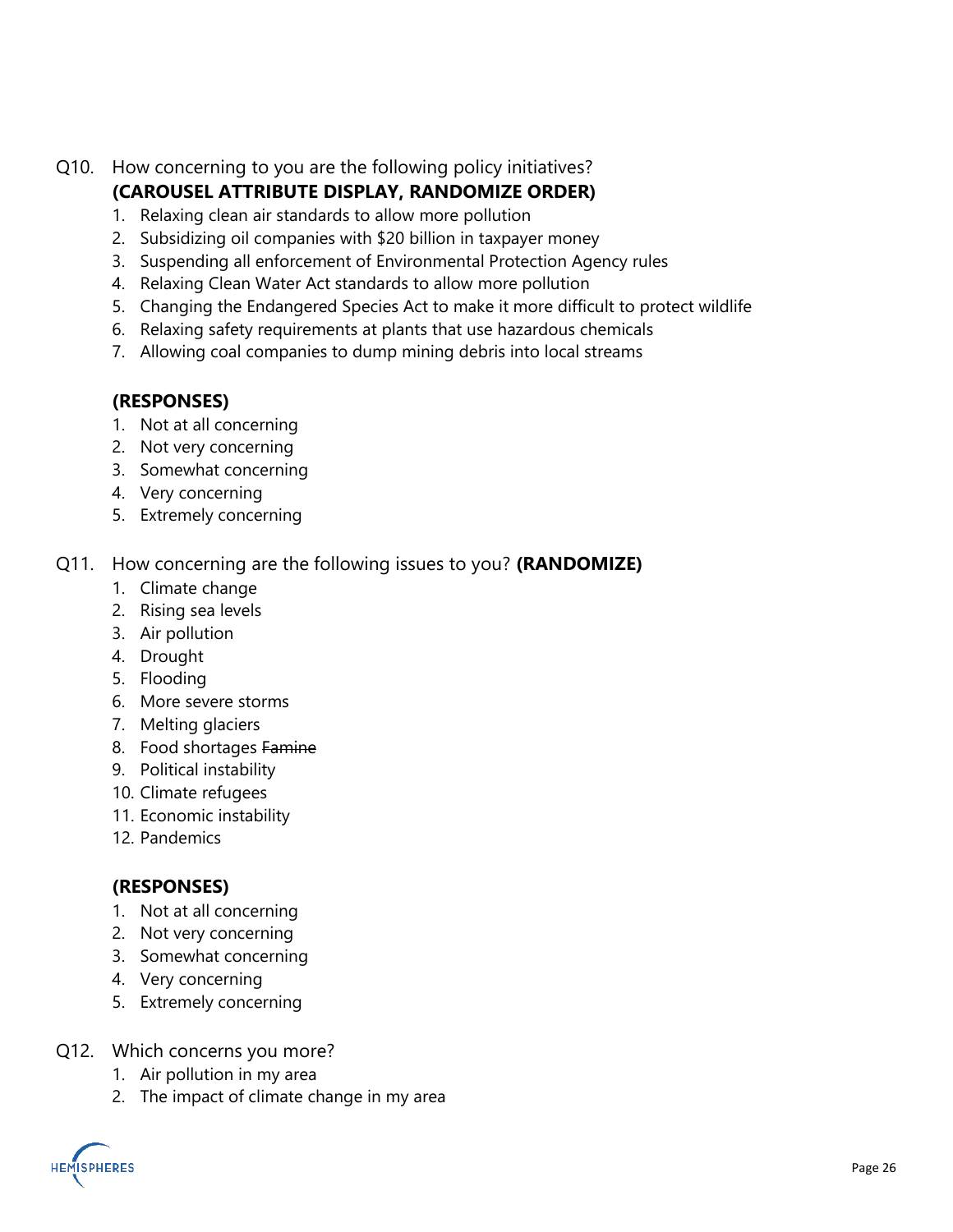Q10. How concerning to you are the following policy initiatives?

### **(CAROUSEL ATTRIBUTE DISPLAY, RANDOMIZE ORDER)**

- 1. Relaxing clean air standards to allow more pollution
- 2. Subsidizing oil companies with \$20 billion in taxpayer money
- 3. Suspending all enforcement of Environmental Protection Agency rules
- 4. Relaxing Clean Water Act standards to allow more pollution
- 5. Changing the Endangered Species Act to make it more difficult to protect wildlife
- 6. Relaxing safety requirements at plants that use hazardous chemicals
- 7. Allowing coal companies to dump mining debris into local streams

### **(RESPONSES)**

- 1. Not at all concerning
- 2. Not very concerning
- 3. Somewhat concerning
- 4. Very concerning
- 5. Extremely concerning

### Q11. How concerning are the following issues to you? **(RANDOMIZE)**

- 1. Climate change
- 2. Rising sea levels
- 3. Air pollution
- 4. Drought
- 5. Flooding
- 6. More severe storms
- 7. Melting glaciers
- 8. Food shortages Famine
- 9. Political instability
- 10. Climate refugees
- 11. Economic instability
- 12. Pandemics

### **(RESPONSES)**

- 1. Not at all concerning
- 2. Not very concerning
- 3. Somewhat concerning
- 4. Very concerning
- 5. Extremely concerning
- Q12. Which concerns you more?
	- 1. Air pollution in my area
	- 2. The impact of climate change in my area

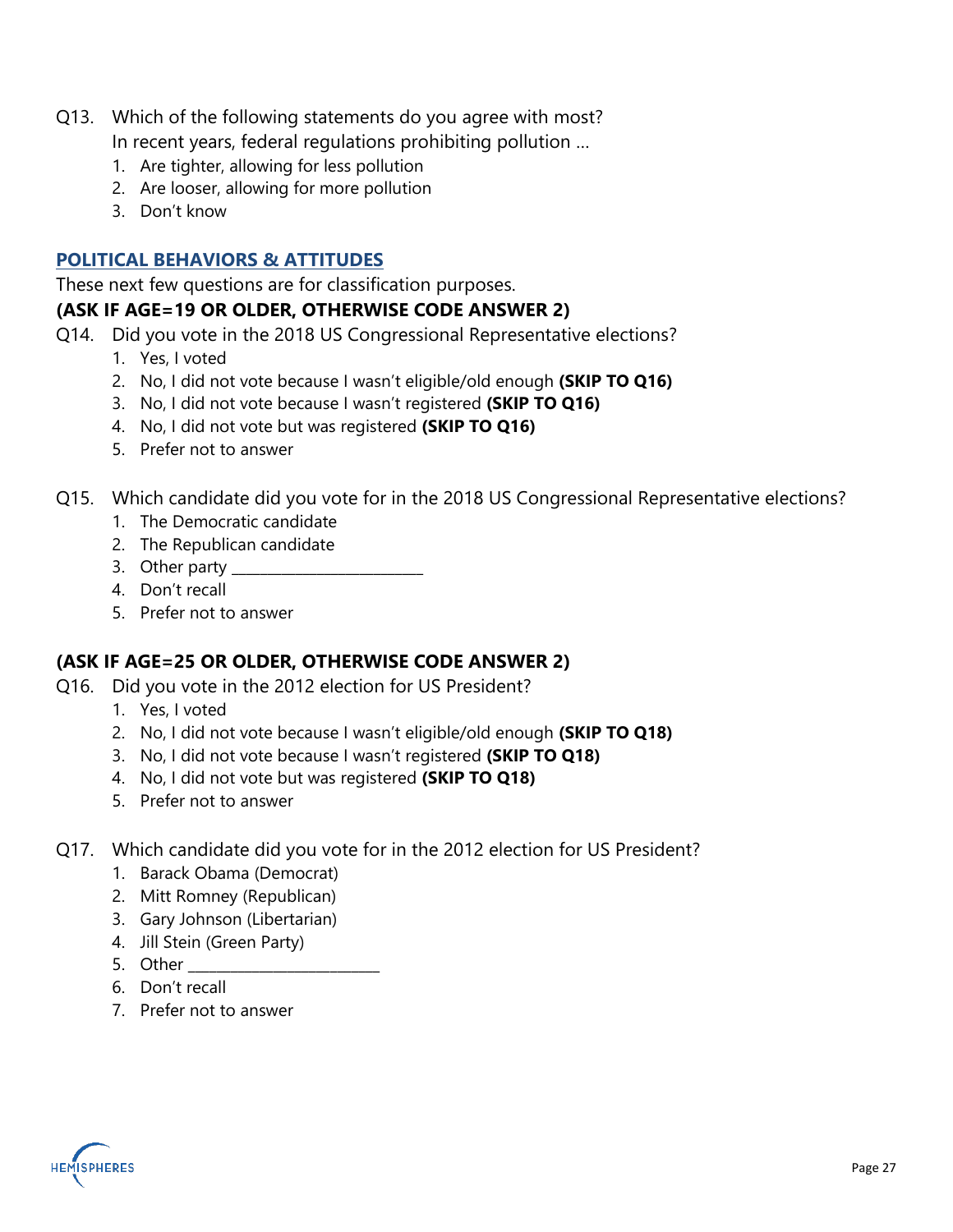- Q13. Which of the following statements do you agree with most? In recent years, federal regulations prohibiting pollution …
	- 1. Are tighter, allowing for less pollution
	- 2. Are looser, allowing for more pollution
	- 3. Don't know

### **POLITICAL BEHAVIORS & ATTITUDES**

These next few questions are for classification purposes. **(ASK IF AGE=19 OR OLDER, OTHERWISE CODE ANSWER 2)**

- Q14. Did you vote in the 2018 US Congressional Representative elections?
	- 1. Yes, I voted
	- 2. No, I did not vote because I wasn't eligible/old enough **(SKIP TO Q16)**
	- 3. No, I did not vote because I wasn't registered **(SKIP TO Q16)**
	- 4. No, I did not vote but was registered **(SKIP TO Q16)**
	- 5. Prefer not to answer
- Q15. Which candidate did you vote for in the 2018 US Congressional Representative elections?
	- 1. The Democratic candidate
	- 2. The Republican candidate
	- 3. Other party
	- 4. Don't recall
	- 5. Prefer not to answer

### **(ASK IF AGE=25 OR OLDER, OTHERWISE CODE ANSWER 2)**

- Q16. Did you vote in the 2012 election for US President?
	- 1. Yes, I voted
	- 2. No, I did not vote because I wasn't eligible/old enough **(SKIP TO Q18)**
	- 3. No, I did not vote because I wasn't registered **(SKIP TO Q18)**
	- 4. No, I did not vote but was registered **(SKIP TO Q18)**
	- 5. Prefer not to answer
- Q17. Which candidate did you vote for in the 2012 election for US President?
	- 1. Barack Obama (Democrat)
	- 2. Mitt Romney (Republican)
	- 3. Gary Johnson (Libertarian)
	- 4. Jill Stein (Green Party)
	- 5. Other
	- 6. Don't recall
	- 7. Prefer not to answer

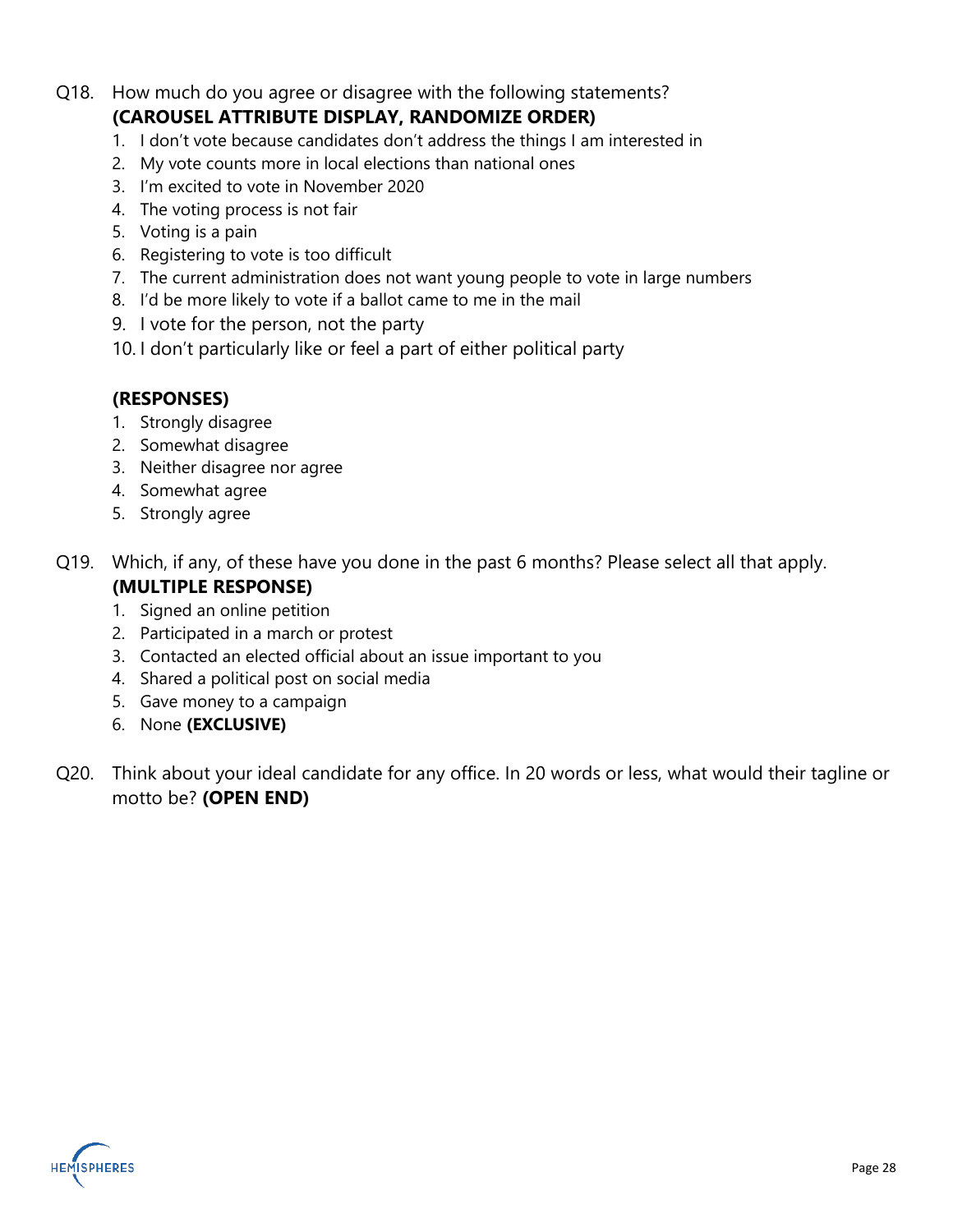- Q18. How much do you agree or disagree with the following statements? **(CAROUSEL ATTRIBUTE DISPLAY, RANDOMIZE ORDER)**
	- 1. I don't vote because candidates don't address the things I am interested in
	- 2. My vote counts more in local elections than national ones
	- 3. I'm excited to vote in November 2020
	- 4. The voting process is not fair
	- 5. Voting is a pain
	- 6. Registering to vote is too difficult
	- 7. The current administration does not want young people to vote in large numbers
	- 8. I'd be more likely to vote if a ballot came to me in the mail
	- 9. I vote for the person, not the party
	- 10. I don't particularly like or feel a part of either political party

### **(RESPONSES)**

- 1. Strongly disagree
- 2. Somewhat disagree
- 3. Neither disagree nor agree
- 4. Somewhat agree
- 5. Strongly agree
- Q19. Which, if any, of these have you done in the past 6 months? Please select all that apply.

### **(MULTIPLE RESPONSE)**

- 1. Signed an online petition
- 2. Participated in a march or protest
- 3. Contacted an elected official about an issue important to you
- 4. Shared a political post on social media
- 5. Gave money to a campaign
- 6. None **(EXCLUSIVE)**
- Q20. Think about your ideal candidate for any office. In 20 words or less, what would their tagline or motto be? **(OPEN END)**

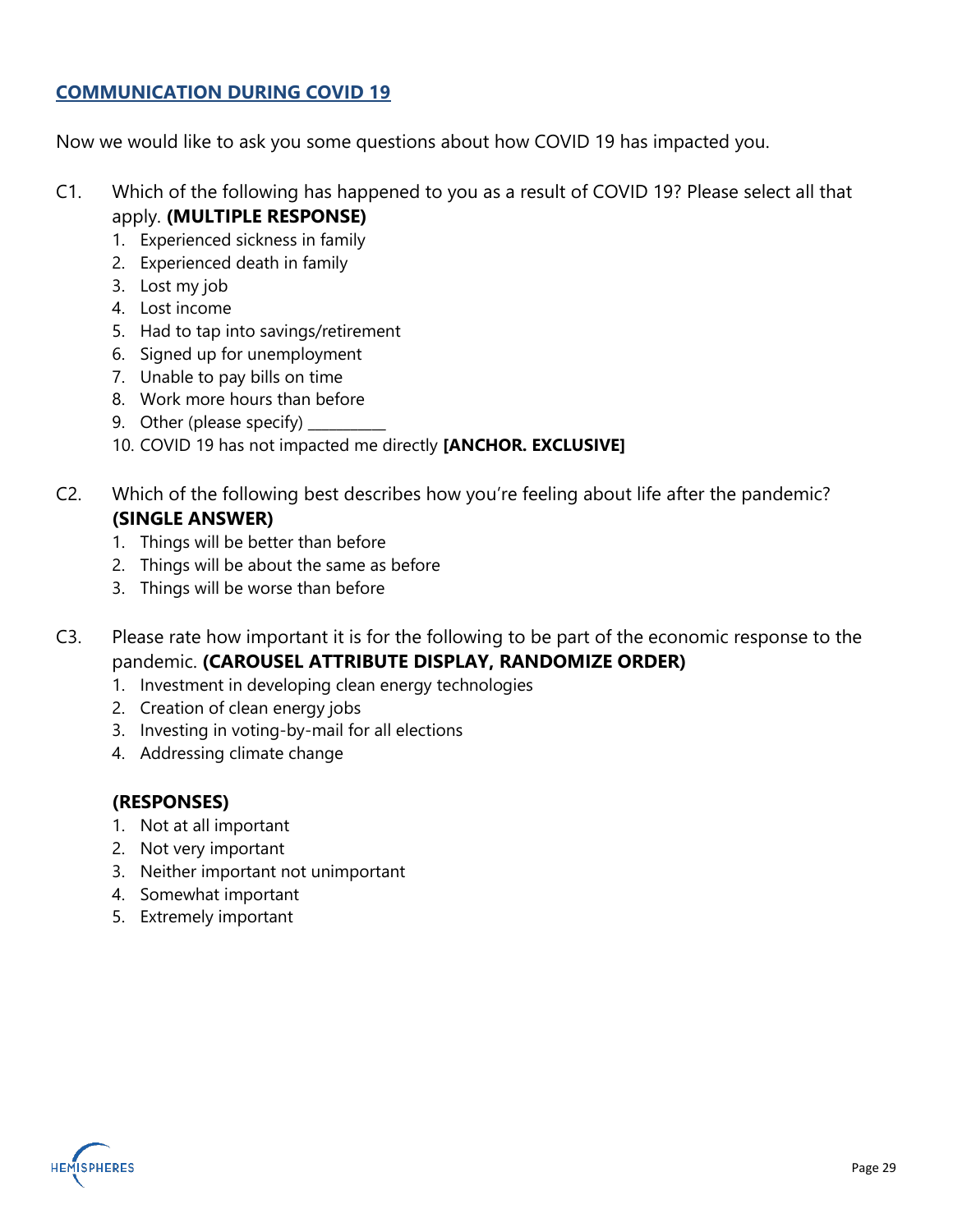### **COMMUNICATION DURING COVID 19**

Now we would like to ask you some questions about how COVID 19 has impacted you.

- C1. Which of the following has happened to you as a result of COVID 19? Please select all that apply. **(MULTIPLE RESPONSE)**
	- 1. Experienced sickness in family
	- 2. Experienced death in family
	- 3. Lost my job
	- 4. Lost income
	- 5. Had to tap into savings/retirement
	- 6. Signed up for unemployment
	- 7. Unable to pay bills on time
	- 8. Work more hours than before
	- 9. Other (please specify)
	- 10. COVID 19 has not impacted me directly **[ANCHOR. EXCLUSIVE]**
- C2. Which of the following best describes how you're feeling about life after the pandemic? **(SINGLE ANSWER)**
	- 1. Things will be better than before
	- 2. Things will be about the same as before
	- 3. Things will be worse than before
- C3. Please rate how important it is for the following to be part of the economic response to the pandemic. **(CAROUSEL ATTRIBUTE DISPLAY, RANDOMIZE ORDER)**
	- 1. Investment in developing clean energy technologies
	- 2. Creation of clean energy jobs
	- 3. Investing in voting-by-mail for all elections
	- 4. Addressing climate change

### **(RESPONSES)**

- 1. Not at all important
- 2. Not very important
- 3. Neither important not unimportant
- 4. Somewhat important
- 5. Extremely important

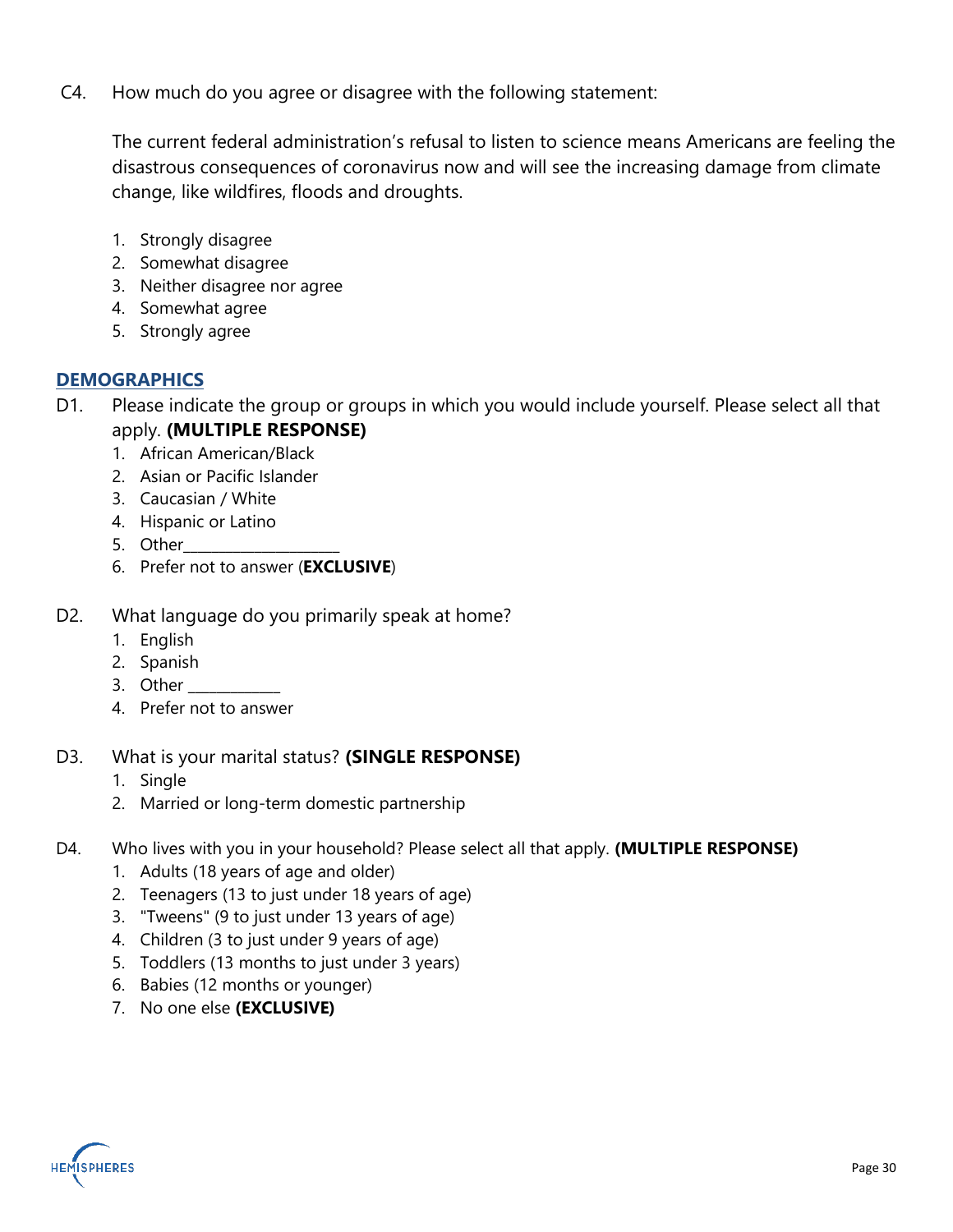C4. How much do you agree or disagree with the following statement:

The current federal administration's refusal to listen to science means Americans are feeling the disastrous consequences of coronavirus now and will see the increasing damage from climate change, like wildfires, floods and droughts.

- 1. Strongly disagree
- 2. Somewhat disagree
- 3. Neither disagree nor agree
- 4. Somewhat agree
- 5. Strongly agree

### **DEMOGRAPHICS**

- D1. Please indicate the group or groups in which you would include yourself. Please select all that apply. **(MULTIPLE RESPONSE)**
	- 1. African American/Black
	- 2. Asian or Pacific Islander
	- 3. Caucasian / White
	- 4. Hispanic or Latino
	- 5. Other\_\_\_\_\_\_\_\_\_\_\_\_\_\_\_\_\_\_\_\_\_\_
	- 6. Prefer not to answer (**EXCLUSIVE**)
- D2. What language do you primarily speak at home?
	- 1. English
	- 2. Spanish
	- 3. Other
	- 4. Prefer not to answer

### D3. What is your marital status? **(SINGLE RESPONSE)**

- 1. Single
- 2. Married or long-term domestic partnership
- D4. Who lives with you in your household? Please select all that apply. **(MULTIPLE RESPONSE)**
	- 1. Adults (18 years of age and older)
	- 2. Teenagers (13 to just under 18 years of age)
	- 3. "Tweens" (9 to just under 13 years of age)
	- 4. Children (3 to just under 9 years of age)
	- 5. Toddlers (13 months to just under 3 years)
	- 6. Babies (12 months or younger)
	- 7. No one else **(EXCLUSIVE)**

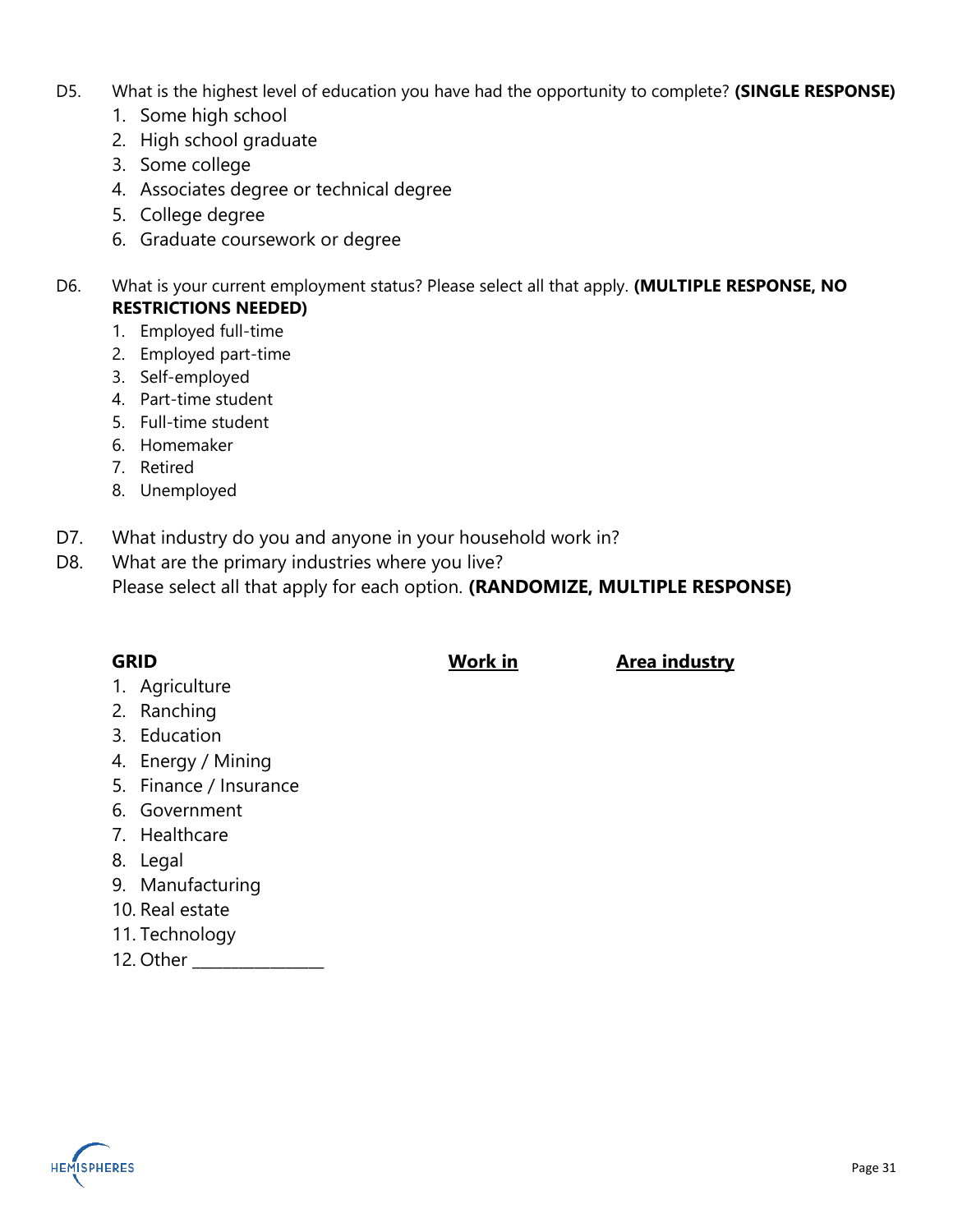- D5. What is the highest level of education you have had the opportunity to complete? **(SINGLE RESPONSE)**
	- 1. Some high school
	- 2. High school graduate
	- 3. Some college
	- 4. Associates degree or technical degree
	- 5. College degree
	- 6. Graduate coursework or degree
- D6. What is your current employment status? Please select all that apply. **(MULTIPLE RESPONSE, NO RESTRICTIONS NEEDED)**
	- 1. Employed full-time
	- 2. Employed part-time
	- 3. Self-employed
	- 4. Part-time student
	- 5. Full-time student
	- 6. Homemaker
	- 7. Retired
	- 8. Unemployed
- D7. What industry do you and anyone in your household work in?
- D8. What are the primary industries where you live? Please select all that apply for each option. **(RANDOMIZE, MULTIPLE RESPONSE)**

| <b>GRID</b> | Work in | Area industry |
|-------------|---------|---------------|

- 1. Agriculture
- 2. Ranching
- 3. Education
- 4. Energy / Mining
- 5. Finance / Insurance
- 6. Government
- 7. Healthcare
- 8. Legal
- 9. Manufacturing
- 10. Real estate
- 11. Technology
- 12. Other \_\_\_\_\_\_\_\_\_\_\_\_\_\_\_\_\_